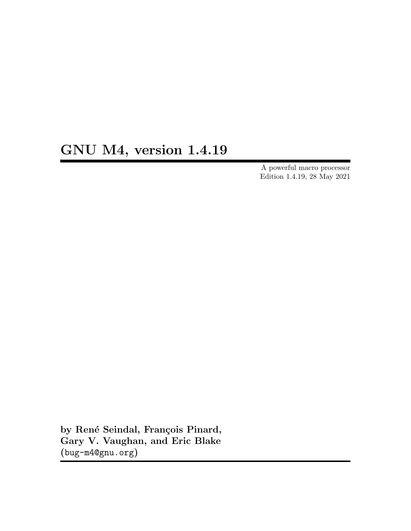# GNU M4, version 1.4.19

A powerful macro processor Edition 1.4.19, 28 May 2021

by René Seindal, François Pinard, Gary V. Vaughan, and Eric Blake ([bug-m4@gnu.org](mailto:bug-m4@gnu.org))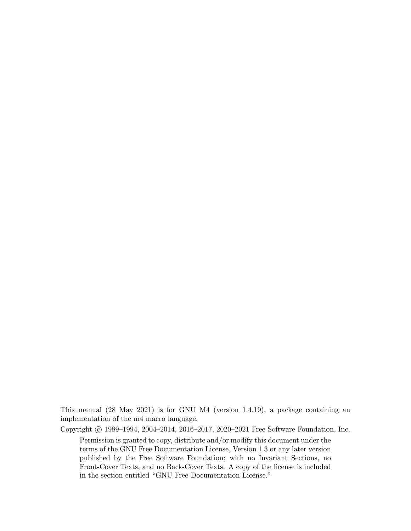This manual (28 May 2021) is for GNU M4 (version 1.4.19), a package containing an implementation of the m4 macro language.

Copyright c 1989–1994, 2004–2014, 2016–2017, 2020–2021 Free Software Foundation, Inc. Permission is granted to copy, distribute and/or modify this document under the terms of the GNU Free Documentation License, Version 1.3 or any later version published by the Free Software Foundation; with no Invariant Sections, no Front-Cover Texts, and no Back-Cover Texts. A copy of the license is included in the section entitled "GNU Free Documentation License."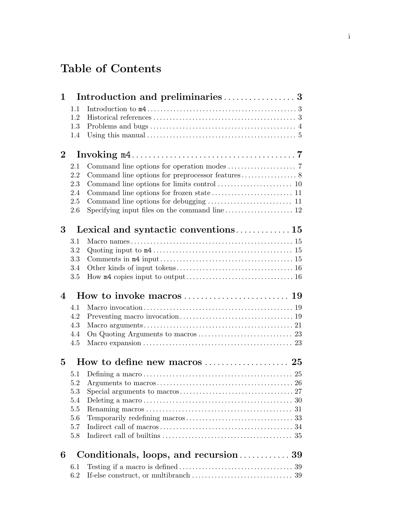# Table of Contents

| $\mathbf 1$              |         |                                                              |
|--------------------------|---------|--------------------------------------------------------------|
|                          | 1.1     |                                                              |
|                          | 1.2     |                                                              |
|                          | 1.3     |                                                              |
|                          | 1.4     |                                                              |
| $\overline{2}$           |         |                                                              |
|                          | 2.1     |                                                              |
|                          | 2.2     |                                                              |
|                          | 2.3     |                                                              |
|                          | 2.4     |                                                              |
|                          | 2.5     |                                                              |
|                          | 2.6     |                                                              |
| 3                        |         |                                                              |
|                          | 3.1     |                                                              |
|                          | 3.2     |                                                              |
|                          | 3.3     |                                                              |
|                          | 3.4     |                                                              |
|                          | 3.5     |                                                              |
| $\overline{\mathcal{A}}$ |         |                                                              |
|                          | 4.1     |                                                              |
|                          | 4.2     |                                                              |
|                          |         |                                                              |
|                          | 4.3     |                                                              |
|                          | 4.4     |                                                              |
|                          | 4.5     |                                                              |
| 5                        |         |                                                              |
|                          | 5.1     |                                                              |
|                          | 5.2     |                                                              |
|                          | $5.3\,$ |                                                              |
|                          | 5.4     |                                                              |
|                          | 5.5     |                                                              |
|                          | 5.6     |                                                              |
|                          | 5.7     |                                                              |
|                          | 5.8     |                                                              |
| 6                        |         | Conditionals, loops, and recursion $\ldots \ldots \ldots 39$ |
|                          | 6.1     |                                                              |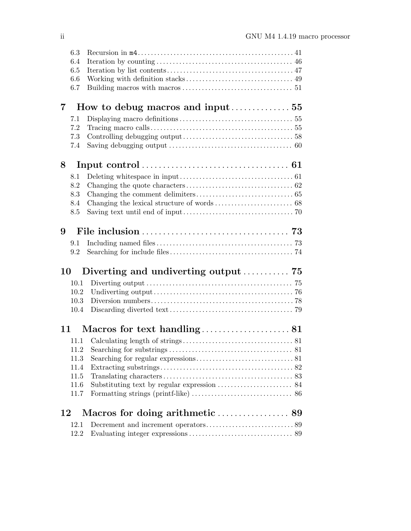|                | 6.3  |                                                                |  |
|----------------|------|----------------------------------------------------------------|--|
|                | 6.4  |                                                                |  |
|                | 6.5  |                                                                |  |
|                | 6.6  |                                                                |  |
|                | 6.7  |                                                                |  |
| $\overline{7}$ |      | How to debug macros and input $\ldots \ldots \ldots \ldots 55$ |  |
|                | 7.1  |                                                                |  |
|                | 7.2  |                                                                |  |
|                | 7.3  |                                                                |  |
|                | 7.4  |                                                                |  |
| 8              |      |                                                                |  |
|                | 8.1  |                                                                |  |
|                | 8.2  |                                                                |  |
|                | 8.3  |                                                                |  |
|                | 8.4  |                                                                |  |
|                | 8.5  |                                                                |  |
| 9              |      |                                                                |  |
|                | 9.1  |                                                                |  |
|                | 9.2  |                                                                |  |
|                |      |                                                                |  |
| 10             |      | Diverting and undiverting output $\ldots \ldots \ldots$ 75     |  |
|                | 10.1 |                                                                |  |
|                | 10.2 |                                                                |  |
|                | 10.3 |                                                                |  |
|                | 10.4 |                                                                |  |
|                | 11   |                                                                |  |
|                |      |                                                                |  |
|                |      |                                                                |  |
|                | 11.3 |                                                                |  |
|                | 11.4 |                                                                |  |
|                | 11.5 |                                                                |  |
|                | 11.6 |                                                                |  |
|                | 11.7 |                                                                |  |
| 12             |      |                                                                |  |
|                | 12.1 |                                                                |  |
|                | 12.2 |                                                                |  |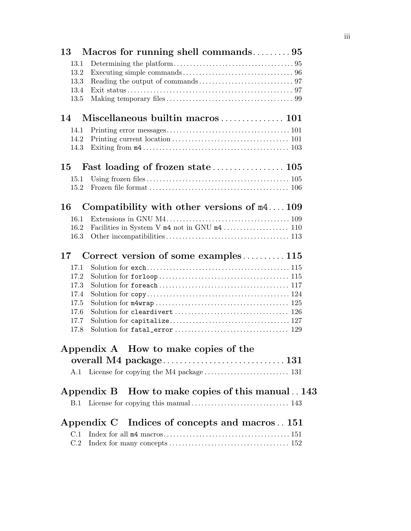| 13           |                                                 |
|--------------|-------------------------------------------------|
| 13.1         |                                                 |
| 13.2         |                                                 |
| 13.3         |                                                 |
| 13.4         |                                                 |
| 13.5         |                                                 |
| 14           |                                                 |
| 14.1         |                                                 |
| 14.2         |                                                 |
| 14.3         |                                                 |
| 15           |                                                 |
| 15.1         |                                                 |
| 15.2         |                                                 |
| 16           | Compatibility with other versions of $m4109$    |
| 16.1         |                                                 |
| 16.2         |                                                 |
| 16.3         |                                                 |
| 17           | Correct version of some examples $115$          |
| 17.1         |                                                 |
| 17.2         |                                                 |
| 17.3         |                                                 |
| 17.4         |                                                 |
| 17.5         |                                                 |
| 17.6<br>17.7 |                                                 |
| 17.8         |                                                 |
|              |                                                 |
|              | Appendix A How to make copies of the            |
|              |                                                 |
| A.1          |                                                 |
|              |                                                 |
|              | Appendix B How to make copies of this manual143 |
|              |                                                 |
|              | Appendix C Indices of concepts and macros151    |
| C.1          |                                                 |
| C.2          |                                                 |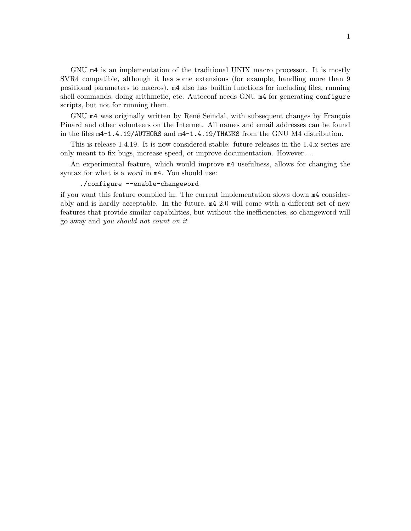GNU m4 is an implementation of the traditional UNIX macro processor. It is mostly SVR4 compatible, although it has some extensions (for example, handling more than 9 positional parameters to macros). m4 also has builtin functions for including files, running shell commands, doing arithmetic, etc. Autoconf needs GNU m4 for generating configure scripts, but not for running them.

GNU m4 was originally written by René Seindal, with subsequent changes by François Pinard and other volunteers on the Internet. All names and email addresses can be found in the files m4-1.4.19/AUTHORS and m4-1.4.19/THANKS from the GNU M4 distribution.

This is release 1.4.19. It is now considered stable: future releases in the 1.4.x series are only meant to fix bugs, increase speed, or improve documentation. However. . .

An experimental feature, which would improve m4 usefulness, allows for changing the syntax for what is a word in m4. You should use:

#### ./configure --enable-changeword

if you want this feature compiled in. The current implementation slows down m4 considerably and is hardly acceptable. In the future, m4 2.0 will come with a different set of new features that provide similar capabilities, but without the inefficiencies, so changeword will go away and you should not count on it.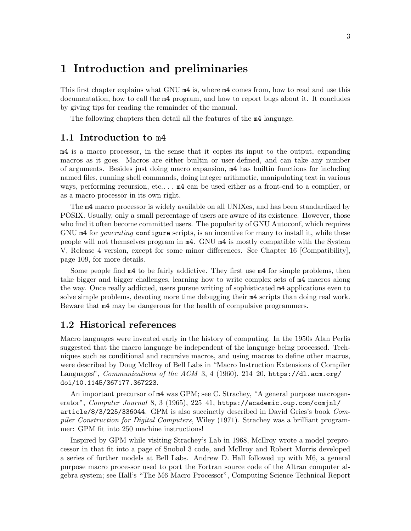# <span id="page-8-0"></span>1 Introduction and preliminaries

This first chapter explains what GNU m4 is, where m4 comes from, how to read and use this documentation, how to call the m4 program, and how to report bugs about it. It concludes by giving tips for reading the remainder of the manual.

The following chapters then detail all the features of the m4 language.

## 1.1 Introduction to m4

m4 is a macro processor, in the sense that it copies its input to the output, expanding macros as it goes. Macros are either builtin or user-defined, and can take any number of arguments. Besides just doing macro expansion, m4 has builtin functions for including named files, running shell commands, doing integer arithmetic, manipulating text in various ways, performing recursion, etc....  $m4$  can be used either as a front-end to a compiler, or as a macro processor in its own right.

The m4 macro processor is widely available on all UNIXes, and has been standardized by POSIX. Usually, only a small percentage of users are aware of its existence. However, those who find it often become committed users. The popularity of GNU Autoconf, which requires GNU m4 for *generating* configure scripts, is an incentive for many to install it, while these people will not themselves program in m4. GNU m4 is mostly compatible with the System V, Release 4 version, except for some minor differences. See [Chapter 16 \[Compatibility\],](#page-114-0) [page 109,](#page-114-0) for more details.

Some people find m4 to be fairly addictive. They first use m4 for simple problems, then take bigger and bigger challenges, learning how to write complex sets of m4 macros along the way. Once really addicted, users pursue writing of sophisticated m4 applications even to solve simple problems, devoting more time debugging their m4 scripts than doing real work. Beware that m4 may be dangerous for the health of compulsive programmers.

# 1.2 Historical references

Macro languages were invented early in the history of computing. In the 1950s Alan Perlis suggested that the macro language be independent of the language being processed. Techniques such as conditional and recursive macros, and using macros to define other macros, were described by Doug McIlroy of Bell Labs in "Macro Instruction Extensions of Compiler Languages", Communications of the ACM 3, 4 (1960), 214–20, [https://dl.acm.org/](https://dl.acm.org/doi/10.1145/367177.367223) [doi/10.1145/367177.367223](https://dl.acm.org/doi/10.1145/367177.367223).

An important precursor of m4 was GPM; see C. Strachey, "A general purpose macrogenerator", Computer Journal 8, 3 (1965), 225–41, [https://academic.oup.com/comjnl/](https://academic.oup.com/comjnl/article/8/3/225/336044) [article/8/3/225/336044](https://academic.oup.com/comjnl/article/8/3/225/336044). GPM is also succinctly described in David Gries's book Compiler Construction for Digital Computers, Wiley (1971). Strachey was a brilliant programmer: GPM fit into 250 machine instructions!

Inspired by GPM while visiting Strachey's Lab in 1968, McIlroy wrote a model preprocessor in that fit into a page of Snobol 3 code, and McIlroy and Robert Morris developed a series of further models at Bell Labs. Andrew D. Hall followed up with M6, a general purpose macro processor used to port the Fortran source code of the Altran computer algebra system; see Hall's "The M6 Macro Processor", Computing Science Technical Report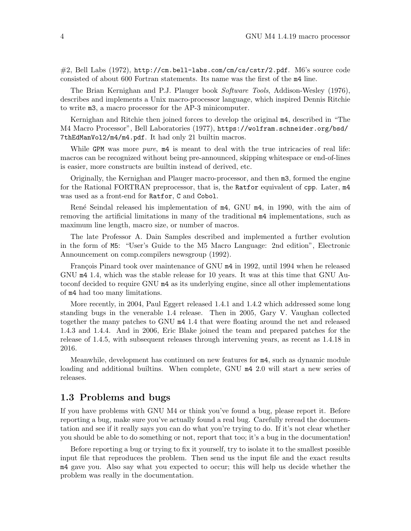<span id="page-9-0"></span>#2, Bell Labs (1972), <http://cm.bell-labs.com/cm/cs/cstr/2.pdf>. M6's source code consisted of about 600 Fortran statements. Its name was the first of the m4 line.

The Brian Kernighan and P.J. Plauger book Software Tools, Addison-Wesley (1976), describes and implements a Unix macro-processor language, which inspired Dennis Ritchie to write m3, a macro processor for the AP-3 minicomputer.

Kernighan and Ritchie then joined forces to develop the original m4, described in "The M4 Macro Processor", Bell Laboratories (1977), [https://wolfram.schneider.org/bsd/](https://wolfram.schneider.org/bsd/7thEdManVol2/m4/m4.pdf) [7thEdManVol2/m4/m4.pdf](https://wolfram.schneider.org/bsd/7thEdManVol2/m4/m4.pdf). It had only 21 builtin macros.

While GPM was more *pure*,  $m4$  is meant to deal with the true intricacies of real life: macros can be recognized without being pre-announced, skipping whitespace or end-of-lines is easier, more constructs are builtin instead of derived, etc.

Originally, the Kernighan and Plauger macro-processor, and then m3, formed the engine for the Rational FORTRAN preprocessor, that is, the Ratfor equivalent of cpp. Later, m4 was used as a front-end for Ratfor, C and Cobol.

René Seindal released his implementation of  $m4$ , GNU  $m4$ , in 1990, with the aim of removing the artificial limitations in many of the traditional m4 implementations, such as maximum line length, macro size, or number of macros.

The late Professor A. Dain Samples described and implemented a further evolution in the form of M5: "User's Guide to the M5 Macro Language: 2nd edition", Electronic Announcement on comp.compilers newsgroup (1992).

François Pinard took over maintenance of GNU  $m4$  in 1992, until 1994 when he released GNU m4 1.4, which was the stable release for 10 years. It was at this time that GNU Autoconf decided to require GNU m4 as its underlying engine, since all other implementations of m4 had too many limitations.

More recently, in 2004, Paul Eggert released 1.4.1 and 1.4.2 which addressed some long standing bugs in the venerable 1.4 release. Then in 2005, Gary V. Vaughan collected together the many patches to GNU m4 1.4 that were floating around the net and released 1.4.3 and 1.4.4. And in 2006, Eric Blake joined the team and prepared patches for the release of 1.4.5, with subsequent releases through intervening years, as recent as 1.4.18 in 2016.

Meanwhile, development has continued on new features for m4, such as dynamic module loading and additional builtins. When complete, GNU  $m4$  2.0 will start a new series of releases.

# 1.3 Problems and bugs

If you have problems with GNU M4 or think you've found a bug, please report it. Before reporting a bug, make sure you've actually found a real bug. Carefully reread the documentation and see if it really says you can do what you're trying to do. If it's not clear whether you should be able to do something or not, report that too; it's a bug in the documentation!

Before reporting a bug or trying to fix it yourself, try to isolate it to the smallest possible input file that reproduces the problem. Then send us the input file and the exact results m4 gave you. Also say what you expected to occur; this will help us decide whether the problem was really in the documentation.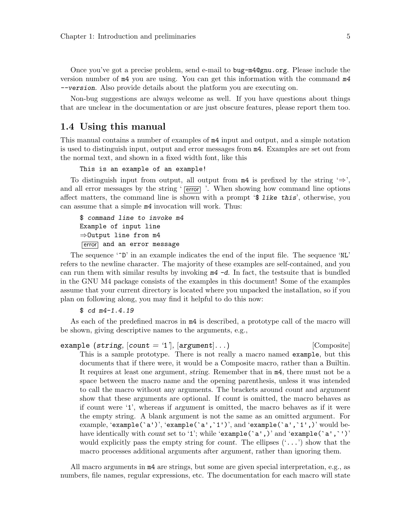<span id="page-10-0"></span>Once you've got a precise problem, send e-mail to [bug-m4@gnu.org](mailto:bug-m4@gnu.org). Please include the version number of m4 you are using. You can get this information with the command m4 --version. Also provide details about the platform you are executing on.

Non-bug suggestions are always welcome as well. If you have questions about things that are unclear in the documentation or are just obscure features, please report them too.

# 1.4 Using this manual

This manual contains a number of examples of m4 input and output, and a simple notation is used to distinguish input, output and error messages from m4. Examples are set out from the normal text, and shown in a fixed width font, like this

```
This is an example of an example!
```
To distinguish input from output, all output from  $m4$  is prefixed by the string ' $\Rightarrow$ ', and all error messages by the string  $\sqrt{\epsilon}$  error  $\sqrt{\epsilon}$ . When showing how command line options affect matters, the command line is shown with a prompt '\$ like this', otherwise, you can assume that a simple m4 invocation will work. Thus:

```
$ command line to invoke m4
Example of input line
⇒Output line from m4
error and an error message
```
The sequence  $\mathbf{L}^{\prime}$  in an example indicates the end of the input file. The sequence  $\mathbf{L}^{\prime}$ refers to the newline character. The majority of these examples are self-contained, and you can run them with similar results by invoking  $m4 - d$ . In fact, the testsuite that is bundled in the GNU M4 package consists of the examples in this document! Some of the examples assume that your current directory is located where you unpacked the installation, so if you plan on following along, you may find it helpful to do this now:

```
$ cd m4-1.4.19
```
As each of the predefined macros in  $m4$  is described, a prototype call of the macro will be shown, giving descriptive names to the arguments, e.g.,

example (string,  $[count = '1']$ ,  $[argument] \dots$ ) [Composite] This is a sample prototype. There is not really a macro named example, but this documents that if there were, it would be a Composite macro, rather than a Builtin. It requires at least one argument, string. Remember that in m4, there must not be a space between the macro name and the opening parenthesis, unless it was intended to call the macro without any arguments. The brackets around count and argument show that these arguments are optional. If count is omitted, the macro behaves as if count were '1', whereas if argument is omitted, the macro behaves as if it were the empty string. A blank argument is not the same as an omitted argument. For example, 'example(`a')', 'example(`a',`1')', and 'example(`a',`1',)' would behave identically with count set to '1'; while 'example(`a',)' and 'example(`a',`')' would explicitly pass the empty string for *count*. The ellipses  $(., ..)$  show that the macro processes additional arguments after argument, rather than ignoring them.

All macro arguments in m4 are strings, but some are given special interpretation, e.g., as numbers, file names, regular expressions, etc. The documentation for each macro will state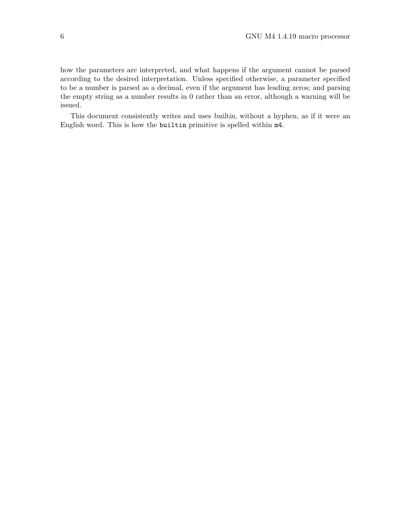how the parameters are interpreted, and what happens if the argument cannot be parsed according to the desired interpretation. Unless specified otherwise, a parameter specified to be a number is parsed as a decimal, even if the argument has leading zeros; and parsing the empty string as a number results in 0 rather than an error, although a warning will be issued.

This document consistently writes and uses builtin, without a hyphen, as if it were an English word. This is how the builtin primitive is spelled within m4.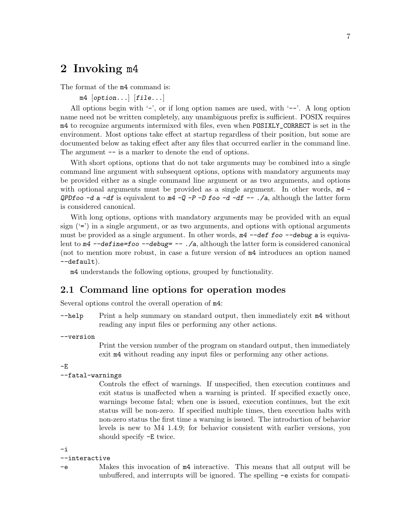# <span id="page-12-0"></span>2 Invoking m4

The format of the m4 command is:

 $m4$  [option...]  $[file...]$ 

All options begin with  $-$ , or if long option names are used, with  $-$ . A long option name need not be written completely, any unambiguous prefix is sufficient. POSIX requires m4 to recognize arguments intermixed with files, even when POSIXLY\_CORRECT is set in the environment. Most options take effect at startup regardless of their position, but some are documented below as taking effect after any files that occurred earlier in the command line. The argument  $-$  is a marker to denote the end of options.

With short options, options that do not take arguments may be combined into a single command line argument with subsequent options, options with mandatory arguments may be provided either as a single command line argument or as two arguments, and options with optional arguments must be provided as a single argument. In other words,  $m4$  -QPDfoo -d a -df is equivalent to  $m4$  -Q -P -D foo -d -df -- ./a, although the latter form is considered canonical.

With long options, options with mandatory arguments may be provided with an equal sign  $(4)$  in a single argument, or as two arguments, and options with optional arguments must be provided as a single argument. In other words,  $m4$  --def foo --debug a is equivalent to  $m4$  --define=foo --debug= -- ./a, although the latter form is considered canonical (not to mention more robust, in case a future version of m4 introduces an option named --default).

m4 understands the following options, grouped by functionality.

# <span id="page-12-1"></span>2.1 Command line options for operation modes

Several options control the overall operation of m4:

- $-\text{help}$  Print a help summary on standard output, then immediately exit  $m4$  without reading any input files or performing any other actions.
- --version

Print the version number of the program on standard output, then immediately exit m4 without reading any input files or performing any other actions.

 $-E$ 

#### --fatal-warnings

Controls the effect of warnings. If unspecified, then execution continues and exit status is unaffected when a warning is printed. If specified exactly once, warnings become fatal; when one is issued, execution continues, but the exit status will be non-zero. If specified multiple times, then execution halts with non-zero status the first time a warning is issued. The introduction of behavior levels is new to M4 1.4.9; for behavior consistent with earlier versions, you should specify -E twice.

-i

#### --interactive

-e Makes this invocation of m4 interactive. This means that all output will be unbuffered, and interrupts will be ignored. The spelling -e exists for compati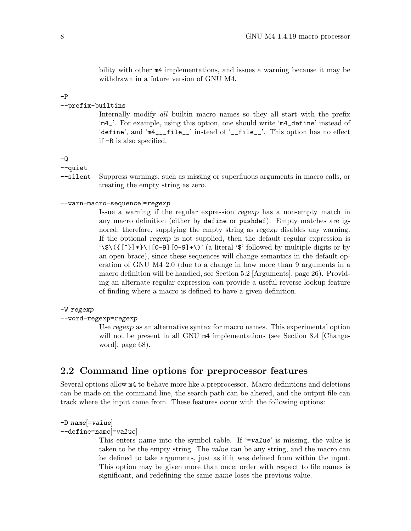<span id="page-13-0"></span>bility with other m4 implementations, and issues a warning because it may be withdrawn in a future version of GNU M4.

-P

#### --prefix-builtins

Internally modify *all* builtin macro names so they all start with the prefix 'm4\_'. For example, using this option, one should write 'm4\_define' instead of 'define', and 'm4\_\_\_file\_\_' instead of '\_\_file\_\_'. This option has no effect if -R is also specified.

-Q

--quiet

--silent Suppress warnings, such as missing or superfluous arguments in macro calls, or treating the empty string as zero.

#### --warn-macro-sequence[=regexp]

Issue a warning if the regular expression regexp has a non-empty match in any macro definition (either by define or pushdef). Empty matches are ignored; therefore, supplying the empty string as regexp disables any warning. If the optional regexp is not supplied, then the default regular expression is '\\$\({[^}]\*}\|[0-9][0-9]+\)' (a literal '\$' followed by multiple digits or by an open brace), since these sequences will change semantics in the default operation of GNU M4 2.0 (due to a change in how more than 9 arguments in a macro definition will be handled, see [Section 5.2 \[Arguments\], page 26\)](#page-31-1). Providing an alternate regular expression can provide a useful reverse lookup feature of finding where a macro is defined to have a given definition.

#### -W regexp

#### --word-regexp=regexp

Use regexp as an alternative syntax for macro names. This experimental option will not be present in all GNU  $m4$  implementations (see [Section 8.4 \[Change](#page-73-0)[word\], page 68](#page-73-0)).

### 2.2 Command line options for preprocessor features

Several options allow m4 to behave more like a preprocessor. Macro definitions and deletions can be made on the command line, the search path can be altered, and the output file can track where the input came from. These features occur with the following options:

```
-D name =value
```
--define=name[=value]

This enters name into the symbol table. If '=value' is missing, the value is taken to be the empty string. The value can be any string, and the macro can be defined to take arguments, just as if it was defined from within the input. This option may be given more than once; order with respect to file names is significant, and redefining the same name loses the previous value.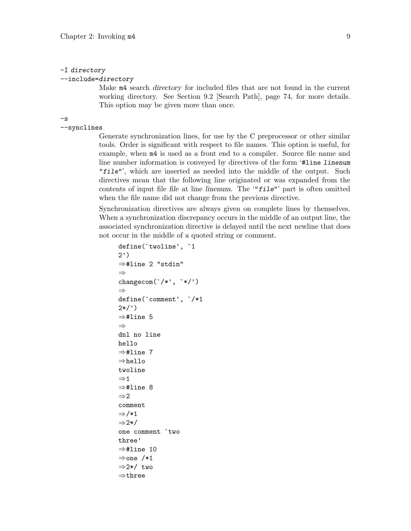#### -I directory

#### --include=directory

Make m4 search directory for included files that are not found in the current working directory. See [Section 9.2 \[Search Path\], page 74](#page-79-1), for more details. This option may be given more than once.

-s

--synclines

Generate synchronization lines, for use by the C preprocessor or other similar tools. Order is significant with respect to file names. This option is useful, for example, when m4 is used as a front end to a compiler. Source file name and line number information is conveyed by directives of the form '#line linenum "file"', which are inserted as needed into the middle of the output. Such directives mean that the following line originated or was expanded from the contents of input file file at line linenum. The '"file"' part is often omitted when the file name did not change from the previous directive.

Synchronization directives are always given on complete lines by themselves. When a synchronization discrepancy occurs in the middle of an output line, the associated synchronization directive is delayed until the next newline that does not occur in the middle of a quoted string or comment.

```
define(`twoline', `1
2')
⇒#line 2 "stdin"
⇒
changecom('/*', '*/')⇒
define(`comment', `/*1
2*/')⇒#line 5
⇒
dnl no line
hello
⇒#line 7
⇒hello
twoline
\Rightarrow 1
⇒#line 8
\Rightarrow 2
comment
⇒/*1
⇒2*/
one comment `two
three'
⇒#line 10
⇒one /*1
⇒2*/ two
⇒three
```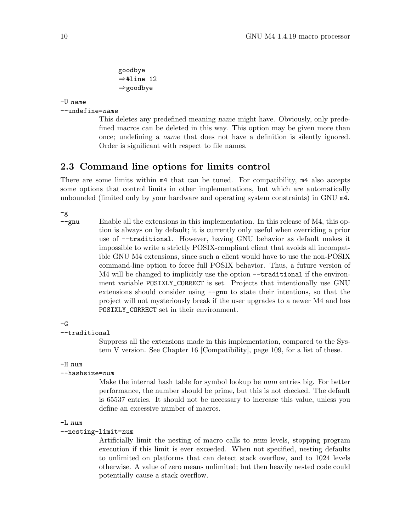goodbye ⇒#line 12 ⇒goodbye

<span id="page-15-0"></span>-U name

```
--undefine=name
```
This deletes any predefined meaning name might have. Obviously, only predefined macros can be deleted in this way. This option may be given more than once; undefining a name that does not have a definition is silently ignored. Order is significant with respect to file names.

# 2.3 Command line options for limits control

There are some limits within  $m4$  that can be tuned. For compatibility,  $m4$  also accepts some options that control limits in other implementations, but which are automatically unbounded (limited only by your hardware and operating system constraints) in GNU m4.

-g

--gnu Enable all the extensions in this implementation. In this release of M4, this option is always on by default; it is currently only useful when overriding a prior use of --traditional. However, having GNU behavior as default makes it impossible to write a strictly POSIX-compliant client that avoids all incompatible GNU M4 extensions, since such a client would have to use the non-POSIX command-line option to force full POSIX behavior. Thus, a future version of M4 will be changed to implicitly use the option --traditional if the environment variable POSIXLY\_CORRECT is set. Projects that intentionally use GNU extensions should consider using --gnu to state their intentions, so that the project will not mysteriously break if the user upgrades to a newer M4 and has POSIXLY\_CORRECT set in their environment.

#### $-G$

#### --traditional

Suppress all the extensions made in this implementation, compared to the System V version. See [Chapter 16 \[Compatibility\], page 109,](#page-114-0) for a list of these.

#### -H num

#### --hashsize=num

Make the internal hash table for symbol lookup be num entries big. For better performance, the number should be prime, but this is not checked. The default is 65537 entries. It should not be necessary to increase this value, unless you define an excessive number of macros.

#### -L num

#### --nesting-limit=num

Artificially limit the nesting of macro calls to num levels, stopping program execution if this limit is ever exceeded. When not specified, nesting defaults to unlimited on platforms that can detect stack overflow, and to 1024 levels otherwise. A value of zero means unlimited; but then heavily nested code could potentially cause a stack overflow.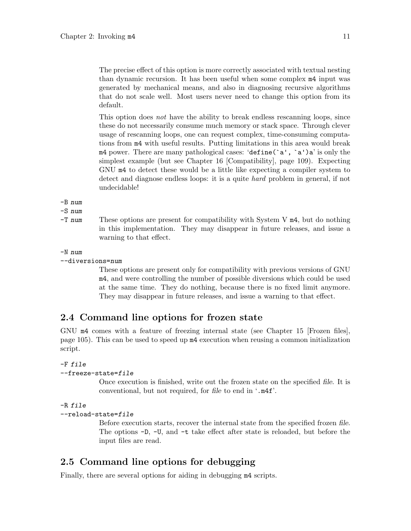<span id="page-16-0"></span>The precise effect of this option is more correctly associated with textual nesting than dynamic recursion. It has been useful when some complex m4 input was generated by mechanical means, and also in diagnosing recursive algorithms that do not scale well. Most users never need to change this option from its default.

This option does not have the ability to break endless rescanning loops, since these do not necessarily consume much memory or stack space. Through clever usage of rescanning loops, one can request complex, time-consuming computations from m4 with useful results. Putting limitations in this area would break  $m4$  power. There are many pathological cases: 'define(`a', `a')a' is only the simplest example (but see [Chapter 16 \[Compatibility\], page 109](#page-114-0)). Expecting GNU m4 to detect these would be a little like expecting a compiler system to detect and diagnose endless loops: it is a quite hard problem in general, if not undecidable!

-B num

-S num

-T num These options are present for compatibility with System V m4, but do nothing in this implementation. They may disappear in future releases, and issue a warning to that effect.

#### -N num

--diversions=num

These options are present only for compatibility with previous versions of GNU m4, and were controlling the number of possible diversions which could be used at the same time. They do nothing, because there is no fixed limit anymore. They may disappear in future releases, and issue a warning to that effect.

# 2.4 Command line options for frozen state

GNU m4 comes with a feature of freezing internal state (see [Chapter 15 \[Frozen files\],](#page-110-0) [page 105](#page-110-0)). This can be used to speed up m4 execution when reusing a common initialization script.

#### -F file

#### --freeze-state=file

Once execution is finished, write out the frozen state on the specified file. It is conventional, but not required, for file to end in '.m4f'.

```
-R file
```

```
--reload-state=file
```
Before execution starts, recover the internal state from the specified frozen file. The options -D, -U, and -t take effect after state is reloaded, but before the input files are read.

# 2.5 Command line options for debugging

Finally, there are several options for aiding in debugging m4 scripts.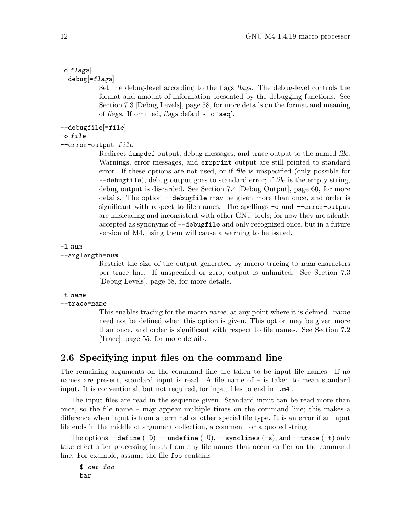#### <span id="page-17-0"></span> $-d[flags]$  $-$ debug $[$ = $flags]$

Set the debug-level according to the flags flags. The debug-level controls the format and amount of information presented by the debugging functions. See [Section 7.3 \[Debug Levels\], page 58](#page-63-1), for more details on the format and meaning of flags. If omitted, flags defaults to 'aeq'.

```
-debugfile=file|
```

```
-o file
```

```
--error-output=file
```
Redirect dumpdef output, debug messages, and trace output to the named file. Warnings, error messages, and errprint output are still printed to standard error. If these options are not used, or if file is unspecified (only possible for --debugfile), debug output goes to standard error; if file is the empty string, debug output is discarded. See [Section 7.4 \[Debug Output\], page 60,](#page-65-1) for more details. The option --debugfile may be given more than once, and order is significant with respect to file names. The spellings -o and --error-output are misleading and inconsistent with other GNU tools; for now they are silently accepted as synonyms of --debugfile and only recognized once, but in a future version of M4, using them will cause a warning to be issued.

#### -l num

#### --arglength=num

Restrict the size of the output generated by macro tracing to num characters per trace line. If unspecified or zero, output is unlimited. See [Section 7.3](#page-63-1) [\[Debug Levels\], page 58](#page-63-1), for more details.

#### -t name

```
--trace=name
```
This enables tracing for the macro name, at any point where it is defined. name need not be defined when this option is given. This option may be given more than once, and order is significant with respect to file names. See [Section 7.2](#page-60-1) [\[Trace\], page 55](#page-60-1), for more details.

# 2.6 Specifying input files on the command line

The remaining arguments on the command line are taken to be input file names. If no names are present, standard input is read. A file name of  $-$  is taken to mean standard input. It is conventional, but not required, for input files to end in '.m4'.

The input files are read in the sequence given. Standard input can be read more than once, so the file name - may appear multiple times on the command line; this makes a difference when input is from a terminal or other special file type. It is an error if an input file ends in the middle of argument collection, a comment, or a quoted string.

The options  $\neg$ -define  $(-D)$ ,  $\neg$ -undefine  $(-U)$ ,  $\neg$ -synclines  $(-s)$ , and  $\neg$ -trace  $(-t)$  only take effect after processing input from any file names that occur earlier on the command line. For example, assume the file foo contains:

\$ cat foo bar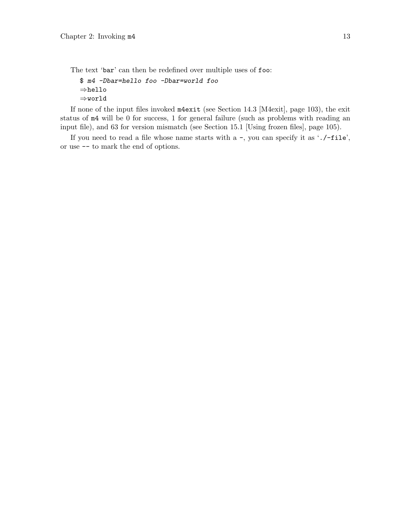The text 'bar' can then be redefined over multiple uses of foo:

```
$ m4 -Dbar=hello foo -Dbar=world foo
⇒hello
⇒world
```
If none of the input files invoked m4exit (see [Section 14.3 \[M4exit\], page 103](#page-108-1)), the exit status of m4 will be 0 for success, 1 for general failure (such as problems with reading an input file), and 63 for version mismatch (see [Section 15.1 \[Using frozen files\], page 105\)](#page-110-1).

If you need to read a file whose name starts with a -, you can specify it as './-file', or use -- to mark the end of options.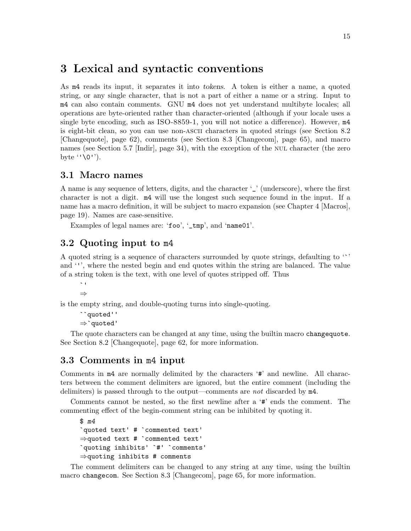# <span id="page-20-0"></span>3 Lexical and syntactic conventions

As m4 reads its input, it separates it into tokens. A token is either a name, a quoted string, or any single character, that is not a part of either a name or a string. Input to m4 can also contain comments. GNU m4 does not yet understand multibyte locales; all operations are byte-oriented rather than character-oriented (although if your locale uses a single byte encoding, such as ISO-8859-1, you will not notice a difference). However, m4 is eight-bit clean, so you can use non-ascii characters in quoted strings (see [Section 8.2](#page-67-0) [\[Changequote\], page 62](#page-67-0)), comments (see [Section 8.3 \[Changecom\], page 65\)](#page-70-1), and macro names (see [Section 5.7 \[Indir\], page 34\)](#page-39-1), with the exception of the NUL character (the zero byte ''\0'').

### 3.1 Macro names

A name is any sequence of letters, digits, and the character '\_' (underscore), where the first character is not a digit. m4 will use the longest such sequence found in the input. If a name has a macro definition, it will be subject to macro expansion (see [Chapter 4 \[Macros\],](#page-24-0) [page 19](#page-24-0)). Names are case-sensitive.

Examples of legal names are: 'foo', '\_tmp', and 'name01'.

# 3.2 Quoting input to m4

A quoted string is a sequence of characters surrounded by quote strings, defaulting to '`' and ''', where the nested begin and end quotes within the string are balanced. The value of a string token is the text, with one level of quotes stripped off. Thus

 $\sim$ ⇒

is the empty string, and double-quoting turns into single-quoting.

```
``quoted''
⇒`quoted'
```
The quote characters can be changed at any time, using the builtin macro changequote. See [Section 8.2 \[Changequote\], page 62](#page-67-0), for more information.

# 3.3 Comments in m4 input

Comments in m4 are normally delimited by the characters '#' and newline. All characters between the comment delimiters are ignored, but the entire comment (including the delimiters) is passed through to the output—comments are not discarded by m4.

Comments cannot be nested, so the first newline after a '#' ends the comment. The commenting effect of the begin-comment string can be inhibited by quoting it.

```
$ m4
`quoted text' # `commented text'
⇒quoted text # `commented text'
`quoting inhibits' `#' `comments'
⇒quoting inhibits # comments
```
The comment delimiters can be changed to any string at any time, using the builtin macro changecom. See [Section 8.3 \[Changecom\], page 65,](#page-70-1) for more information.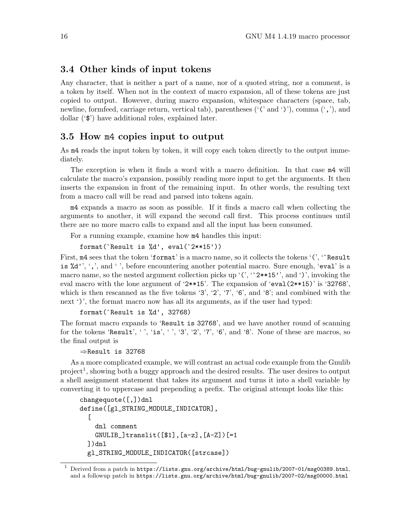### <span id="page-21-0"></span>3.4 Other kinds of input tokens

Any character, that is neither a part of a name, nor of a quoted string, nor a comment, is a token by itself. When not in the context of macro expansion, all of these tokens are just copied to output. However, during macro expansion, whitespace characters (space, tab, newline, formfeed, carriage return, vertical tab), parentheses  $('C and ')$ , comma  $(',')$ , and dollar ('\$') have additional roles, explained later.

### 3.5 How m4 copies input to output

As m4 reads the input token by token, it will copy each token directly to the output immediately.

The exception is when it finds a word with a macro definition. In that case m4 will calculate the macro's expansion, possibly reading more input to get the arguments. It then inserts the expansion in front of the remaining input. In other words, the resulting text from a macro call will be read and parsed into tokens again.

m4 expands a macro as soon as possible. If it finds a macro call when collecting the arguments to another, it will expand the second call first. This process continues until there are no more macro calls to expand and all the input has been consumed.

For a running example, examine how m4 handles this input:

```
format(`Result is %d', eval(`2**15'))
```
First,  $m4$  sees that the token 'format' is a macro name, so it collects the tokens '(', 'Result is  $\&d'$ , ',', and '', before encountering another potential macro. Sure enough, 'eval' is a macro name, so the nested argument collection picks up  $'$  (', ' $'$ 2\*\*15'', and ')', invoking the eval macro with the lone argument of '2\*\*15'. The expansion of 'eval(2\*\*15)' is '32768', which is then rescanned as the five tokens '3', '2', '7', '6', and '8'; and combined with the next ')', the format macro now has all its arguments, as if the user had typed:

format(`Result is %d', 32768)

The format macro expands to 'Result is 32768', and we have another round of scanning for the tokens 'Result', '', 'is', '', '3', '2', '7', '6', and '8'. None of these are macros, so the final output is

⇒Result is 32768

As a more complicated example, we will contrast an actual code example from the Gnulib  $project<sup>1</sup>$ , showing both a buggy approach and the desired results. The user desires to output a shell assignment statement that takes its argument and turns it into a shell variable by converting it to uppercase and prepending a prefix. The original attempt looks like this:

```
changequote([,])dnl
define([gl_STRING_MODULE_INDICATOR],
  [
    dnl comment
   GNULIB_]translit([$1],[a-z],[A-Z])[=1
  ])dnl
  gl_STRING_MODULE_INDICATOR([strcase])
```
<sup>1</sup> Derived from a patch in <https://lists.gnu.org/archive/html/bug-gnulib/2007-01/msg00389.html>, and a followup patch in <https://lists.gnu.org/archive/html/bug-gnulib/2007-02/msg00000.html>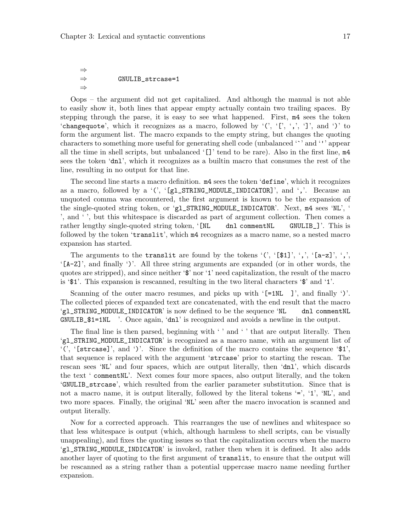⇒  $\Rightarrow$  GNULIB\_strcase=1 ⇒

Oops – the argument did not get capitalized. And although the manual is not able to easily show it, both lines that appear empty actually contain two trailing spaces. By stepping through the parse, it is easy to see what happened. First, m4 sees the token 'changequote', which it recognizes as a macro, followed by ' $(', 'l', ', 'l', and '')'$  to form the argument list. The macro expands to the empty string, but changes the quoting characters to something more useful for generating shell code (unbalanced '`' and ''' appear all the time in shell scripts, but unbalanced  $'[$ ]' tend to be rare). Also in the first line,  $m4$ sees the token 'dnl', which it recognizes as a builtin macro that consumes the rest of the line, resulting in no output for that line.

The second line starts a macro definition. m4 sees the token 'define', which it recognizes as a macro, followed by a '(', ' $[g_1]$ STRING\_MODULE\_INDICATOR]', and ','. Because an unquoted comma was encountered, the first argument is known to be the expansion of the single-quoted string token, or 'gl\_STRING\_MODULE\_INDICATOR'. Next, m4 sees 'NL', ' ', and ' ', but this whitespace is discarded as part of argument collection. Then comes a rather lengthy single-quoted string token, '[NL dnl commentNL GNULIB\_]'. This is followed by the token 'translit', which m4 recognizes as a macro name, so a nested macro expansion has started.

The arguments to the translit are found by the tokens '(', '[\$1]', ',', '[a-z]', ',', '[A-Z]', and finally ')'. All three string arguments are expanded (or in other words, the quotes are stripped), and since neither '\$' nor '1' need capitalization, the result of the macro is '\$1'. This expansion is rescanned, resulting in the two literal characters '\$' and '1'.

Scanning of the outer macro resumes, and picks up with  $\lceil =1NL \rceil$ , and finally ')'. The collected pieces of expanded text are concatenated, with the end result that the macro 'gl\_STRING\_MODULE\_INDICATOR' is now defined to be the sequence 'NL dnl commentNL GNULIB\_\$1=1NL '. Once again, 'dnl' is recognized and avoids a newline in the output.

The final line is then parsed, beginning with ' ' and ' ' that are output literally. Then 'gl\_STRING\_MODULE\_INDICATOR' is recognized as a macro name, with an argument list of '(', '[strcase]', and ')'. Since the definition of the macro contains the sequence '\$1', that sequence is replaced with the argument 'strcase' prior to starting the rescan. The rescan sees 'NL' and four spaces, which are output literally, then 'dnl', which discards the text ' commentNL'. Next comes four more spaces, also output literally, and the token 'GNULIB\_strcase', which resulted from the earlier parameter substitution. Since that is not a macro name, it is output literally, followed by the literal tokens '=', '1', 'NL', and two more spaces. Finally, the original 'NL' seen after the macro invocation is scanned and output literally.

Now for a corrected approach. This rearranges the use of newlines and whitespace so that less whitespace is output (which, although harmless to shell scripts, can be visually unappealing), and fixes the quoting issues so that the capitalization occurs when the macro 'gl\_STRING\_MODULE\_INDICATOR' is invoked, rather then when it is defined. It also adds another layer of quoting to the first argument of translit, to ensure that the output will be rescanned as a string rather than a potential uppercase macro name needing further expansion.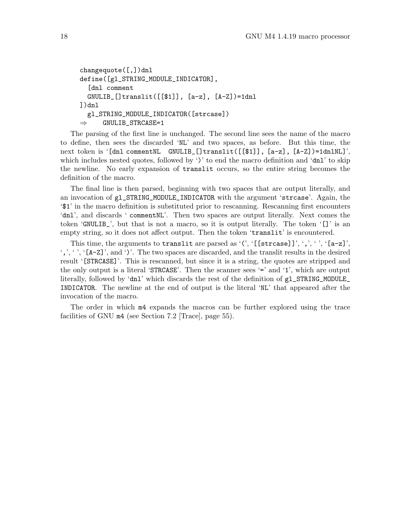```
changequote([,])dnl
define([gl_STRING_MODULE_INDICATOR],
  [dnl comment
  GNULIB_[]translit([[$1]], [a-z], [A-Z])=1dnl
])dnl
  gl_STRING_MODULE_INDICATOR([strcase])
\Rightarrow GNULIB_STRCASE=1
```
The parsing of the first line is unchanged. The second line sees the name of the macro to define, then sees the discarded 'NL' and two spaces, as before. But this time, the next token is '[dnl commentNL GNULIB\_[]translit([[\$1]], [a-z], [A-Z])=1dnlNL]', which includes nested quotes, followed by ')' to end the macro definition and 'dnl' to skip the newline. No early expansion of translit occurs, so the entire string becomes the definition of the macro.

The final line is then parsed, beginning with two spaces that are output literally, and an invocation of gl\_STRING\_MODULE\_INDICATOR with the argument 'strcase'. Again, the '\$1' in the macro definition is substituted prior to rescanning. Rescanning first encounters 'dnl', and discards ' commentNL'. Then two spaces are output literally. Next comes the token 'GNULIB\_', but that is not a macro, so it is output literally. The token '[]' is an empty string, so it does not affect output. Then the token 'translit' is encountered.

This time, the arguments to translit are parsed as '(', '[[strcase]]', ',', '', '[a-z]',  $\langle \cdot, \cdot \rangle$ ,  $\langle$  [A-Z]', and ')'. The two spaces are discarded, and the translit results in the desired result '[STRCASE]'. This is rescanned, but since it is a string, the quotes are stripped and the only output is a literal 'STRCASE'. Then the scanner sees '=' and '1', which are output literally, followed by 'dnl' which discards the rest of the definition of gl\_STRING\_MODULE\_ INDICATOR. The newline at the end of output is the literal 'NL' that appeared after the invocation of the macro.

The order in which m4 expands the macros can be further explored using the trace facilities of GNU m4 (see [Section 7.2 \[Trace\], page 55\)](#page-60-1).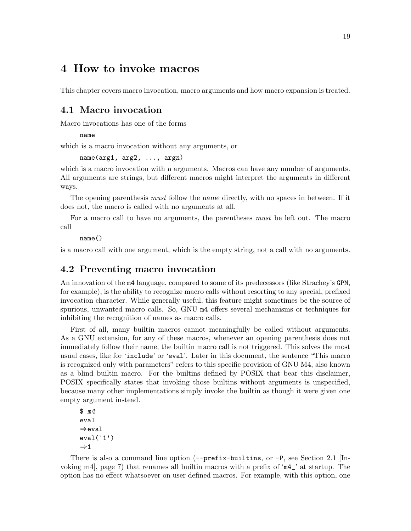# <span id="page-24-0"></span>4 How to invoke macros

This chapter covers macro invocation, macro arguments and how macro expansion is treated.

# 4.1 Macro invocation

Macro invocations has one of the forms

name

which is a macro invocation without any arguments, or

name(arg1, arg2, ..., argn)

which is a macro invocation with *n* arguments. Macros can have any number of arguments. All arguments are strings, but different macros might interpret the arguments in different ways.

The opening parenthesis *must* follow the *name* directly, with no spaces in between. If it does not, the macro is called with no arguments at all.

For a macro call to have no arguments, the parentheses must be left out. The macro call

name()

is a macro call with one argument, which is the empty string, not a call with no arguments.

# 4.2 Preventing macro invocation

An innovation of the m4 language, compared to some of its predecessors (like Strachey's GPM, for example), is the ability to recognize macro calls without resorting to any special, prefixed invocation character. While generally useful, this feature might sometimes be the source of spurious, unwanted macro calls. So, GNU m4 offers several mechanisms or techniques for inhibiting the recognition of names as macro calls.

First of all, many builtin macros cannot meaningfully be called without arguments. As a GNU extension, for any of these macros, whenever an opening parenthesis does not immediately follow their name, the builtin macro call is not triggered. This solves the most usual cases, like for 'include' or 'eval'. Later in this document, the sentence "This macro is recognized only with parameters" refers to this specific provision of GNU M4, also known as a blind builtin macro. For the builtins defined by POSIX that bear this disclaimer, POSIX specifically states that invoking those builtins without arguments is unspecified, because many other implementations simply invoke the builtin as though it were given one empty argument instead.

```
$ m4
eval
⇒eval
eval('1')\Rightarrow 1
```
There is also a command line option  $(-\text{prefix-builtins}, \text{or } -P)$ , see [Section 2.1 \[In](#page-12-1)[voking m4\], page 7](#page-12-1)) that renames all builtin macros with a prefix of 'm4\_' at startup. The option has no effect whatsoever on user defined macros. For example, with this option, one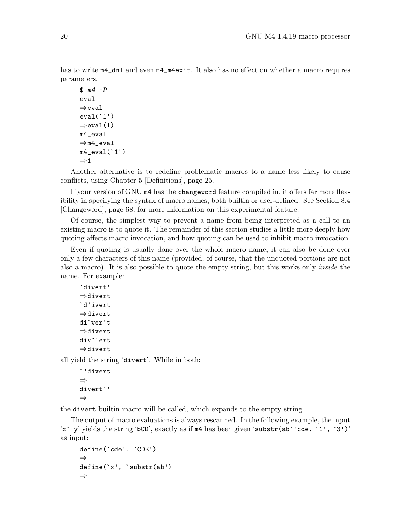has to write  $m4$ <sup>nd</sup> and even  $m4$ <sup>n</sup> $4$ exit. It also has no effect on whether a macro requires parameters.

```
$ m4 - Peval
⇒eval
eval('1')\Rightarroweval(1)
m4_eval
⇒m4_eval
m4<sup>-</sup>eval('1')
\Rightarrow 1
```
Another alternative is to redefine problematic macros to a name less likely to cause conflicts, using [Chapter 5 \[Definitions\], page 25](#page-30-0).

If your version of GNU m4 has the changeword feature compiled in, it offers far more flexibility in specifying the syntax of macro names, both builtin or user-defined. See [Section 8.4](#page-73-0) [\[Changeword\], page 68](#page-73-0), for more information on this experimental feature.

Of course, the simplest way to prevent a name from being interpreted as a call to an existing macro is to quote it. The remainder of this section studies a little more deeply how quoting affects macro invocation, and how quoting can be used to inhibit macro invocation.

Even if quoting is usually done over the whole macro name, it can also be done over only a few characters of this name (provided, of course, that the unquoted portions are not also a macro). It is also possible to quote the empty string, but this works only inside the name. For example:

```
`divert'
⇒divert
`d'ivert
⇒divert
di`ver't
⇒divert
div`'ert
⇒divert
```
all yield the string 'divert'. While in both:

```
`'divert
⇒
divert`'
⇒
```
the divert builtin macro will be called, which expands to the empty string.

The output of macro evaluations is always rescanned. In the following example, the input 'x`'y' yields the string 'bCD', exactly as if m4 has been given 'substr(ab`'cde, `1', `3')' as input:

```
define(`cde', `CDE')
⇒
define(`x', `substr(ab')
⇒
```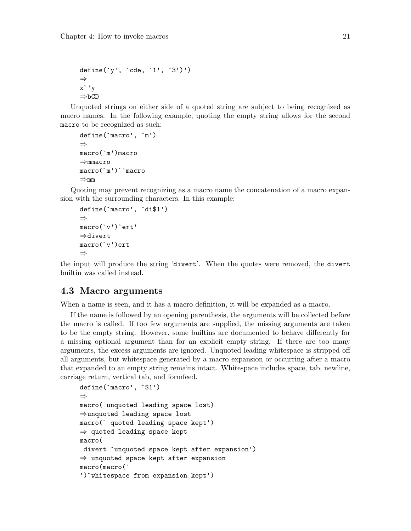```
define(`y', `cde, `1', `3')')
⇒
x`'y
⇒bCD
```
Unquoted strings on either side of a quoted string are subject to being recognized as macro names. In the following example, quoting the empty string allows for the second macro to be recognized as such:

```
define(`macro', `m')
⇒
macro(`m')macro
⇒mmacro
macro(`m')`'macro
⇒mm
```
Quoting may prevent recognizing as a macro name the concatenation of a macro expansion with the surrounding characters. In this example:

```
define(`macro', `di$1')
⇒
macro(`v')`ert'
⇒divert
macro(`v')ert
⇒
```
the input will produce the string 'divert'. When the quotes were removed, the divert builtin was called instead.

### 4.3 Macro arguments

When a name is seen, and it has a macro definition, it will be expanded as a macro.

If the name is followed by an opening parenthesis, the arguments will be collected before the macro is called. If too few arguments are supplied, the missing arguments are taken to be the empty string. However, some builtins are documented to behave differently for a missing optional argument than for an explicit empty string. If there are too many arguments, the excess arguments are ignored. Unquoted leading whitespace is stripped off all arguments, but whitespace generated by a macro expansion or occurring after a macro that expanded to an empty string remains intact. Whitespace includes space, tab, newline, carriage return, vertical tab, and formfeed.

```
define(`macro', `$1')
⇒
macro( unquoted leading space lost)
⇒unquoted leading space lost
macro(` quoted leading space kept')
⇒ quoted leading space kept
macro(
divert `unquoted space kept after expansion')
\Rightarrow unquoted space kept after expansion
macro(macro(`
')`whitespace from expansion kept')
```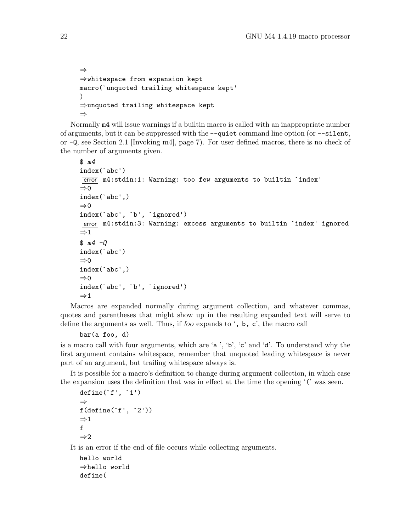```
⇒
⇒whitespace from expansion kept
macro(`unquoted trailing whitespace kept'
\lambda⇒unquoted trailing whitespace kept
⇒
```
Normally m4 will issue warnings if a builtin macro is called with an inappropriate number of arguments, but it can be suppressed with the --quiet command line option (or --silent, or -Q, see [Section 2.1 \[Invoking m4\], page 7](#page-12-1)). For user defined macros, there is no check of the number of arguments given.

```
$ m4
index(`abc')
error m4:stdin:1: Warning: too few arguments to builtin `index'
\Rightarrow 0
index(`abc',)
\Rightarrow 0
index(`abc', `b', `ignored')
error m4:stdin:3: Warning: excess arguments to builtin `index' ignored
\Rightarrow 1
$ m4 -0index(`abc')
⇒0
index(`abc',)
\Rightarrow 0
index(`abc', `b', `ignored')
⇒1
```
Macros are expanded normally during argument collection, and whatever commas, quotes and parentheses that might show up in the resulting expanded text will serve to define the arguments as well. Thus, if foo expands to ', b, c', the macro call

```
bar(a foo, d)
```
is a macro call with four arguments, which are 'a ', 'b', 'c' and 'd'. To understand why the first argument contains whitespace, remember that unquoted leading whitespace is never part of an argument, but trailing whitespace always is.

It is possible for a macro's definition to change during argument collection, in which case the expansion uses the definition that was in effect at the time the opening '(' was seen.

```
define('f', '1')⇒
f(define(`f', `2'))
\Rightarrow 1
f
⇒2
```
It is an error if the end of file occurs while collecting arguments.

```
hello world
⇒hello world
define(
```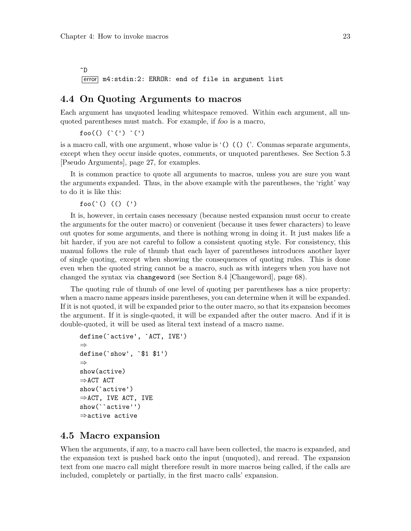<span id="page-28-0"></span>^D [error] m4:stdin:2: ERROR: end of file in argument list

### <span id="page-28-1"></span>4.4 On Quoting Arguments to macros

Each argument has unquoted leading whitespace removed. Within each argument, all unquoted parentheses must match. For example, if foo is a macro,

 $foo(()$   $(')$   $(')$   $(')$ 

is a macro call, with one argument, whose value is  $\mathcal{L}(\mathcal{L}) \mathcal{L}(\mathcal{L})$ . Commas separate arguments, except when they occur inside quotes, comments, or unquoted parentheses. See [Section 5.3](#page-32-1) [\[Pseudo Arguments\], page 27](#page-32-1), for examples.

It is common practice to quote all arguments to macros, unless you are sure you want the arguments expanded. Thus, in the above example with the parentheses, the 'right' way to do it is like this:

foo(`() (() (')

It is, however, in certain cases necessary (because nested expansion must occur to create the arguments for the outer macro) or convenient (because it uses fewer characters) to leave out quotes for some arguments, and there is nothing wrong in doing it. It just makes life a bit harder, if you are not careful to follow a consistent quoting style. For consistency, this manual follows the rule of thumb that each layer of parentheses introduces another layer of single quoting, except when showing the consequences of quoting rules. This is done even when the quoted string cannot be a macro, such as with integers when you have not changed the syntax via changeword (see [Section 8.4 \[Changeword\], page 68](#page-73-0)).

The quoting rule of thumb of one level of quoting per parentheses has a nice property: when a macro name appears inside parentheses, you can determine when it will be expanded. If it is not quoted, it will be expanded prior to the outer macro, so that its expansion becomes the argument. If it is single-quoted, it will be expanded after the outer macro. And if it is double-quoted, it will be used as literal text instead of a macro name.

```
define(`active', `ACT, IVE')
⇒
define(`show', `$1 $1')
⇒
show(active)
⇒ACT ACT
show(`active')
\Rightarrow ACT, IVE ACT, IVE
show(``active'')
⇒active active
```
# 4.5 Macro expansion

When the arguments, if any, to a macro call have been collected, the macro is expanded, and the expansion text is pushed back onto the input (unquoted), and reread. The expansion text from one macro call might therefore result in more macros being called, if the calls are included, completely or partially, in the first macro calls' expansion.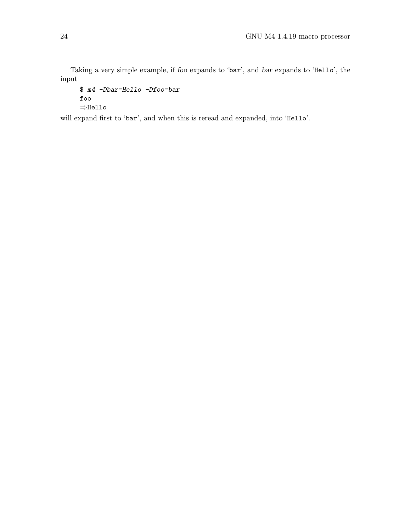Taking a very simple example, if foo expands to 'bar', and bar expands to 'Hello', the input

```
$ m4 -Dbar=Hello -Dfoo=bar
foo
⇒Hello
```
will expand first to 'bar', and when this is reread and expanded, into 'Hello'.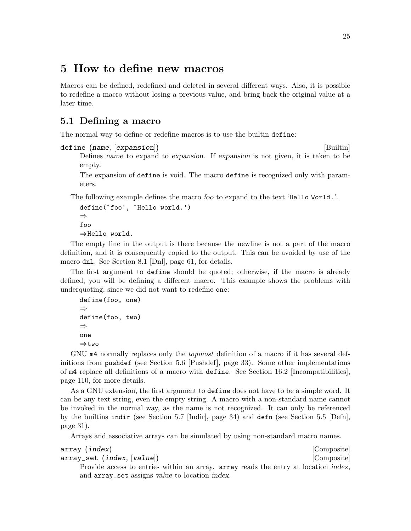# <span id="page-30-0"></span>5 How to define new macros

Macros can be defined, redefined and deleted in several different ways. Also, it is possible to redefine a macro without losing a previous value, and bring back the original value at a later time.

# 5.1 Defining a macro

The normal way to define or redefine macros is to use the builtin define:

```
define (name, [expansion]) [Builtin]
```
Defines name to expand to expansion. If expansion is not given, it is taken to be empty.

The expansion of define is void. The macro define is recognized only with parameters.

The following example defines the macro foo to expand to the text 'Hello World.'.

```
define(`foo', `Hello world.')
⇒
foo
⇒Hello world.
```
The empty line in the output is there because the newline is not a part of the macro definition, and it is consequently copied to the output. This can be avoided by use of the macro dnl. See [Section 8.1 \[Dnl\], page 61](#page-66-1), for details.

The first argument to define should be quoted; otherwise, if the macro is already defined, you will be defining a different macro. This example shows the problems with underquoting, since we did not want to redefine one:

```
define(foo, one)
⇒
define(foo, two)
⇒
one
⇒two
```
GNU m4 normally replaces only the *topmost* definition of a macro if it has several definitions from pushdef (see [Section 5.6 \[Pushdef\], page 33](#page-38-1)). Some other implementations of m4 replace all definitions of a macro with define. See [Section 16.2 \[Incompatibilities\],](#page-115-1) [page 110,](#page-115-1) for more details.

As a GNU extension, the first argument to define does not have to be a simple word. It can be any text string, even the empty string. A macro with a non-standard name cannot be invoked in the normal way, as the name is not recognized. It can only be referenced by the builtins indir (see [Section 5.7 \[Indir\], page 34\)](#page-39-1) and defn (see [Section 5.5 \[Defn\],](#page-36-0) [page 31](#page-36-0)).

Arrays and associative arrays can be simulated by using non-standard macro names.

```
array (index) [Composite]
array_set (index, [value]) [Composite]
```
Provide access to entries within an array. array reads the entry at location index, and array\_set assigns value to location index.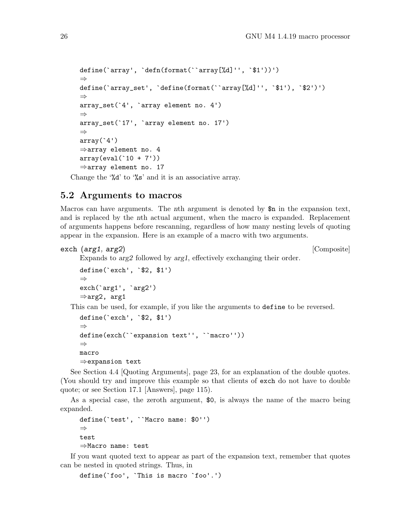```
define(`array', `defn(format(``array[%d]'', `$1'))')
⇒
define(`array_set', `define(format(``array[%d]'', `$1'), `$2')')
⇒
array_set(`4', `array element no. 4')
⇒
array_set(`17', `array element no. 17')
⇒
array('4')⇒array element no. 4
array(eval('10 + 7'))⇒array element no. 17
```
Change the '%d' to '%s' and it is an associative array.

### <span id="page-31-1"></span>5.2 Arguments to macros

Macros can have arguments. The nth argument is denoted by \$n in the expansion text, and is replaced by the nth actual argument, when the macro is expanded. Replacement of arguments happens before rescanning, regardless of how many nesting levels of quoting appear in the expansion. Here is an example of a macro with two arguments.

exch (arg1, arg2) [Composite]

```
Expands to arg2 followed by arg1, effectively exchanging their order.
define(`exch', `$2, $1')
⇒
exch(`arg1', `arg2')
⇒arg2, arg1
```
This can be used, for example, if you like the arguments to define to be reversed.

```
define(`exch', `$2, $1')
⇒
define(exch(``expansion text'', ``macro''))
⇒
macro
⇒expansion text
```
See [Section 4.4 \[Quoting Arguments\], page 23](#page-28-1), for an explanation of the double quotes. (You should try and improve this example so that clients of exch do not have to double quote; or see [Section 17.1 \[Answers\], page 115](#page-120-1)).

As a special case, the zeroth argument, \$0, is always the name of the macro being expanded.

```
define(`test', ``Macro name: $0'')
⇒
test
⇒Macro name: test
```
If you want quoted text to appear as part of the expansion text, remember that quotes can be nested in quoted strings. Thus, in

```
define(`foo', `This is macro `foo'.')
```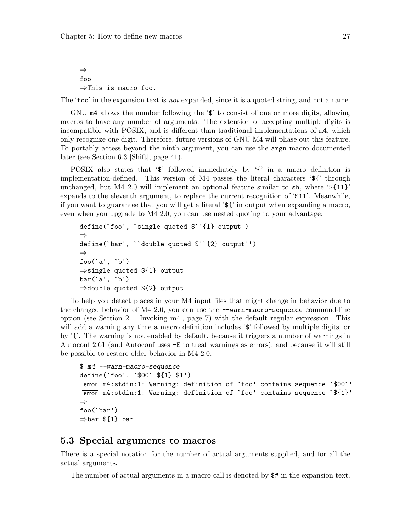<span id="page-32-0"></span>⇒ foo ⇒This is macro foo.

The 'foo' in the expansion text is *not* expanded, since it is a quoted string, and not a name.

GNU m4 allows the number following the ' $\mathcal{F}$ ' to consist of one or more digits, allowing macros to have any number of arguments. The extension of accepting multiple digits is incompatible with POSIX, and is different than traditional implementations of m4, which only recognize one digit. Therefore, future versions of GNU M4 will phase out this feature. To portably access beyond the ninth argument, you can use the argn macro documented later (see [Section 6.3 \[Shift\], page 41\)](#page-46-0).

POSIX also states that ' $\mathcal{F}'$  followed immediately by '{' in a macro definition is implementation-defined. This version of M4 passes the literal characters '\${' through unchanged, but M4 2.0 will implement an optional feature similar to  $\sin$ , where ' $\{\{11\}$ ' expands to the eleventh argument, to replace the current recognition of '\$11'. Meanwhile, if you want to guarantee that you will get a literal '\${' in output when expanding a macro, even when you upgrade to M4 2.0, you can use nested quoting to your advantage:

```
define(`foo', `single quoted $`'{1} output')
⇒
define(`bar', ``double quoted $'`{2} output'')
⇒
foo(`a', `b')
⇒single quoted ${1} output
bar(`a', `b')
⇒double quoted ${2} output
```
To help you detect places in your M4 input files that might change in behavior due to the changed behavior of  $M4$  2.0, you can use the  $-\text{warm-macco-sequence command-line}$ option (see [Section 2.1 \[Invoking m4\], page 7](#page-12-1)) with the default regular expression. This will add a warning any time a macro definition includes ' $\hat{v}$ ' followed by multiple digits, or by '{'. The warning is not enabled by default, because it triggers a number of warnings in Autoconf 2.61 (and Autoconf uses -E to treat warnings as errors), and because it will still be possible to restore older behavior in M4 2.0.

```
$ m4 --warn-macro-sequence
define(`foo', `$001 ${1} $1')
error m4:stdin:1: Warning: definition of `foo' contains sequence `$001'
[error] m4:stdin:1: Warning: definition of `foo' contains sequence `${1}'
⇒
foo(`bar')
⇒bar ${1} bar
```
#### <span id="page-32-1"></span>5.3 Special arguments to macros

There is a special notation for the number of actual arguments supplied, and for all the actual arguments.

The number of actual arguments in a macro call is denoted by \$# in the expansion text.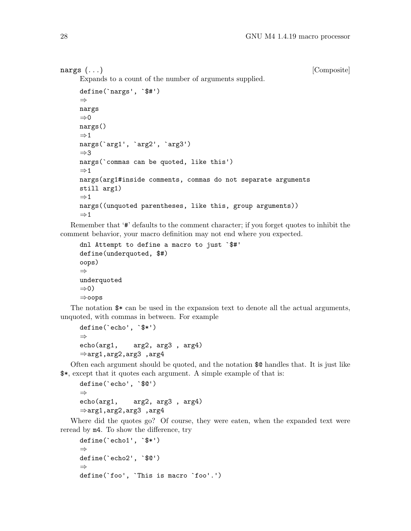nargs  $(\ldots)$  [Composite]

Expands to a count of the number of arguments supplied.

```
define(`nargs', `$#')
⇒
nargs
⇒0
nargs()
\Rightarrow 1
nargs(`arg1', `arg2', `arg3')
⇒3
nargs(`commas can be quoted, like this')
\Rightarrow 1
nargs(arg1#inside comments, commas do not separate arguments
still arg1)
\Rightarrow 1
nargs((unquoted parentheses, like this, group arguments))
\Rightarrow 1
```
Remember that '#' defaults to the comment character; if you forget quotes to inhibit the comment behavior, your macro definition may not end where you expected.

```
dnl Attempt to define a macro to just `$#'
define(underquoted, $#)
oops)
⇒
underquoted
⇒0)
⇒oops
```
The notation \$\* can be used in the expansion text to denote all the actual arguments, unquoted, with commas in between. For example

```
define(`echo', `$*')
⇒
echo(arg1, arg2, arg3 , arg4)
⇒arg1,arg2,arg3 ,arg4
```
Often each argument should be quoted, and the notation \$@ handles that. It is just like \$\*, except that it quotes each argument. A simple example of that is:

```
define(`echo', `$@')
⇒
echo(arg1, arg2, arg3 , arg4)
⇒arg1,arg2,arg3 ,arg4
```
Where did the quotes go? Of course, they were eaten, when the expanded text were reread by m4. To show the difference, try

```
define(`echo1', `$*')
⇒
define(`echo2', `$@')
⇒
define(`foo', `This is macro `foo'.')
```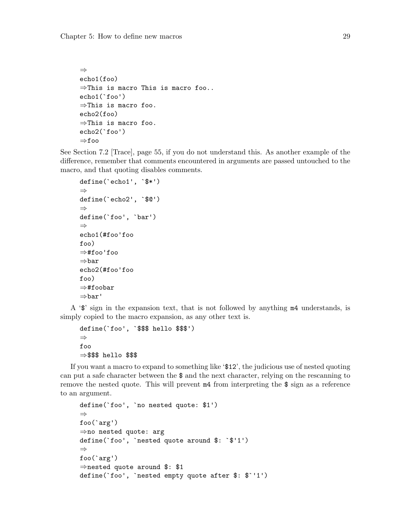```
⇒
echo1(foo)
⇒This is macro This is macro foo..
echo1(`foo')
⇒This is macro foo.
echo2(foo)
⇒This is macro foo.
echo2(`foo')
⇒foo
```
See [Section 7.2 \[Trace\], page 55,](#page-60-1) if you do not understand this. As another example of the difference, remember that comments encountered in arguments are passed untouched to the macro, and that quoting disables comments.

```
define(`echo1', `$*')
⇒
define(`echo2', `$@')
⇒
define(`foo', `bar')
⇒
echo1(#foo'foo
foo)
⇒#foo'foo
⇒bar
echo2(#foo'foo
foo)
⇒#foobar
⇒bar'
```
A '\$' sign in the expansion text, that is not followed by anything m4 understands, is simply copied to the macro expansion, as any other text is.

```
define(`foo', `$$$ hello $$$')
⇒
foo
⇒$$$ hello $$$
```
If you want a macro to expand to something like '\$12', the judicious use of nested quoting can put a safe character between the \$ and the next character, relying on the rescanning to remove the nested quote. This will prevent m4 from interpreting the \$ sign as a reference to an argument.

```
define(`foo', `no nested quote: $1')
⇒
foo(`arg')
⇒no nested quote: arg
define(`foo', `nested quote around $: `$'1')
⇒
foo(`arg')
⇒nested quote around $: $1
define(`foo', `nested empty quote after $: $`'1')
```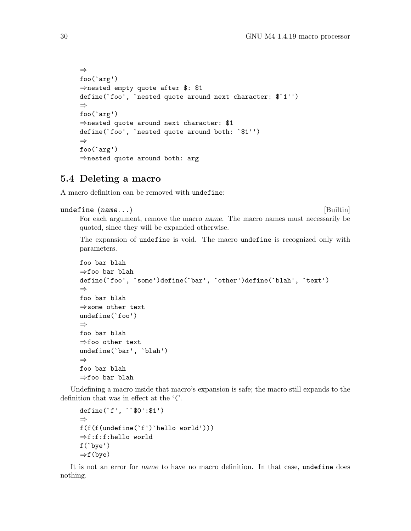```
⇒
foo(`arg')
⇒nested empty quote after $: $1
define(`foo', `nested quote around next character: $`1'')
⇒
foo(`arg')
⇒nested quote around next character: $1
define(`foo', `nested quote around both: `$1'')
⇒
foo(`arg')
⇒nested quote around both: arg
```
### 5.4 Deleting a macro

A macro definition can be removed with undefine:

```
undefine (name...) [Builtin]
```
For each argument, remove the macro name. The macro names must necessarily be quoted, since they will be expanded otherwise.

The expansion of undefine is void. The macro undefine is recognized only with parameters.

```
foo bar blah
⇒foo bar blah
define(`foo', `some')define(`bar', `other')define(`blah', `text')
⇒
foo bar blah
⇒some other text
undefine(`foo')
⇒
foo bar blah
⇒foo other text
undefine(`bar', `blah')
⇒
foo bar blah
⇒foo bar blah
```
Undefining a macro inside that macro's expansion is safe; the macro still expands to the definition that was in effect at the '('.

```
define(`f', ``$0':$1')
⇒
f(f(f(undefine(`f')`hello world')))
⇒f:f:f:hello world
f(`bye')
⇒f(bye)
```
It is not an error for name to have no macro definition. In that case, undefine does nothing.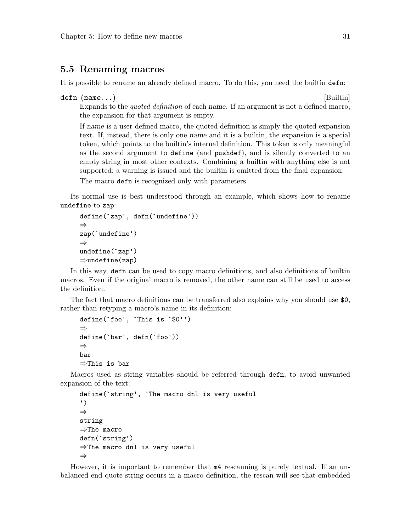### <span id="page-36-0"></span>5.5 Renaming macros

It is possible to rename an already defined macro. To do this, you need the builtin defn:

```
defn (name...) [Builtin]
```
Expands to the quoted definition of each name. If an argument is not a defined macro, the expansion for that argument is empty.

If name is a user-defined macro, the quoted definition is simply the quoted expansion text. If, instead, there is only one name and it is a builtin, the expansion is a special token, which points to the builtin's internal definition. This token is only meaningful as the second argument to define (and pushdef), and is silently converted to an empty string in most other contexts. Combining a builtin with anything else is not supported; a warning is issued and the builtin is omitted from the final expansion.

The macro defn is recognized only with parameters.

Its normal use is best understood through an example, which shows how to rename undefine to zap:

```
define(`zap', defn(`undefine'))
⇒
zap(`undefine')
⇒
undefine(`zap')
⇒undefine(zap)
```
In this way, defn can be used to copy macro definitions, and also definitions of builtin macros. Even if the original macro is removed, the other name can still be used to access the definition.

The fact that macro definitions can be transferred also explains why you should use \$0, rather than retyping a macro's name in its definition:

```
define(`foo', `This is `$0'')
⇒
define(`bar', defn(`foo'))
⇒
bar
⇒This is bar
```
Macros used as string variables should be referred through defn, to avoid unwanted expansion of the text:

```
define(`string', `The macro dnl is very useful
')
⇒
string
⇒The macro
defn(`string')
⇒The macro dnl is very useful
⇒
```
However, it is important to remember that m4 rescanning is purely textual. If an unbalanced end-quote string occurs in a macro definition, the rescan will see that embedded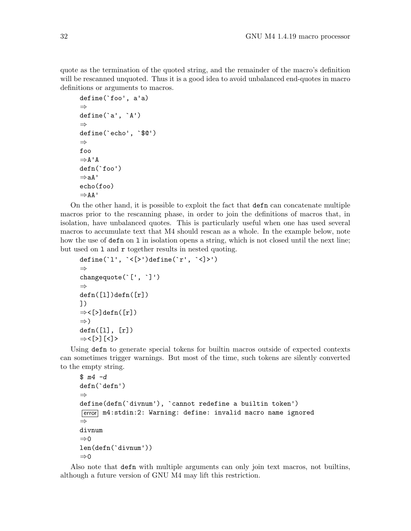quote as the termination of the quoted string, and the remainder of the macro's definition will be rescanned unquoted. Thus it is a good idea to avoid unbalanced end-quotes in macro definitions or arguments to macros.

```
define(`foo', a'a)
⇒
define('a', 'A')⇒
define(`echo', `$@')
⇒
foo
⇒A'A
defn(`foo')
⇒aA'
echo(foo)
⇒AA'
```
On the other hand, it is possible to exploit the fact that defn can concatenate multiple macros prior to the rescanning phase, in order to join the definitions of macros that, in isolation, have unbalanced quotes. This is particularly useful when one has used several macros to accumulate text that M4 should rescan as a whole. In the example below, note how the use of defn on l in isolation opens a string, which is not closed until the next line; but used on 1 and r together results in nested quoting.

```
define(`l', `<[>')define(`r', `<]>')
⇒
changequote(`[', `]')
⇒
defn([1])defn([r])])
⇒<[>]defn([r])
⇒)
defn([l], [r])
⇒<[>][<]>
```
Using defn to generate special tokens for builtin macros outside of expected contexts can sometimes trigger warnings. But most of the time, such tokens are silently converted to the empty string.

```
$ m4 -ddefn(`defn')
⇒
define(defn(`divnum'), `cannot redefine a builtin token')
error m4:stdin:2: Warning: define: invalid macro name ignored
⇒
divnum
\Rightarrow 0
len(defn(`divnum'))
\Rightarrow 0
```
Also note that defn with multiple arguments can only join text macros, not builtins, although a future version of GNU M4 may lift this restriction.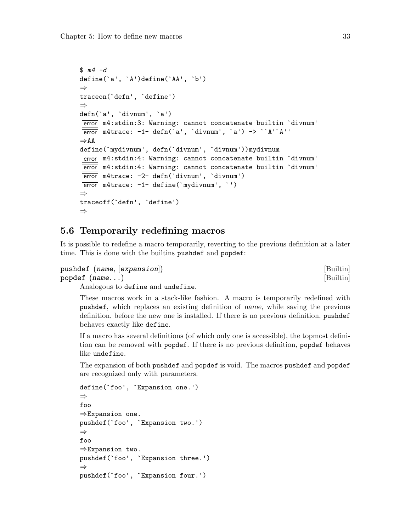```
$ m4 -ddefine(`a', `A')define(`AA', `b')
⇒
traceon(`defn', `define')
⇒
defn(`a', `divnum', `a')
[error] m4:stdin:3: Warning: cannot concatenate builtin `divnum'
\overline{\text{error}} m4trace: -1- defn('a', 'divnum', 'a') -> ''A''A''
⇒AA
define(`mydivnum', defn(`divnum', `divnum'))mydivnum
error m4:stdin:4: Warning: cannot concatenate builtin `divnum'
[error] m4:stdin:4: Warning: cannot concatenate builtin `divnum'
error m4trace: -2- defn(`divnum', `divnum')
error m4trace: -1- define(`mydivnum', `')
⇒
traceoff(`defn', `define')
⇒
```
### 5.6 Temporarily redefining macros

It is possible to redefine a macro temporarily, reverting to the previous definition at a later time. This is done with the builtins pushdef and popdef:

```
pushdef (name, [expansion]) [Builtin]
popdef (name...) [Builtin]
```
Analogous to define and undefine.

These macros work in a stack-like fashion. A macro is temporarily redefined with pushdef, which replaces an existing definition of name, while saving the previous definition, before the new one is installed. If there is no previous definition, pushdef behaves exactly like define.

If a macro has several definitions (of which only one is accessible), the topmost definition can be removed with popdef. If there is no previous definition, popdef behaves like undefine.

The expansion of both pushdef and popdef is void. The macros pushdef and popdef are recognized only with parameters.

```
define(`foo', `Expansion one.')
⇒
foo
⇒Expansion one.
pushdef(`foo', `Expansion two.')
⇒
foo
⇒Expansion two.
pushdef(`foo', `Expansion three.')
⇒
pushdef(`foo', `Expansion four.')
```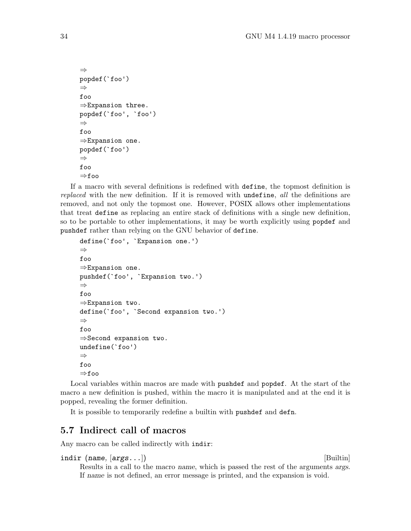```
⇒
popdef(`foo')
⇒
foo
⇒Expansion three.
popdef(`foo', `foo')
⇒
foo
⇒Expansion one.
popdef(`foo')
⇒
foo
⇒foo
```
If a macro with several definitions is redefined with define, the topmost definition is replaced with the new definition. If it is removed with undefine, all the definitions are removed, and not only the topmost one. However, POSIX allows other implementations that treat define as replacing an entire stack of definitions with a single new definition, so to be portable to other implementations, it may be worth explicitly using popdef and pushdef rather than relying on the GNU behavior of define.

```
define(`foo', `Expansion one.')
⇒
foo
⇒Expansion one.
pushdef(`foo', `Expansion two.')
⇒
foo
⇒Expansion two.
define(`foo', `Second expansion two.')
⇒
foo
⇒Second expansion two.
undefine(`foo')
⇒
foo
⇒foo
```
Local variables within macros are made with pushdef and popdef. At the start of the macro a new definition is pushed, within the macro it is manipulated and at the end it is popped, revealing the former definition.

It is possible to temporarily redefine a builtin with pushdef and defn.

# 5.7 Indirect call of macros

Any macro can be called indirectly with indir:

```
indir (name, \lceil args... \rceil) [Builtin]
```
Results in a call to the macro name, which is passed the rest of the arguments args. If name is not defined, an error message is printed, and the expansion is void.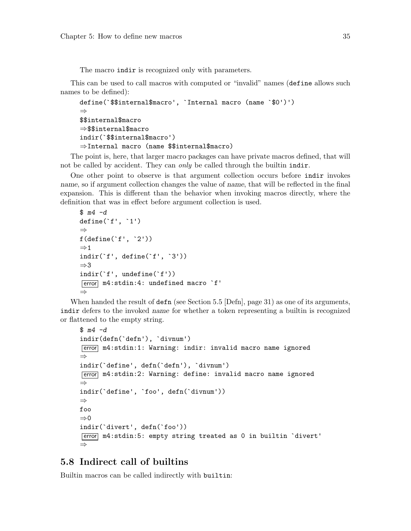The macro indir is recognized only with parameters.

This can be used to call macros with computed or "invalid" names (define allows such names to be defined):

```
define(`$$internal$macro', `Internal macro (name `$0')')
⇒
$$internal$macro
⇒$$internal$macro
indir(`$$internal$macro')
⇒Internal macro (name $$internal$macro)
```
The point is, here, that larger macro packages can have private macros defined, that will not be called by accident. They can only be called through the builtin indir.

One other point to observe is that argument collection occurs before indir invokes name, so if argument collection changes the value of name, that will be reflected in the final expansion. This is different than the behavior when invoking macros directly, where the definition that was in effect before argument collection is used.

```
$ m4 -ddefine(`f', `1')
⇒
f(define(`f', `2'))
\Rightarrow 1
indir(`f', define(`f', `3'))
⇒3
indir(`f', undefine(`f'))
\overline{\text{error}} m4:stdin:4: undefined macro `f'
⇒
```
When handed the result of defn (see [Section 5.5 \[Defn\], page 31](#page-36-0)) as one of its arguments, indir defers to the invoked name for whether a token representing a builtin is recognized or flattened to the empty string.

```
$ m4 -dindir(defn(`defn'), `divnum')
[error] m4:stdin:1: Warning: indir: invalid macro name ignored
⇒
indir(`define', defn(`defn'), `divnum')
error m4:stdin:2: Warning: define: invalid macro name ignored
⇒
indir(`define', `foo', defn(`divnum'))
⇒
foo
\Rightarrow 0
indir(`divert', defn(`foo'))
error m4:stdin:5: empty string treated as 0 in builtin `divert'
⇒
```
# 5.8 Indirect call of builtins

Builtin macros can be called indirectly with builtin: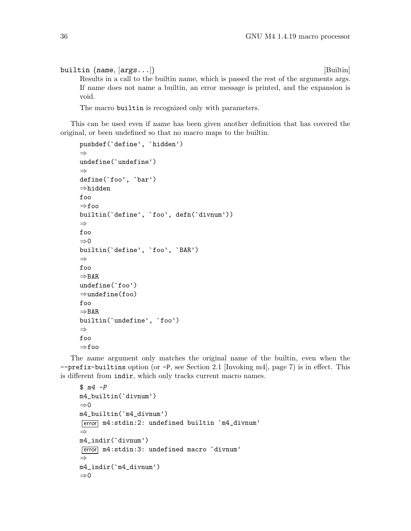builtin (name,  $\{args\ldots\}$ ) [Builtin]

Results in a call to the builtin name, which is passed the rest of the arguments args. If name does not name a builtin, an error message is printed, and the expansion is void.

The macro builtin is recognized only with parameters.

This can be used even if name has been given another definition that has covered the original, or been undefined so that no macro maps to the builtin.

```
pushdef(`define', `hidden')
⇒
undefine(`undefine')
⇒
define(`foo', `bar')
⇒hidden
foo
⇒foo
builtin(`define', `foo', defn(`divnum'))
⇒
foo
\Rightarrow 0
builtin(`define', `foo', `BAR')
⇒
foo
⇒BAR
undefine(`foo')
⇒undefine(foo)
foo
⇒BAR
builtin(`undefine', `foo')
⇒
foo
⇒foo
```
The name argument only matches the original name of the builtin, even when the --prefix-builtins option (or -P, see [Section 2.1 \[Invoking m4\], page 7](#page-12-0)) is in effect. This is different from indir, which only tracks current macro names.

```
$ m4 - Pm4_builtin(`divnum')
⇒0
m4_builtin(`m4_divnum')
error m4:stdin:2: undefined builtin `m4_divnum'
⇒
m4_indir(`divnum')
error m4:stdin:3: undefined macro `divnum'
⇒
m4_indir(`m4_divnum')
⇒0
```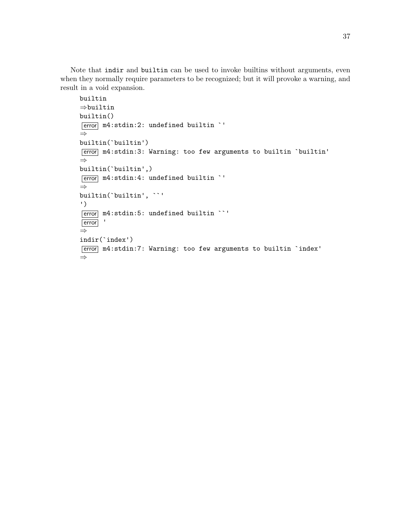Note that indir and builtin can be used to invoke builtins without arguments, even when they normally require parameters to be recognized; but it will provoke a warning, and result in a void expansion.

```
builtin
⇒builtin
builtin()
\boxed{\text{error}} m4:stdin:2: undefined builtin `'
⇒
builtin(`builtin')
error m4:stdin:3: Warning: too few arguments to builtin `builtin'
⇒
builtin(`builtin',)
error m4:stdin:4: undefined builtin `'
⇒
builtin(`builtin', ``'
')
error m4:stdin:5: undefined builtin ``'
error '
⇒
indir(`index')
[error] m4:stdin:7: Warning: too few arguments to builtin `index'
⇒
```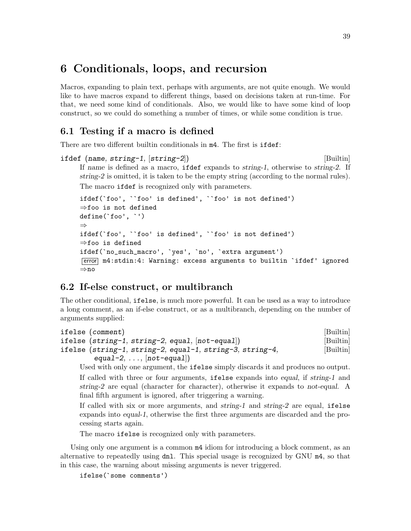# 6 Conditionals, loops, and recursion

Macros, expanding to plain text, perhaps with arguments, are not quite enough. We would like to have macros expand to different things, based on decisions taken at run-time. For that, we need some kind of conditionals. Also, we would like to have some kind of loop construct, so we could do something a number of times, or while some condition is true.

### 6.1 Testing if a macro is defined

There are two different builtin conditionals in m4. The first is ifdef:

```
ifdef (name, string-1, [string-2]) [Builtin]
     If name is defined as a macro, ifdef expands to string-1, otherwise to string-2. If
     string-2 is omitted, it is taken to be the empty string (according to the normal rules).
     The macro ifdef is recognized only with parameters.
```

```
ifdef(`foo', ``foo' is defined', ``foo' is not defined')
⇒foo is not defined
define(`foo', `')
⇒
ifdef(`foo', ``foo' is defined', ``foo' is not defined')
⇒foo is defined
ifdef(`no_such_macro', `yes', `no', `extra argument')
error m4:stdin:4: Warning: excess arguments to builtin `ifdef' ignored
⇒no
```
# 6.2 If-else construct, or multibranch

The other conditional, ifelse, is much more powerful. It can be used as a way to introduce a long comment, as an if-else construct, or as a multibranch, depending on the number of arguments supplied:

```
ifelse (comment) [Builtin]
ifelse (string-1, string-2, equal, [not-equal]) [Builtin]
ifelse (string-1, string-2, equal-1, string-3, string-4, [Builtin]
      equal-2, \dots, [not-equal]
```
Used with only one argument, the ifelse simply discards it and produces no output. If called with three or four arguments, ifelse expands into equal, if string-1 and string-2 are equal (character for character), otherwise it expands to not-equal. A final fifth argument is ignored, after triggering a warning.

If called with six or more arguments, and string-1 and string-2 are equal, ifelse expands into equal-1, otherwise the first three arguments are discarded and the processing starts again.

The macro ifelse is recognized only with parameters.

Using only one argument is a common  $m4$  idiom for introducing a block comment, as an alternative to repeatedly using dnl. This special usage is recognized by GNU m4, so that in this case, the warning about missing arguments is never triggered.

```
ifelse(`some comments')
```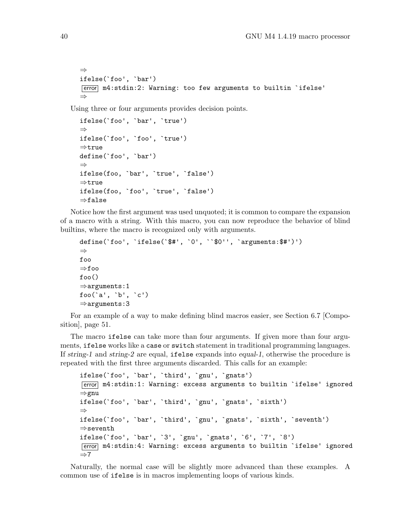```
⇒
ifelse(`foo', `bar')
[error] m4:stdin:2: Warning: too few arguments to builtin `ifelse'
⇒
```
Using three or four arguments provides decision points.

```
ifelse(`foo', `bar', `true')
⇒
ifelse(`foo', `foo', `true')
⇒true
define(`foo', `bar')
⇒
ifelse(foo, `bar', `true', `false')
⇒true
ifelse(foo, `foo', `true', `false')
⇒false
```
Notice how the first argument was used unquoted; it is common to compare the expansion of a macro with a string. With this macro, you can now reproduce the behavior of blind builtins, where the macro is recognized only with arguments.

```
define(`foo', `ifelse(`$#', `0', ``$0'', `arguments:$#')')
⇒
foo
⇒foo
foo()
⇒arguments:1
foo(`a', `b', `c')
⇒arguments:3
```
For an example of a way to make defining blind macros easier, see [Section 6.7 \[Compo](#page-56-0)[sition\], page 51](#page-56-0).

The macro ifelse can take more than four arguments. If given more than four arguments, ifelse works like a case or switch statement in traditional programming languages. If string-1 and string-2 are equal, ifelse expands into equal-1, otherwise the procedure is repeated with the first three arguments discarded. This calls for an example:

```
ifelse(`foo', `bar', `third', `gnu', `gnats')
error m4:stdin:1: Warning: excess arguments to builtin `ifelse' ignored
⇒gnu
ifelse(`foo', `bar', `third', `gnu', `gnats', `sixth')
⇒
ifelse(`foo', `bar', `third', `gnu', `gnats', `sixth', `seventh')
⇒seventh
ifelse(`foo', `bar', `3', `gnu', `gnats', `6', `7', `8')
error m4:stdin:4: Warning: excess arguments to builtin `ifelse' ignored
\Rightarrow7
```
Naturally, the normal case will be slightly more advanced than these examples. A common use of ifelse is in macros implementing loops of various kinds.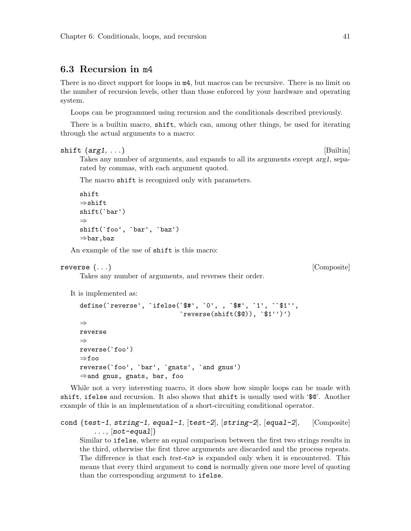### <span id="page-46-0"></span>6.3 Recursion in m4

There is no direct support for loops in m4, but macros can be recursive. There is no limit on the number of recursion levels, other than those enforced by your hardware and operating system.

Loops can be programmed using recursion and the conditionals described previously.

There is a builtin macro, shift, which can, among other things, be used for iterating through the actual arguments to a macro:

```
\text{shift } (arg1, \ldots) [Builtin]
```
Takes any number of arguments, and expands to all its arguments except arg1, separated by commas, with each argument quoted.

The macro shift is recognized only with parameters.

Takes any number of arguments, and reverses their order.

```
shift
⇒shift
shift(`bar')
⇒
shift(`foo', `bar', `baz')
⇒bar,baz
```
An example of the use of shift is this macro:

#### reverse  $(\ldots)$  [Composite]

It is implemented as:

```
define(`reverse', `ifelse(`$#', `0', , `$#', `1', ``$1'',
                          ireverse(shift($0)), "$1'')')⇒
reverse
⇒
reverse(`foo')
⇒foo
reverse(`foo', `bar', `gnats', `and gnus')
⇒and gnus, gnats, bar, foo
```
While not a very interesting macro, it does show how simple loops can be made with shift, ifelse and recursion. It also shows that shift is usually used with '\$@'. Another example of this is an implementation of a short-circuiting conditional operator.

```
cond (test-1, string-1, equal-1, [test-2], [\text{string-2}], [\text{equal-2}], [\text{Composite}]\ldots, [not-equal])
```
Similar to ifelse, where an equal comparison between the first two strings results in the third, otherwise the first three arguments are discarded and the process repeats. The difference is that each test- $\langle n \rangle$  is expanded only when it is encountered. This means that every third argument to cond is normally given one more level of quoting than the corresponding argument to ifelse.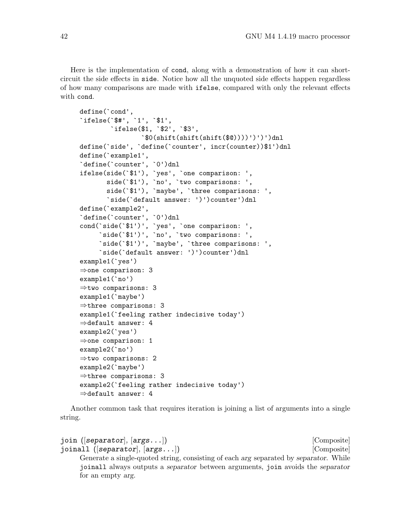Here is the implementation of cond, along with a demonstration of how it can shortcircuit the side effects in side. Notice how all the unquoted side effects happen regardless of how many comparisons are made with ifelse, compared with only the relevant effects with cond.

```
define(`cond',
`ifelse(`$#', `1', `$1',
        `ifelse($1, `$2', `$3',
                \hat{\mathcal{S}}(shift(shift(\text{shift}(\$0))))')')')anl
define(`side', `define(`counter', incr(counter))$1')dnl
define(`example1',
`define(`counter', `0')dnl
ifelse(side(`$1'), `yes', `one comparison: ',
       side(`$1'), `no', `two comparisons: ',
       side(`$1'), `maybe', `three comparisons: ',
       `side(`default answer: ')')counter')dnl
define(`example2',
`define(`counter', `0')dnl
cond(`side(`$1')', `yes', `one comparison: ',
     \texttt{`side('$1')', `no', `two comparisons: ',}`side(`$1')', `maybe', `three comparisons: ',
     `side(`default answer: ')')counter')dnl
example1(`yes')
⇒one comparison: 3
example1(`no')
⇒two comparisons: 3
example1(`maybe')
⇒three comparisons: 3
example1(`feeling rather indecisive today')
⇒default answer: 4
example2(`yes')
⇒one comparison: 1
example2(`no')
⇒two comparisons: 2
example2(`maybe')
⇒three comparisons: 3
example2(`feeling rather indecisive today')
⇒default answer: 4
```
Another common task that requires iteration is joining a list of arguments into a single string.

```
join ([separator], [args...]) [Composite]
joinall ([separator], [args...]) [Composite]
    Generate a single-quoted string, consisting of each arg separated by separator. While
    joinall always outputs a separator between arguments, join avoids the separator
    for an empty arg.
```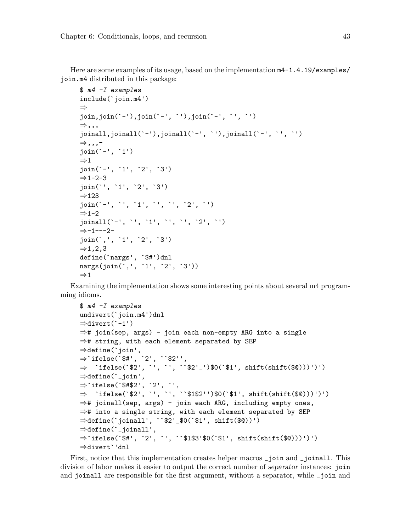Here are some examples of its usage, based on the implementation m4-1.4.19/examples/ join.m4 distributed in this package:

```
$ m4 -I examples
include(`join.m4')
⇒
join,join(`-'),join(`-', `'),join(`-', `', `')
⇒,,,
joinall,joinall(`-'),joinall(`-', `'),joinall(`-', `', `')
⇒,,,-
join(`-', `1')
\Rightarrow 1
join(`-', `1', `2', `3')
⇒1-2-3
join(`', `1', `2', `3')
⇒123
join(`-', `', `1', `', `', `2', `')
\Rightarrow 1−2
joinall(`-', `', `1', `', `', `2', `')
⇒-1---2-
join(`,', `1', `2', `3')
\Rightarrow1,2,3
define(`nargs', `$#')dnl
nargs(join(`,', `1', `2', `3'))
\Rightarrow 1
```
Examining the implementation shows some interesting points about several m4 programming idioms.

```
$ m4 -I examples
undivert(`join.m4')dnl
⇒divert(`-1')
⇒# join(sep, args) - join each non-empty ARG into a single
⇒# string, with each element separated by SEP
⇒define(`join',
⇒`ifelse(`$#', `2', ``$2'',
⇒ `ifelse(`$2', `', `', ``$2'_')$0(`$1', shift(shift($@)))')')
\Rightarrowdefine(`_join',
⇒`ifelse(`$#$2', `2', `',
\Rightarrow `ifelse(`$2', `', `', ``$1$2'')$0(`$1', shift(shift($@)))')')
⇒# joinall(sep, args) - join each ARG, including empty ones,
⇒# into a single string, with each element separated by SEP
⇒define(`joinall', ``$2'_$0(`$1', shift($@))')
⇒define(`_joinall',
⇒`ifelse(`$#', `2', `', ``$1$3'$0(`$1', shift(shift($@)))')')
⇒divert`'dnl
```
First, notice that this implementation creates helper macros \_join and \_joinall. This division of labor makes it easier to output the correct number of separator instances: join and joinall are responsible for the first argument, without a separator, while \_join and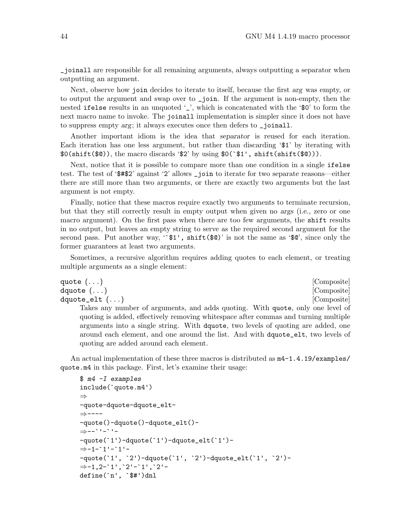\_joinall are responsible for all remaining arguments, always outputting a separator when outputting an argument.

Next, observe how join decides to iterate to itself, because the first arg was empty, or to output the argument and swap over to \_join. If the argument is non-empty, then the nested ifelse results in an unquoted '\_', which is concatenated with the '\$0' to form the next macro name to invoke. The joinall implementation is simpler since it does not have to suppress empty arg; it always executes once then defers to \_joinall.

Another important idiom is the idea that separator is reused for each iteration. Each iteration has one less argument, but rather than discarding '\$1' by iterating with \$0(shift(\$@)), the macro discards '\$2' by using \$0(`\$1', shift(shift(\$@))).

Next, notice that it is possible to compare more than one condition in a single ifelse test. The test of '\$#\$2' against '2' allows \_join to iterate for two separate reasons—either there are still more than two arguments, or there are exactly two arguments but the last argument is not empty.

Finally, notice that these macros require exactly two arguments to terminate recursion, but that they still correctly result in empty output when given no args (i.e., zero or one macro argument). On the first pass when there are too few arguments, the shift results in no output, but leaves an empty string to serve as the required second argument for the second pass. Put another way,  $\mathscr{S}1'$ , shift $(\mathscr{G}0)'$  is not the same as  $\mathscr{G}$ , since only the former guarantees at least two arguments.

Sometimes, a recursive algorithm requires adding quotes to each element, or treating multiple arguments as a single element:

```
quote (\ldots) [Composite]
dquote (\ldots) [Composite]
dquote_elt (\ldots) [Composite]
    Takes any number of arguments, and adds quoting. With quote, only one level of
    quoting is added, effectively removing whitespace after commas and turning multiple
    arguments into a single string. With dquote, two levels of quoting are added, one
    around each element, and one around the list. And with dquote_elt, two levels of
```
An actual implementation of these three macros is distributed as  $m4-1.4.19$ /examples/ quote.m4 in this package. First, let's examine their usage:

```
$ m4 -I examples
include(`quote.m4')
⇒
-quote-dquote-dquote_elt-
⇒----
-quote()-dquote()-dquote_elt()-
⇒--`'-`'-
-quote(`1')-dquote(`1')-dquote_elt(`1')-
⇒-1-`1'-`1'-
-quote(`1', `2')-dquote(`1', `2')-dquote_elt(`1', `2')-
⇒-1,2-`1',`2'-`1',`2'-
define(`n', `$#')dnl
```
quoting are added around each element.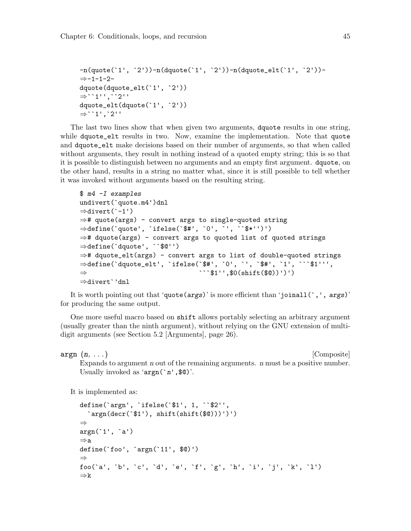```
-n(quote(`1', `2'))-n(dquote(`1', `2'))-n(dquote_elt(`1', `2'))-
⇒-1-1-2-
dquote(dquote_elt(`1', `2'))
⇒``1'',``2''
dquote_elt(dquote(`1', `2'))
⇒``1',`2''
```
The last two lines show that when given two arguments, dquote results in one string, while dquote\_elt results in two. Now, examine the implementation. Note that quote and dquote\_elt make decisions based on their number of arguments, so that when called without arguments, they result in nothing instead of a quoted empty string; this is so that it is possible to distinguish between no arguments and an empty first argument. dquote, on the other hand, results in a string no matter what, since it is still possible to tell whether it was invoked without arguments based on the resulting string.

```
$ m4 -I examples
undivert(`quote.m4')dnl
⇒divert(`-1')
\Rightarrow# quote(args) - convert args to single-quoted string
⇒define(`quote', `ifelse(`$#', `0', `', ``$*'')')
⇒# dquote(args) - convert args to quoted list of quoted strings
⇒define(`dquote', ``$@'')
⇒# dquote_elt(args) - convert args to list of double-quoted strings
⇒define(`dquote_elt', `ifelse(`$#', `0', `', `$#', `1', ```$1''',
\Rightarrow \cdots$1'',$0(shift($@))')')
⇒divert`'dnl
```
It is worth pointing out that 'quote(args)' is more efficient than 'joinall(',', args)' for producing the same output.

One more useful macro based on shift allows portably selecting an arbitrary argument (usually greater than the ninth argument), without relying on the GNU extension of multidigit arguments (see [Section 5.2 \[Arguments\], page 26\)](#page-31-0).

 $\arg n \ (n, \ldots)$  [Composite]

Expands to argument n out of the remaining arguments. n must be a positive number. Usually invoked as ' $argn('n', $0)$ '.

It is implemented as:

```
define(`argn', `ifelse(`$1', 1, ``$2'',
  \text{argn}(\text{decr}(\text{I}), \text{shift}(\text{shift}(\text{I}))')')⇒
argn(`1', `a')
⇒a
define(`foo', `argn(`11', $@)')
⇒
foo(`a', `b', `c', `d', `e', `f', `g', `h', `i', `j', `k', `l')
⇒k
```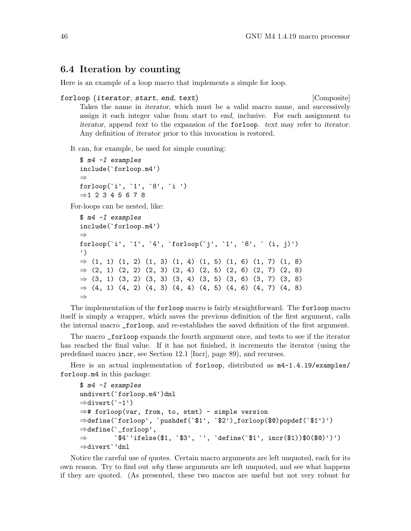### 6.4 Iteration by counting

Here is an example of a loop macro that implements a simple for loop.

```
forloop (iterator, start, end, text) [Composite]
```
Takes the name in iterator, which must be a valid macro name, and successively assign it each integer value from start to end, inclusive. For each assignment to iterator, append text to the expansion of the forloop. text may refer to iterator. Any definition of iterator prior to this invocation is restored.

It can, for example, be used for simple counting:

```
$ m4 -I examples
include(`forloop.m4')
⇒
forloop(`i', `1', `8', `i ')
⇒1 2 3 4 5 6 7 8
```
For-loops can be nested, like:

```
$ m4 -I examples
include(`forloop.m4')
⇒
forloop('i', '1', '4', 'forloop('j', '1', '8', ' (i, j)')')
⇒ (1, 1) (1, 2) (1, 3) (1, 4) (1, 5) (1, 6) (1, 7) (1, 8)⇒ (2, 1) (2, 2) (2, 3) (2, 4) (2, 5) (2, 6) (2, 7) (2, 8)⇒ (3, 1) (3, 2) (3, 3) (3, 4) (3, 5) (3, 6) (3, 7) (3, 8)\Rightarrow (4, 1) (4, 2) (4, 3) (4, 4) (4, 5) (4, 6) (4, 7) (4, 8)
⇒
```
The implementation of the forloop macro is fairly straightforward. The forloop macro itself is simply a wrapper, which saves the previous definition of the first argument, calls the internal macro \_forloop, and re-establishes the saved definition of the first argument.

The macro \_forloop expands the fourth argument once, and tests to see if the iterator has reached the final value. If it has not finished, it increments the iterator (using the predefined macro incr, see [Section 12.1 \[Incr\], page 89](#page-94-0)), and recurses.

Here is an actual implementation of forloop, distributed as  $m4-1.4.19$ /examples/ forloop.m4 in this package:

```
$ m4 -I examples
undivert(`forloop.m4')dnl
⇒divert(`-1')
⇒# forloop(var, from, to, stmt) - simple version
⇒define(`forloop', `pushdef(`$1', `$2')_forloop($@)popdef(`$1')')
⇒define(`_forloop',
\Rightarrow \hat{F}_4'ifelse($1, `$3', `', `define(`$1', incr($1))$0($@)')')
⇒divert`'dnl
```
Notice the careful use of quotes. Certain macro arguments are left unquoted, each for its own reason. Try to find out  $why$  these arguments are left unquoted, and see what happens if they are quoted. (As presented, these two macros are useful but not very robust for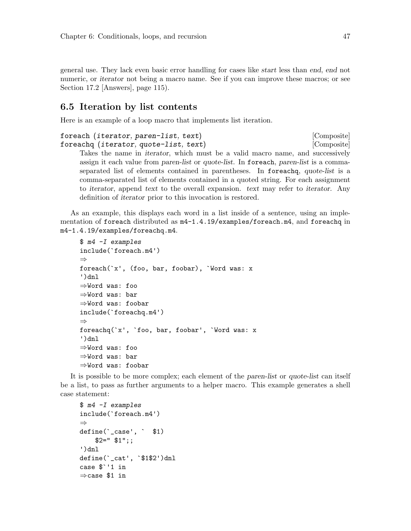general use. They lack even basic error handling for cases like start less than end, end not numeric, or iterator not being a macro name. See if you can improve these macros; or see [Section 17.2 \[Answers\], page 115](#page-120-0)).

### 6.5 Iteration by list contents

Here is an example of a loop macro that implements list iteration.

```
foreach (iterator, paren-list, text) [Composite]
foreachq (iterator, quote-list, text) [Composite]
```
Takes the name in iterator, which must be a valid macro name, and successively assign it each value from paren-list or quote-list. In foreach, paren-list is a commaseparated list of elements contained in parentheses. In foreachq, quote-list is a comma-separated list of elements contained in a quoted string. For each assignment to iterator, append text to the overall expansion. text may refer to iterator. Any definition of iterator prior to this invocation is restored.

As an example, this displays each word in a list inside of a sentence, using an implementation of foreach distributed as  $m4-1.4.19$ /examples/foreach.m4, and foreachq in m4-1.4.19/examples/foreachq.m4.

```
$ m4 -I examples
include(`foreach.m4')
⇒
foreach(`x', (foo, bar, foobar), `Word was: x
')dnl
⇒Word was: foo
⇒Word was: bar
⇒Word was: foobar
include(`foreachq.m4')
⇒
foreachq(`x', `foo, bar, foobar', `Word was: x
')dnl
⇒Word was: foo
⇒Word was: bar
⇒Word was: foobar
```
It is possible to be more complex; each element of the paren-list or quote-list can itself be a list, to pass as further arguments to a helper macro. This example generates a shell case statement:

```
$ m4 -I examples
include(`foreach.m4')
⇒
define(`_case', ` $1)
    $2=" $1";;
')dnl
define(`_cat', `$1$2')dnl
case $`'1 in
⇒case $1 in
```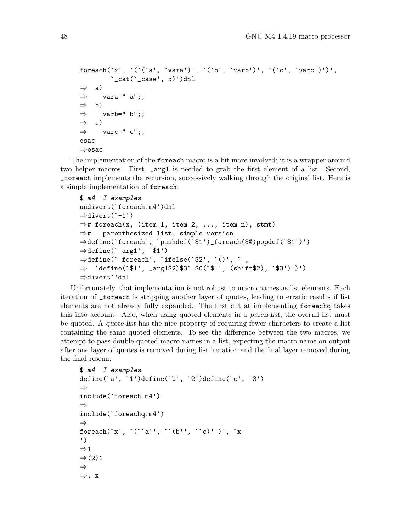```
foreach('x', '('a', 'vara')', '('b', 'varb')', '('c', 'varc')')',\text{cat}(\text{`_case', x)}) ) dnl
⇒ a)
\Rightarrow vara=" a";;
\Rightarrow b)
\Rightarrow varb=" b";;
\Rightarrow c)
\Rightarrow varc=" c";;
esac
⇒esac
```
The implementation of the foreach macro is a bit more involved; it is a wrapper around two helper macros. First, \_arg1 is needed to grab the first element of a list. Second, \_foreach implements the recursion, successively walking through the original list. Here is a simple implementation of foreach:

```
$ m4 -I examples
undivert(`foreach.m4')dnl
⇒divert(`-1')
\Rightarrow# foreach(x, (item_1, item_2, ..., item_n), stmt)
⇒# parenthesized list, simple version
⇒define(`foreach', `pushdef(`$1')_foreach($@)popdef(`$1')')
⇒define(`_arg1', `$1')
\Rightarrow define(`_foreach', `ifelse(`$2', `()', `',
⇒ `define(`$1', _arg1$2)$3`'$0(`$1', (shift$2), `$3')')')
⇒divert`'dnl
```
Unfortunately, that implementation is not robust to macro names as list elements. Each iteration of \_foreach is stripping another layer of quotes, leading to erratic results if list elements are not already fully expanded. The first cut at implementing foreachq takes this into account. Also, when using quoted elements in a paren-list, the overall list must be quoted. A quote-list has the nice property of requiring fewer characters to create a list containing the same quoted elements. To see the difference between the two macros, we attempt to pass double-quoted macro names in a list, expecting the macro name on output after one layer of quotes is removed during list iteration and the final layer removed during the final rescan:

```
$ m4 -I examples
define(`a', `1')define(`b', `2')define(`c', `3')
⇒
include(`foreach.m4')
⇒
include(`foreachq.m4')
⇒
foreach(`x', `(``a'', ``(b'', ``c)'')', `x
')
\Rightarrow 1
\Rightarrow (2)1
⇒
⇒, x
```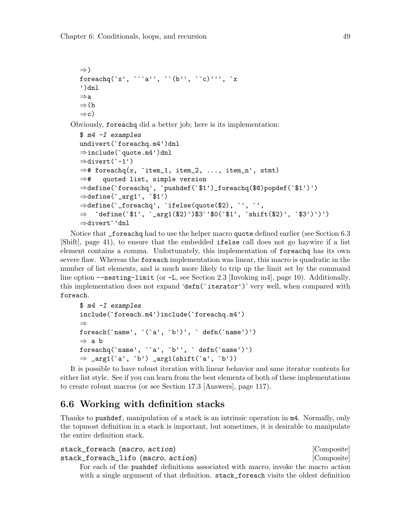```
⇒)
  foreachg(x', \cdots a'', (b', \cdots c)'', x')dnl
  ⇒a
  ⇒(b
  \Rightarrowc)
Obviously, foreachq did a better job; here is its implementation:
  $ m4 -I examples
  undivert(`foreachq.m4')dnl
  ⇒include(`quote.m4')dnl
  ⇒divert(`-1')
  \Rightarrow# foreachq(x, `item_1, item_2, ..., item_n', stmt)
  ⇒# quoted list, simple version
  ⇒define(`foreachq', `pushdef(`$1')_foreachq($@)popdef(`$1')')
  \Rightarrow define(`_arg1', `$1')
  ⇒define(`_foreachq', `ifelse(quote($2), `', `',
  ⇒ `define(`$1', `_arg1($2)')$3`'$0(`$1', `shift($2)', `$3')')')
  ⇒divert`'dnl
```
Notice that \_foreachq had to use the helper macro quote defined earlier (see [Section 6.3](#page-46-0) [\[Shift\], page 41](#page-46-0)), to ensure that the embedded ifelse call does not go haywire if a list element contains a comma. Unfortunately, this implementation of foreachq has its own severe flaw. Whereas the foreach implementation was linear, this macro is quadratic in the number of list elements, and is much more likely to trip up the limit set by the command line option --nesting-limit (or -L, see [Section 2.3 \[Invoking m4\], page 10](#page-15-0)). Additionally, this implementation does not expand 'defn( $\text{`iterator''}$ )' very well, when compared with foreach.

```
$ m4 -I examples
include(`foreach.m4')include(`foreachq.m4')
⇒
foreach(`name', `(`a', `b')', ` defn(`name')')
⇒ a b
foreachq(`name', ``a', `b'', ` defn(`name')')
\Rightarrow _arg1(`a', `b') _arg1(shift(`a', `b'))
```
It is possible to have robust iteration with linear behavior and sane iterator contents for either list style. See if you can learn from the best elements of both of these implementations to create robust macros (or see [Section 17.3 \[Answers\], page 117](#page-122-0)).

# 6.6 Working with definition stacks

Thanks to pushdef, manipulation of a stack is an intrinsic operation in m4. Normally, only the topmost definition in a stack is important, but sometimes, it is desirable to manipulate the entire definition stack.

```
stack_foreach (macro, action) [Composite]
stack_foreach_lifo (macro, action) [Composite]
    For each of the pushdef definitions associated with macro, invoke the macro action
    with a single argument of that definition. stack_foreach visits the oldest definition
```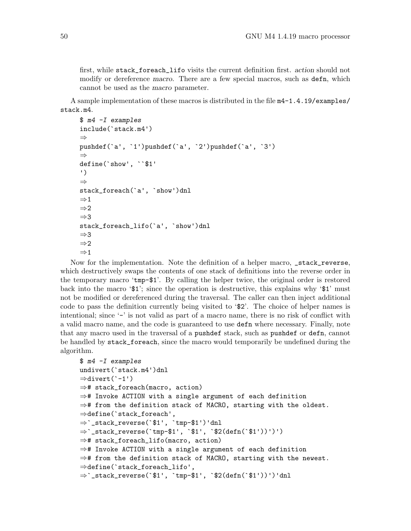first, while stack\_foreach\_lifo visits the current definition first. action should not modify or dereference *macro*. There are a few special macros, such as **defn**, which cannot be used as the macro parameter.

A sample implementation of these macros is distributed in the file m4-1.4.19/examples/ stack.m4.

```
$ m4 -I examples
include(`stack.m4')
⇒
pushdef(`a', `1')pushdef(`a', `2')pushdef(`a', `3')
⇒
define(`show', ``$1'
')
⇒
stack_foreach(`a', `show')dnl
\Rightarrow 1
\Rightarrow 2
⇒3
stack_foreach_lifo(`a', `show')dnl
⇒3
\Rightarrow 2
\Rightarrow 1
```
Now for the implementation. Note the definition of a helper macro, \_stack\_reverse, which destructively swaps the contents of one stack of definitions into the reverse order in the temporary macro 'tmp-\$1'. By calling the helper twice, the original order is restored back into the macro ' $\mathfrak{B}_1$ '; since the operation is destructive, this explains why ' $\mathfrak{B}_1$ ' must not be modified or dereferenced during the traversal. The caller can then inject additional code to pass the definition currently being visited to '\$2'. The choice of helper names is intentional; since '-' is not valid as part of a macro name, there is no risk of conflict with a valid macro name, and the code is guaranteed to use defn where necessary. Finally, note that any macro used in the traversal of a pushdef stack, such as pushdef or defn, cannot be handled by stack\_foreach, since the macro would temporarily be undefined during the algorithm.

```
$ m4 -I examples
undivert(`stack.m4')dnl
⇒divert(`-1')
⇒# stack_foreach(macro, action)
⇒# Invoke ACTION with a single argument of each definition
⇒# from the definition stack of MACRO, starting with the oldest.
⇒define(`stack_foreach',
⇒`_stack_reverse(`$1', `tmp-$1')'dnl
⇒`_stack_reverse(`tmp-$1', `$1', `$2(defn(`$1'))')')
⇒# stack_foreach_lifo(macro, action)
⇒# Invoke ACTION with a single argument of each definition
\Rightarrow# from the definition stack of MACRO, starting with the newest.
⇒define(`stack_foreach_lifo',
\Rightarrow _stack_reverse(`$1', `tmp-$1', `$2(defn(`$1'))')'dnl
```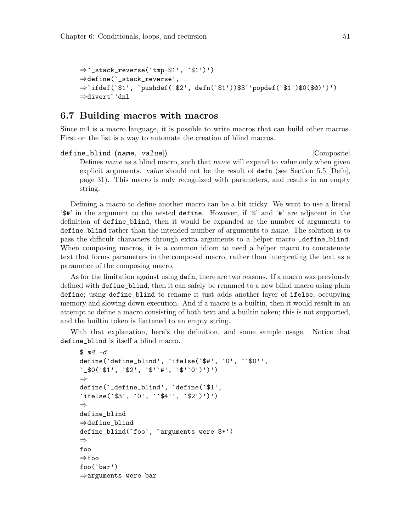```
⇒`_stack_reverse(`tmp-$1', `$1')')
⇒define(`_stack_reverse',
⇒`ifdef(`$1', `pushdef(`$2', defn(`$1'))$3`'popdef(`$1')$0($@)')')
⇒divert`'dnl
```
### <span id="page-56-0"></span>6.7 Building macros with macros

Since m4 is a macro language, it is possible to write macros that can build other macros. First on the list is a way to automate the creation of blind macros.

define\_blind (name, [value]) [Composite] Defines name as a blind macro, such that name will expand to value only when given explicit arguments. value should not be the result of defn (see [Section 5.5 \[Defn\],](#page-36-0) [page 31\)](#page-36-0). This macro is only recognized with parameters, and results in an empty string.

Defining a macro to define another macro can be a bit tricky. We want to use a literal '\$#' in the argument to the nested define. However, if '\$' and '#' are adjacent in the definition of define\_blind, then it would be expanded as the number of arguments to define\_blind rather than the intended number of arguments to name. The solution is to pass the difficult characters through extra arguments to a helper macro \_define\_blind. When composing macros, it is a common idiom to need a helper macro to concatenate text that forms parameters in the composed macro, rather than interpreting the text as a parameter of the composing macro.

As for the limitation against using defn, there are two reasons. If a macro was previously defined with define\_blind, then it can safely be renamed to a new blind macro using plain define; using define\_blind to rename it just adds another layer of ifelse, occupying memory and slowing down execution. And if a macro is a builtin, then it would result in an attempt to define a macro consisting of both text and a builtin token; this is not supported, and the builtin token is flattened to an empty string.

With that explanation, here's the definition, and some sample usage. Notice that define\_blind is itself a blind macro.

```
$ m4 - ddefine(`define_blind', `ifelse(`$#', `0', ``$0'',
`_$0(`$1', `$2', `$'`#', `$'`0')')')
⇒
define(`_define_blind', `define(`$1',
`ifelse(`$3', `0', ``$4'', `$2')')')
⇒
define_blind
⇒define_blind
define_blind(`foo', `arguments were $*')
⇒
foo
⇒foo
foo(`bar')
⇒arguments were bar
```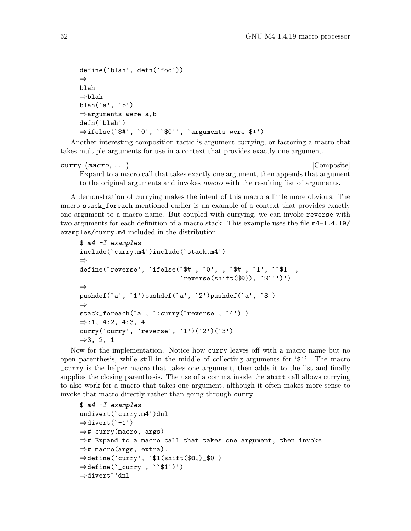```
define(`blah', defn(`foo'))
⇒
blah
⇒blah
blah(`a', `b')
⇒arguments were a,b
defn(`blah')
⇒ifelse(`$#', `0', ``$0'', `arguments were $*')
```
Another interesting composition tactic is argument currying, or factoring a macro that takes multiple arguments for use in a context that provides exactly one argument.

```
curry (macro, ...) [Composite]
```
Expand to a macro call that takes exactly one argument, then appends that argument to the original arguments and invokes macro with the resulting list of arguments.

A demonstration of currying makes the intent of this macro a little more obvious. The macro stack\_foreach mentioned earlier is an example of a context that provides exactly one argument to a macro name. But coupled with currying, we can invoke reverse with two arguments for each definition of a macro stack. This example uses the file m4-1.4.19/ examples/curry.m4 included in the distribution.

```
$ m4 -I examples
include(`curry.m4')include(`stack.m4')
⇒
define(`reverse', `ifelse(`$#', `0', , `$#', `1', ``$1'',
                           `reverse(shift($@)), `$1'')')
⇒
pushdef(`a', `1')pushdef(`a', `2')pushdef(`a', `3')
⇒
stack_foreach(`a', `:curry(`reverse', `4')')
\Rightarrow:1, 4:2, 4:3, 4
curry(`curry', `reverse', `1')(`2')(`3')
⇒3, 2, 1
```
Now for the implementation. Notice how curry leaves off with a macro name but no open parenthesis, while still in the middle of collecting arguments for '\$1'. The macro \_curry is the helper macro that takes one argument, then adds it to the list and finally supplies the closing parenthesis. The use of a comma inside the **shift** call allows currying to also work for a macro that takes one argument, although it often makes more sense to invoke that macro directly rather than going through curry.

```
$ m4 -I examples
undivert(`curry.m4')dnl
⇒divert(`-1')
⇒# curry(macro, args)
⇒# Expand to a macro call that takes one argument, then invoke
⇒# macro(args, extra).
⇒define(`curry', `$1(shift($@,)_$0')
⇒define(`_curry', ``$1')')
⇒divert`'dnl
```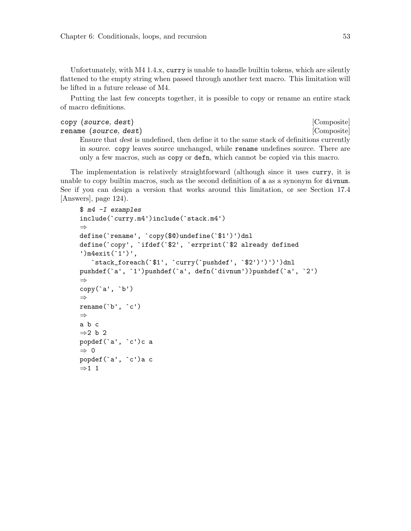Unfortunately, with M4 1.4.x, curry is unable to handle builtin tokens, which are silently flattened to the empty string when passed through another text macro. This limitation will be lifted in a future release of M4.

Putting the last few concepts together, it is possible to copy or rename an entire stack of macro definitions.

copy (source, dest) [Composite] rename (source, dest) [Composite]

Ensure that dest is undefined, then define it to the same stack of definitions currently in source. copy leaves source unchanged, while rename undefines source. There are only a few macros, such as copy or defn, which cannot be copied via this macro.

The implementation is relatively straightforward (although since it uses curry, it is unable to copy builtin macros, such as the second definition of a as a synonym for divnum. See if you can design a version that works around this limitation, or see [Section 17.4](#page-129-0) [\[Answers\], page 124](#page-129-0)).

```
$ m4 -I examples
include(`curry.m4')include(`stack.m4')
⇒
define(`rename', `copy($@)undefine(`$1')')dnl
define(`copy', `ifdef(`$2', `errprint(`$2 already defined
')m4exit(`1')',
   `stack_foreach(`$1', `curry(`pushdef', `$2')')')')dnl
pushdef(`a', `1')pushdef(`a', defn(`divnum'))pushdef(`a', `2')
⇒
copy(`a', `b')
⇒
\text{remainder}(\Delta, \Delta, \Delta)⇒
a b c
⇒2 b 2
popdef(`a', `c')c a
⇒ 0
popdef(`a', `c')a c
\Rightarrow 1 1
```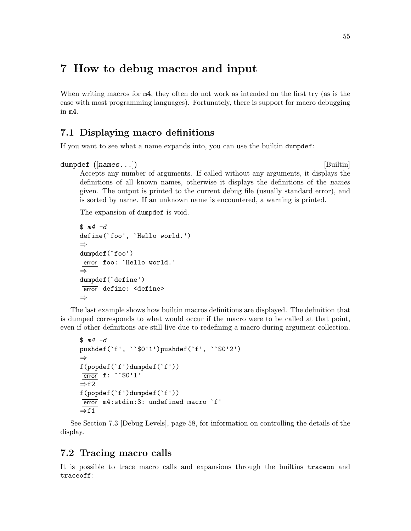# 7 How to debug macros and input

When writing macros for  $m4$ , they often do not work as intended on the first try (as is the case with most programming languages). Fortunately, there is support for macro debugging in m4.

# <span id="page-60-1"></span>7.1 Displaying macro definitions

If you want to see what a name expands into, you can use the builtin dumpdef:

```
dumpdef ([names...]) [Builtin]
```
Accepts any number of arguments. If called without any arguments, it displays the definitions of all known names, otherwise it displays the definitions of the names given. The output is printed to the current debug file (usually standard error), and is sorted by name. If an unknown name is encountered, a warning is printed.

The expansion of dumpdef is void.

```
$ m4 - ddefine(`foo', `Hello world.')
⇒
dumpdef(`foo')
[error] foo: `Hello world.'
⇒
dumpdef(`define')
[error] define: <define>
⇒
```
The last example shows how builtin macros definitions are displayed. The definition that is dumped corresponds to what would occur if the macro were to be called at that point, even if other definitions are still live due to redefining a macro during argument collection.

```
$ m4 -dpushdef(`f', ``$0'1')pushdef(`f', ``$0'2')
⇒
f(popdef(`f')dumpdef(`f'))
error f: ``$0'1'
\Rightarrowf2
f(popdef(`f')dumpdef(`f'))
\overline{\text{error}} m4:stdin:3: undefined macro `f'
\Rightarrowf1
```
See [Section 7.3 \[Debug Levels\], page 58](#page-63-0), for information on controlling the details of the display.

### <span id="page-60-0"></span>7.2 Tracing macro calls

It is possible to trace macro calls and expansions through the builtins traceon and traceoff: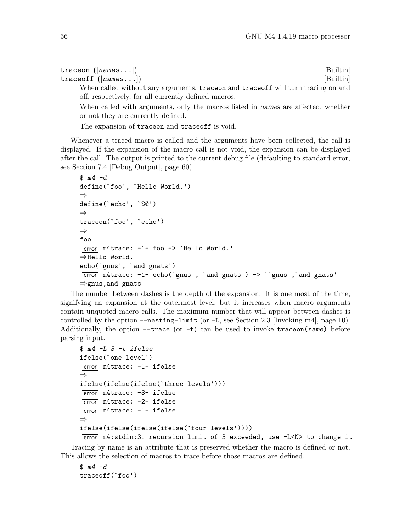| $\mathtt{traceon}\ \left(\left[\textit{names} \dots\right]\right)$               | [Builtin] |
|----------------------------------------------------------------------------------|-----------|
| $\mathtt{traceoff}\ \left(\left\lceil \mathtt{names} \dots \right\rceil \right)$ | [Builtin] |
| When called without any arguments, traceon and traceoff will turn tracing on and |           |
| off, respectively, for all currently defined macros.                             |           |

When called with arguments, only the macros listed in names are affected, whether or not they are currently defined.

The expansion of traceon and traceoff is void.

Whenever a traced macro is called and the arguments have been collected, the call is displayed. If the expansion of the macro call is not void, the expansion can be displayed after the call. The output is printed to the current debug file (defaulting to standard error, see [Section 7.4 \[Debug Output\], page 60](#page-65-0)).

```
$ m4 -ddefine(`foo', `Hello World.')
⇒
define(`echo', `$@')
⇒
traceon(`foo', `echo')
⇒
foo
error m4trace: -1- foo -> `Hello World.'
⇒Hello World.
echo(`gnus', `and gnats')
\overline{[error]} m4trace: -1- echo(`gnus', `and gnats') -> ``gnus', `and gnats''
⇒gnus,and gnats
```
The number between dashes is the depth of the expansion. It is one most of the time, signifying an expansion at the outermost level, but it increases when macro arguments contain unquoted macro calls. The maximum number that will appear between dashes is controlled by the option --nesting-limit (or -L, see [Section 2.3 \[Invoking m4\], page 10\)](#page-15-0). Additionally, the option  $-$ -trace (or  $-t$ ) can be used to invoke traceon(name) before parsing input.

```
$ m4 - L_3 - t_1ifelse
ifelse(`one level')
error m4trace: -1- ifelse
⇒
ifelse(ifelse(ifelse(`three levels')))
error m4trace: -3- ifelse
\boxed{\text{error}} m4trace: -2- ifelse
error m4trace: -1- ifelse
⇒
ifelse(ifelse(ifelse(ifelse(`four levels'))))
error m4:stdin:3: recursion limit of 3 exceeded, use -L<N> to change it
```
Tracing by name is an attribute that is preserved whether the macro is defined or not. This allows the selection of macros to trace before those macros are defined.

```
$ m4 -dtraceoff(`foo')
```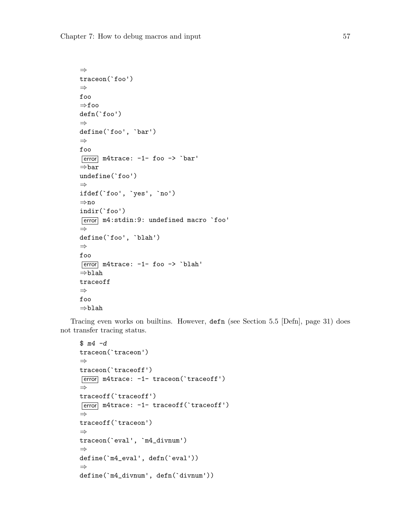```
⇒
traceon(`foo')
⇒
foo
⇒foo
defn(`foo')
⇒
define(`foo', `bar')
⇒
foo
\boxed{\text{error}} m4trace: -1- foo -> `bar'
⇒bar
undefine(`foo')
⇒
ifdef(`foo', `yes', `no')
⇒no
indir(`foo')
[error] m4:stdin:9: undefined macro `foo'
⇒
define(`foo', `blah')
⇒
foo
error m4trace: -1- foo -> `blah'
⇒blah
traceoff
⇒
foo
⇒blah
```
Tracing even works on builtins. However, defn (see [Section 5.5 \[Defn\], page 31](#page-36-0)) does not transfer tracing status.

```
$ m4 -dtraceon(`traceon')
⇒
traceon(`traceoff')
error m4trace: -1- traceon(`traceoff')
⇒
traceoff(`traceoff')
error m4trace: -1- traceoff(`traceoff')
⇒
traceoff(`traceon')
⇒
traceon(`eval', `m4_divnum')
⇒
define(`m4_eval', defn(`eval'))
⇒
define(`m4_divnum', defn(`divnum'))
```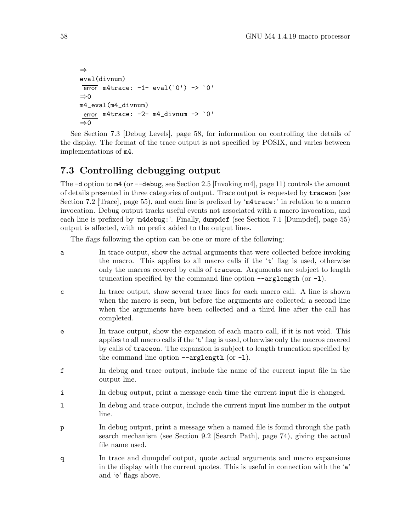```
⇒
eval(divnum)
\overline{\text{error}} m4trace: -1- eval('0') -> '0'
⇒0
m4_eval(m4_divnum)
\overline{\text{error}} m4trace: -2- m4_divnum -> `0'
⇒0
```
See [Section 7.3 \[Debug Levels\], page 58,](#page-63-0) for information on controlling the details of the display. The format of the trace output is not specified by POSIX, and varies between implementations of m4.

# <span id="page-63-0"></span>7.3 Controlling debugging output

The  $-d$  option to  $m4$  (or  $-d$ ebug, see [Section 2.5 \[Invoking m4\], page 11\)](#page-16-0) controls the amount of details presented in three categories of output. Trace output is requested by traceon (see [Section 7.2 \[Trace\], page 55](#page-60-0)), and each line is prefixed by 'm4trace:' in relation to a macro invocation. Debug output tracks useful events not associated with a macro invocation, and each line is prefixed by 'm4debug:'. Finally, dumpdef (see [Section 7.1 \[Dumpdef\], page 55\)](#page-60-1) output is affected, with no prefix added to the output lines.

The flags following the option can be one or more of the following:

- a In trace output, show the actual arguments that were collected before invoking the macro. This applies to all macro calls if the 't' flag is used, otherwise only the macros covered by calls of traceon. Arguments are subject to length truncation specified by the command line option --arglength (or -l).
- c In trace output, show several trace lines for each macro call. A line is shown when the macro is seen, but before the arguments are collected; a second line when the arguments have been collected and a third line after the call has completed.
- e In trace output, show the expansion of each macro call, if it is not void. This applies to all macro calls if the 't' flag is used, otherwise only the macros covered by calls of traceon. The expansion is subject to length truncation specified by the command line option  $\neg$ -arglength (or  $\neg$ ).
- f In debug and trace output, include the name of the current input file in the output line.
- i In debug output, print a message each time the current input file is changed.
- l In debug and trace output, include the current input line number in the output line.
- p In debug output, print a message when a named file is found through the path search mechanism (see [Section 9.2 \[Search Path\], page 74](#page-79-0)), giving the actual file name used.
- q In trace and dumpdef output, quote actual arguments and macro expansions in the display with the current quotes. This is useful in connection with the 'a' and 'e' flags above.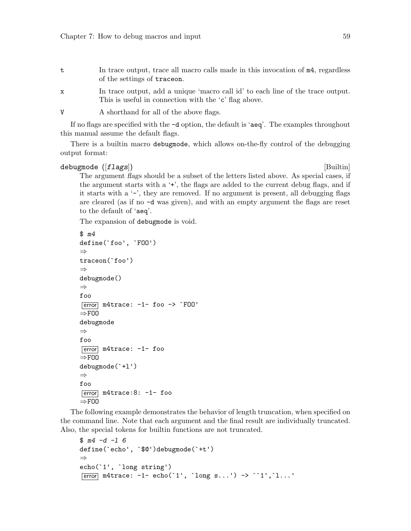- t In trace output, trace all macro calls made in this invocation of m4, regardless of the settings of traceon.
- x In trace output, add a unique 'macro call id' to each line of the trace output. This is useful in connection with the 'c' flag above.

V A shorthand for all of the above flags.

If no flags are specified with the -d option, the default is 'aeq'. The examples throughout this manual assume the default flags.

There is a builtin macro debugmode, which allows on-the-fly control of the debugging output format:

### debugmode ([*flags*]) [Builtin]

The argument flags should be a subset of the letters listed above. As special cases, if the argument starts with a '+', the flags are added to the current debug flags, and if it starts with a  $\prime$ -', they are removed. If no argument is present, all debugging flags are cleared (as if no -d was given), and with an empty argument the flags are reset to the default of 'aeq'.

The expansion of debugmode is void.

```
$ m4
define(`foo', `FOO')
⇒
traceon(`foo')
⇒
debugmode()
⇒
foo
\overline{\text{error}} m4trace: -1- foo \rightarrow `F00'
⇒FOO
debugmode
⇒
foo
\sqrt{\text{error}} m4trace: -1- foo
\RightarrowFOO
debugmode(`+l')
⇒
foo
\overline{\text{error}} m4trace: 8: -1- foo
\RightarrowFOO
```
The following example demonstrates the behavior of length truncation, when specified on the command line. Note that each argument and the final result are individually truncated. Also, the special tokens for builtin functions are not truncated.

```
$ m4 -d -1 6define(`echo', `$@')debugmode(`+t')
⇒
echo(`1', `long string')
\boxed{\text{error}} m4trace: -1- echo(`1', `long s...') -> ``1',`1...'
```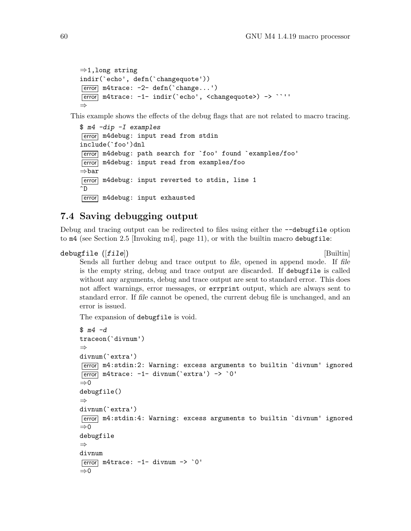```
⇒1,long string
indir(`echo', defn(`changequote'))
\overline{\text{error}} m4trace: -2- defn('change...')
error m4trace: -1- indir(`echo', <changequote>) -> ``''
⇒
```
This example shows the effects of the debug flags that are not related to macro tracing.

```
$ m4 -dip -I examples
error m4debug: input read from stdin
include(`foo')dnl
error m4debug: path search for `foo' found `examples/foo'
error m4debug: input read from examples/foo
⇒bar
error m4debug: input reverted to stdin, line 1
^D
[error] m4debug: input exhausted
```
### <span id="page-65-0"></span>7.4 Saving debugging output

Debug and tracing output can be redirected to files using either the --debugfile option to  $m4$  (see [Section 2.5 \[Invoking m4\], page 11](#page-16-0)), or with the builtin macro debugfile:

```
\text{debugfile} ([file]) [Builtin]
```
Sends all further debug and trace output to file, opened in append mode. If file is the empty string, debug and trace output are discarded. If debugfile is called without any arguments, debug and trace output are sent to standard error. This does not affect warnings, error messages, or errprint output, which are always sent to standard error. If file cannot be opened, the current debug file is unchanged, and an error is issued.

The expansion of debugfile is void.

```
$ m4 -dtraceon(`divnum')
⇒
divnum(`extra')
error m4:stdin:2: Warning: excess arguments to builtin `divnum' ignored
\boxed{\text{error}} m4trace: -1- divnum('extra') -> '0'
⇒0
debugfile()
⇒
divnum(`extra')
error m4:stdin:4: Warning: excess arguments to builtin `divnum' ignored
\Rightarrow 0
debugfile
⇒
divnum
\boxed{\text{error}} m4trace: -1- divnum -> \degree0'
⇒0
```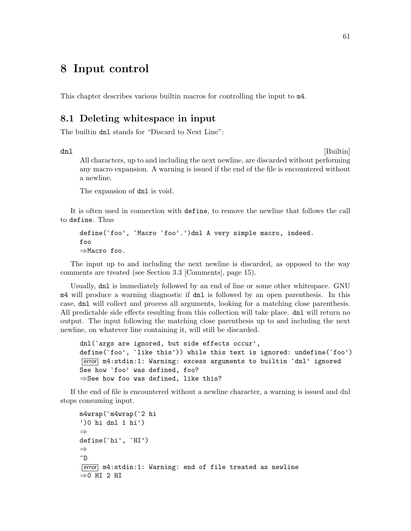# 8 Input control

This chapter describes various builtin macros for controlling the input to m4.

### 8.1 Deleting whitespace in input

The builtin dnl stands for "Discard to Next Line":

dnl [Builtin]

All characters, up to and including the next newline, are discarded without performing any macro expansion. A warning is issued if the end of the file is encountered without a newline.

The expansion of dnl is void.

It is often used in connection with define, to remove the newline that follows the call to define. Thus

```
define(`foo', `Macro `foo'.')dnl A very simple macro, indeed.
foo
⇒Macro foo.
```
The input up to and including the next newline is discarded, as opposed to the way comments are treated (see [Section 3.3 \[Comments\], page 15](#page-20-0)).

Usually, dnl is immediately followed by an end of line or some other whitespace. GNU m4 will produce a warning diagnostic if dnl is followed by an open parenthesis. In this case, dnl will collect and process all arguments, looking for a matching close parenthesis. All predictable side effects resulting from this collection will take place. dnl will return no output. The input following the matching close parenthesis up to and including the next newline, on whatever line containing it, will still be discarded.

```
dnl(`args are ignored, but side effects occur',
define(`foo', `like this')) while this text is ignored: undefine(`foo')
error m4:stdin:1: Warning: excess arguments to builtin `dnl' ignored
See how `foo' was defined, foo?
⇒See how foo was defined, like this?
```
If the end of file is encountered without a newline character, a warning is issued and dnl stops consuming input.

```
m4wrap(`m4wrap(`2 hi
')0 hi dnl 1 hi')
⇒
define(`hi', `HI')
⇒
\hat{D}error m4:stdin:1: Warning: end of file treated as newline
⇒0 HI 2 HI
```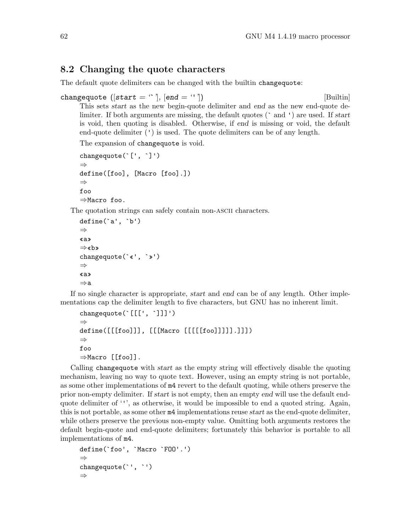# 8.2 Changing the quote characters

The default quote delimiters can be changed with the builtin changequote:

```
changequote ([start = ''] , [end = '']) [Builtin]
```
This sets start as the new begin-quote delimiter and end as the new end-quote delimiter. If both arguments are missing, the default quotes ( $\degree$  and  $\degree$ ) are used. If start is void, then quoting is disabled. Otherwise, if end is missing or void, the default end-quote delimiter (') is used. The quote delimiters can be of any length.

The expansion of changequote is void.

```
changequote(`[', `]')
⇒
define([foo], [Macro [foo].])
⇒
foo
⇒Macro foo.
```
The quotation strings can safely contain non-ascii characters.

```
define(`a', `b')
⇒
«a»
⇒«b»
changequote(`«', `»')
⇒
«a»
⇒a
```
If no single character is appropriate, start and end can be of any length. Other implementations cap the delimiter length to five characters, but GNU has no inherent limit.

```
changequote(`[[[', `]]]')
⇒
define([[[foo]]], [[[Macro [[[[[foo]]]]].]]])
⇒
foo
⇒Macro [[foo]].
```
Calling changequote with start as the empty string will effectively disable the quoting mechanism, leaving no way to quote text. However, using an empty string is not portable, as some other implementations of m4 revert to the default quoting, while others preserve the prior non-empty delimiter. If start is not empty, then an empty end will use the default endquote delimiter of ''', as otherwise, it would be impossible to end a quoted string. Again, this is not portable, as some other m4 implementations reuse start as the end-quote delimiter, while others preserve the previous non-empty value. Omitting both arguments restores the default begin-quote and end-quote delimiters; fortunately this behavior is portable to all implementations of m4.

```
define(`foo', `Macro `FOO'.')
⇒
changequote(`', `')
⇒
```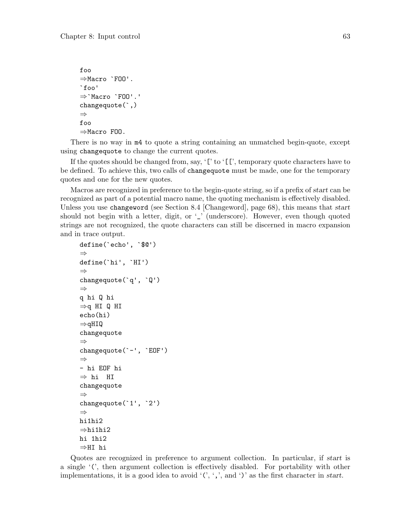```
foo
⇒Macro `FOO'.
`foo'
⇒`Macro `FOO'.'
changequote(`,)
⇒
foo
⇒Macro FOO.
```
There is no way in m4 to quote a string containing an unmatched begin-quote, except using changequote to change the current quotes.

If the quotes should be changed from, say, '[' to '[[', temporary quote characters have to be defined. To achieve this, two calls of changequote must be made, one for the temporary quotes and one for the new quotes.

Macros are recognized in preference to the begin-quote string, so if a prefix of start can be recognized as part of a potential macro name, the quoting mechanism is effectively disabled. Unless you use changeword (see [Section 8.4 \[Changeword\], page 68](#page-73-0)), this means that start should not begin with a letter, digit, or '\_' (underscore). However, even though quoted strings are not recognized, the quote characters can still be discerned in macro expansion and in trace output.

```
define(`echo', `$@')
⇒
define(`hi', `HI')
⇒
changequote(`q', `Q')
⇒
q hi Q hi
⇒q HI Q HI
echo(hi)
⇒qHIQ
changequote
⇒
changequote(`-', `EOF')
⇒
- hi EOF hi
⇒ hi HI
changequote
⇒
changequote(`1', `2')
⇒
hi1hi2
⇒hi1hi2
hi 1hi2
⇒HI hi
```
Quotes are recognized in preference to argument collection. In particular, if start is a single '(', then argument collection is effectively disabled. For portability with other implementations, it is a good idea to avoid  $(0, 1)$ , and  $(0, 1)$  as the first character in start.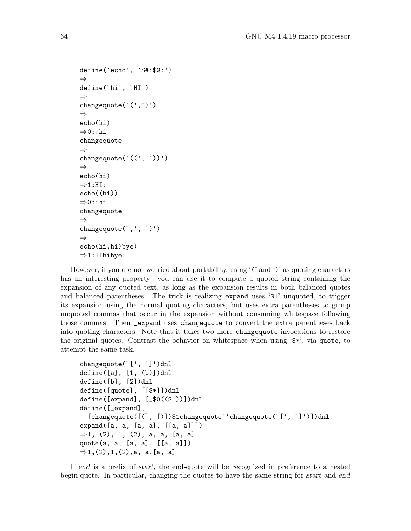```
define(`echo', `$#:$@:')
⇒
define(`hi', `HI')
⇒
changequote(`(',`)')
⇒
echo(hi)
⇒0::hi
changequote
⇒
changequote(`((', `))')
⇒
echo(hi)
\Rightarrow 1:HI:
echo((hi))
⇒0::hi
changequote
⇒
changequote(`,', `)')
⇒
echo(hi,hi)bye)
⇒1:HIhibye:
```
However, if you are not worried about portability, using  $'($  and  $')'$  as quoting characters has an interesting property—you can use it to compute a quoted string containing the expansion of any quoted text, as long as the expansion results in both balanced quotes and balanced parentheses. The trick is realizing expand uses '\$1' unquoted, to trigger its expansion using the normal quoting characters, but uses extra parentheses to group unquoted commas that occur in the expansion without consuming whitespace following those commas. Then \_expand uses changequote to convert the extra parentheses back into quoting characters. Note that it takes two more changequote invocations to restore the original quotes. Contrast the behavior on whitespace when using '\$\*', via quote, to attempt the same task.

```
changequote(`[', `]')dnl
define([a], [1, (b)])dnl
define([b], [2])dnl
define([quote], [[$*]])dnl
define([expand], [_$0(($1))])dnl
define([_expand],
  [changequote([(], [)])$1changequote''changequote('[', ']')])dnl
expand([a, a, [a, a], [[a, a]]])
\Rightarrow1, (2), 1, (2), a, a, [a, a]
quote(a, a, [a, a], [[a, a]])
\Rightarrow1, (2),1, (2),a, a, [a, a]
```
If end is a prefix of start, the end-quote will be recognized in preference to a nested begin-quote. In particular, changing the quotes to have the same string for *start* and end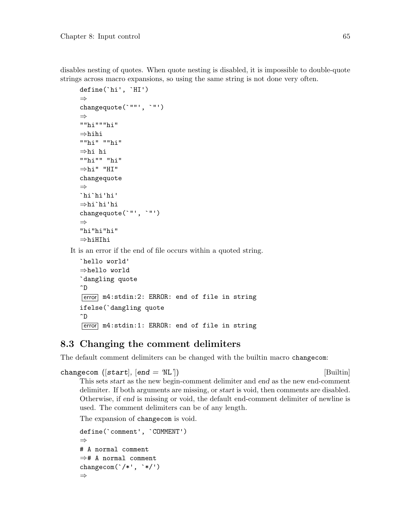disables nesting of quotes. When quote nesting is disabled, it is impossible to double-quote strings across macro expansions, so using the same string is not done very often.

```
define(`hi', `HI')
⇒
changequote(`""', `"')
⇒
""hi"""hi"
⇒hihi
""hi" ""hi"
⇒hi hi
""hi"" "hi"
⇒hi" "HI"
changequote
⇒
`hi`hi'hi'
⇒hi`hi'hi
changequote(`"', `"')
⇒
"hi"hi"hi"
⇒hiHIhi
```
It is an error if the end of file occurs within a quoted string.

```
`hello world'
⇒hello world
`dangling quote
\hat{D}error m4:stdin:2: ERROR: end of file in string
ifelse(`dangling quote
^D
[error] m4:stdin:1: ERROR: end of file in string
```
# 8.3 Changing the comment delimiters

The default comment delimiters can be changed with the builtin macro changecom:

```
changecom ([start], [end = 'NL']) [Builtin]
```
This sets start as the new begin-comment delimiter and end as the new end-comment delimiter. If both arguments are missing, or start is void, then comments are disabled. Otherwise, if end is missing or void, the default end-comment delimiter of newline is used. The comment delimiters can be of any length.

The expansion of changecom is void.

```
define(`comment', `COMMENT')
⇒
# A normal comment
⇒# A normal comment
changecom(\checkmark^*/\checkmark^*,\checkmark^*)⇒
```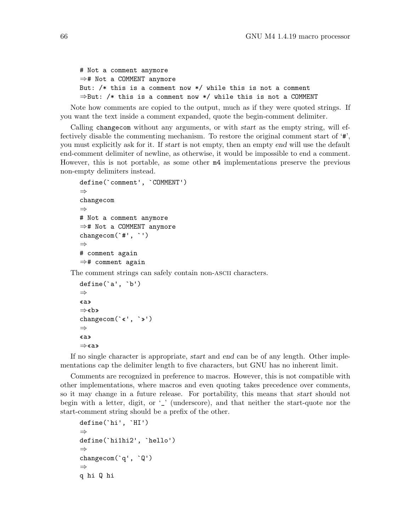```
# Not a comment anymore
⇒# Not a COMMENT anymore
But: /* this is a comment now */ while this is not a comment
⇒But: /* this is a comment now */ while this is not a COMMENT
```
Note how comments are copied to the output, much as if they were quoted strings. If you want the text inside a comment expanded, quote the begin-comment delimiter.

Calling changecom without any arguments, or with start as the empty string, will effectively disable the commenting mechanism. To restore the original comment start of '#', you must explicitly ask for it. If start is not empty, then an empty end will use the default end-comment delimiter of newline, as otherwise, it would be impossible to end a comment. However, this is not portable, as some other m4 implementations preserve the previous non-empty delimiters instead.

```
define(`comment', `COMMENT')
⇒
changecom
⇒
# Not a comment anymore
⇒# Not a COMMENT anymore
changecom(`#', `')
⇒
# comment again
⇒# comment again
```
The comment strings can safely contain non-ascii characters.

```
define(`a', `b')
⇒
«a»
⇒«b»
changecom(`«', `»')
⇒
«a»
⇒«a»
```
If no single character is appropriate, start and end can be of any length. Other implementations cap the delimiter length to five characters, but GNU has no inherent limit.

Comments are recognized in preference to macros. However, this is not compatible with other implementations, where macros and even quoting takes precedence over comments, so it may change in a future release. For portability, this means that start should not begin with a letter, digit, or '\_' (underscore), and that neither the start-quote nor the start-comment string should be a prefix of the other.

```
define(`hi', `HI')
⇒
define(`hi1hi2', `hello')
⇒
changecom(`q', `Q')
⇒
q hi Q hi
```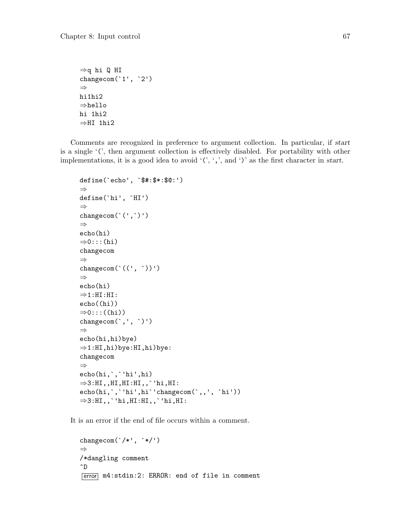```
⇒q hi Q HI
changecom(1', 2')⇒
hi1hi2
⇒hello
hi 1hi2
\RightarrowHI 1hi2
```
Comments are recognized in preference to argument collection. In particular, if start is a single '(', then argument collection is effectively disabled. For portability with other implementations, it is a good idea to avoid  $(0, 0, 0)$  as the first character in start.

```
define(`echo', `$#:$*:$@:')
⇒
define(`hi', `HI')
⇒
changecom(`(',`)')
⇒
echo(hi)
\Rightarrow0:::(hi)
changecom
⇒
changecom(\lq(\lq, \lq))')⇒
echo(hi)
\Rightarrow1:HI:HI:
echo((hi))
⇒0:::((hi))
changecom(`,', `)')
⇒
echo(hi,hi)bye)
⇒1:HI,hi)bye:HI,hi)bye:
changecom
⇒
echo(hi,`,`'hi',hi)
\Rightarrow3:HI,,HI,HI:HI,,`'hi,HI:
echo(hi,`,`'hi',hi`'changecom(`,,', `hi'))
\Rightarrow3:HI,,`'hi,HI:HI,,`'hi,HI:
```
It is an error if the end of file occurs within a comment.

```
changecom('/*', '*/')⇒
/*dangling comment
\hat{D}error m4:stdin:2: ERROR: end of file in comment
```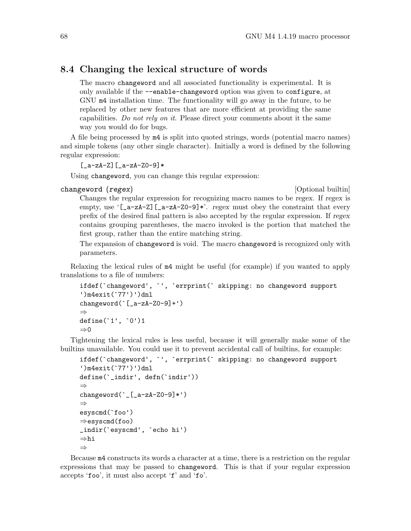#### 8.4 Changing the lexical structure of words

The macro changeword and all associated functionality is experimental. It is only available if the --enable-changeword option was given to configure, at GNU m4 installation time. The functionality will go away in the future, to be replaced by other new features that are more efficient at providing the same capabilities. Do not rely on it. Please direct your comments about it the same way you would do for bugs.

A file being processed by m4 is split into quoted strings, words (potential macro names) and simple tokens (any other single character). Initially a word is defined by the following regular expression:

```
[-a-zA-Z][-a-zA-Z0-9]*
```
Using changeword, you can change this regular expression:

#### changeword (regex) and the changeword of the changeword of the change of the change of the change of the change of the change of the change of the change of the change of the change of the change of the change of the chang

Changes the regular expression for recognizing macro names to be regex. If regex is empty, use ' $[-a-zA-Z]$   $[-a-zA-Z0-9]*$ '. regex must obey the constraint that every prefix of the desired final pattern is also accepted by the regular expression. If regex contains grouping parentheses, the macro invoked is the portion that matched the first group, rather than the entire matching string.

The expansion of changeword is void. The macro changeword is recognized only with parameters.

Relaxing the lexical rules of m4 might be useful (for example) if you wanted to apply translations to a file of numbers:

```
ifdef(`changeword', `', `errprint(` skipping: no changeword support
')m4exit(`77')')dnl
changeword(`[_a-zA-Z0-9]+')
⇒
define(`1', `0')1
\Rightarrow 0
```
Tightening the lexical rules is less useful, because it will generally make some of the builtins unavailable. You could use it to prevent accidental call of builtins, for example:

```
ifdef(`changeword', `', `errprint(` skipping: no changeword support
')m4exit(`77')')dnl
```

```
define(`_indir', defn(`indir'))
⇒
changeword(\lfloor_[_a-zA-Z0-9]*')
⇒
esyscmd(`foo')
⇒esyscmd(foo)
_indir(`esyscmd', `echo hi')
⇒hi
⇒
```
Because m4 constructs its words a character at a time, there is a restriction on the regular expressions that may be passed to changeword. This is that if your regular expression accepts 'foo', it must also accept 'f' and 'fo'.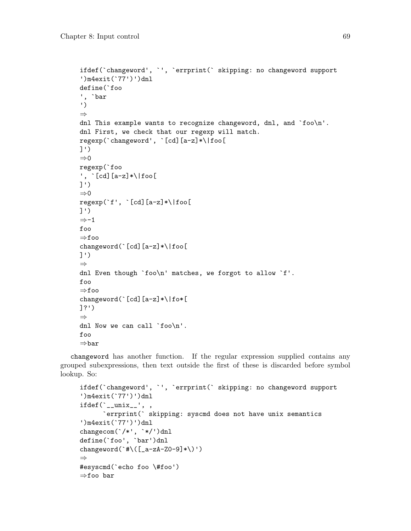```
ifdef(`changeword', `', `errprint(` skipping: no changeword support
')m4exit(`77')')dnl
define(`foo
', `bar
')
⇒
dnl This example wants to recognize changeword, dnl, and `foo\n'.
dnl First, we check that our regexp will match.
regexp(`changeword', `[cd][a-z]*\|foo[
]')
⇒0
regexp(`foo
', `[cd][a-z]*\|foo[
]')
⇒0
regexp(`f', `[cd][a-z]*\|foo[
]')
⇒-1
foo
⇒foo
changeword(`[cd][a-z]*\|foo[
]')
⇒
dnl Even though `foo\n' matches, we forgot to allow `f'.
foo
⇒foo
changeword(`[cd][a-z]*\|fo*[
]?')
⇒
dnl Now we can call 'foo\n'.
foo
⇒bar
```
changeword has another function. If the regular expression supplied contains any grouped subexpressions, then text outside the first of these is discarded before symbol lookup. So:

```
ifdef(`changeword', `', `errprint(` skipping: no changeword support
')m4exit(`77')')dnl
ifdef('_\texttt{unix__}', ,`errprint(` skipping: syscmd does not have unix semantics
')m4exit(`77')')dnl
changecom(`/*', `*/')dnl
define(`foo', `bar')dnl
changeword(`#\([_a-zA-Z0-9]*\)')
⇒
#esyscmd(`echo foo \#foo')
⇒foo bar
```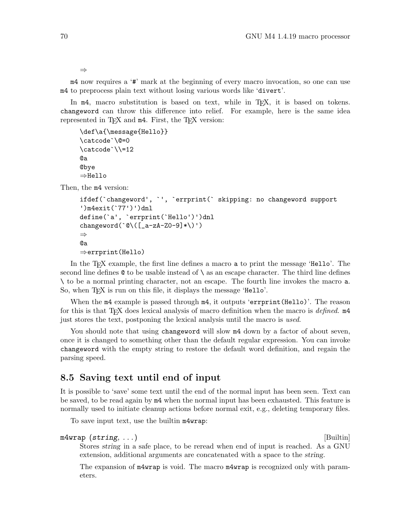⇒

m4 now requires a '#' mark at the beginning of every macro invocation, so one can use m4 to preprocess plain text without losing various words like 'divert'.

In m4, macro substitution is based on text, while in T<sub>E</sub>X, it is based on tokens. changeword can throw this difference into relief. For example, here is the same idea represented in T<sub>E</sub>X and  $m4$ . First, the T<sub>E</sub>X version:

```
\def\a{\message{Hello}}
\catcode`\@=0
\catcode`\\=12
@a
@bye
⇒Hello
```
Then, the m4 version:

```
ifdef(`changeword', `', `errprint(` skipping: no changeword support
')m4exit(`77')')dnl
define(`a', `errprint(`Hello')')dnl
changeword(@\\([a-zA-Z0-9]*\\)')
⇒
@a
⇒errprint(Hello)
```
In the T<sub>EX</sub> example, the first line defines a macro a to print the message 'Hello'. The second line defines  $\&$  to be usable instead of  $\setminus$  as an escape character. The third line defines \ to be a normal printing character, not an escape. The fourth line invokes the macro a. So, when T<sub>E</sub>X is run on this file, it displays the message 'Hello'.

When the  $m4$  example is passed through  $m4$ , it outputs 'errprint(Hello)'. The reason for this is that T<sub>E</sub>X does lexical analysis of macro definition when the macro is *defined*.  $m4$ just stores the text, postponing the lexical analysis until the macro is used.

You should note that using changeword will slow  $m4$  down by a factor of about seven, once it is changed to something other than the default regular expression. You can invoke changeword with the empty string to restore the default word definition, and regain the parsing speed.

#### <span id="page-75-0"></span>8.5 Saving text until end of input

It is possible to 'save' some text until the end of the normal input has been seen. Text can be saved, to be read again by m4 when the normal input has been exhausted. This feature is normally used to initiate cleanup actions before normal exit, e.g., deleting temporary files.

To save input text, use the builtin m4wrap:

```
m4wrap (string, ...)
```
Stores string in a safe place, to be reread when end of input is reached. As a GNU extension, additional arguments are concatenated with a space to the string.

The expansion of  $m4$ wrap is void. The macro  $m4$ wrap is recognized only with parameters.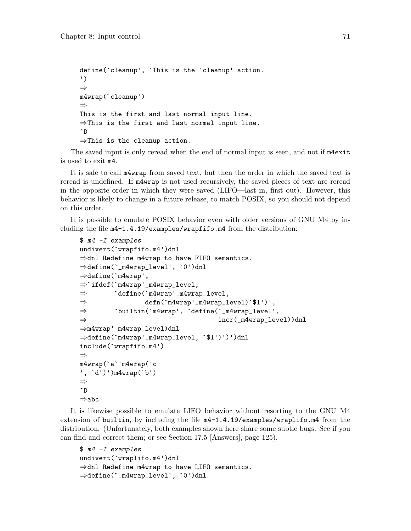```
define(`cleanup', `This is the `cleanup' action.
')
⇒
m4wrap(`cleanup')
⇒
This is the first and last normal input line.
⇒This is the first and last normal input line.
\hat{D}⇒This is the cleanup action.
```
The saved input is only reread when the end of normal input is seen, and not if m4exit is used to exit m4.

It is safe to call m4wrap from saved text, but then the order in which the saved text is reread is undefined. If m4wrap is not used recursively, the saved pieces of text are reread in the opposite order in which they were saved (LIFO—last in, first out). However, this behavior is likely to change in a future release, to match POSIX, so you should not depend on this order.

It is possible to emulate POSIX behavior even with older versions of GNU M4 by including the file m4-1.4.19/examples/wrapfifo.m4 from the distribution:

```
$ m4 -I examples
undivert(`wrapfifo.m4')dnl
⇒dnl Redefine m4wrap to have FIFO semantics.
⇒define(`_m4wrap_level', `0')dnl
⇒define(`m4wrap',
⇒`ifdef(`m4wrap'_m4wrap_level,
⇒ `define(`m4wrap'_m4wrap_level,
⇒ defn(`m4wrap'_m4wrap_level)`$1')',
⇒ `builtin(`m4wrap', `define(`_m4wrap_level',
\Rightarrow incr(_m4wrap_level))dnl
⇒m4wrap'_m4wrap_level)dnl
⇒define(`m4wrap'_m4wrap_level, `$1')')')dnl
include(`wrapfifo.m4')
⇒
m4wrap(`a`'m4wrap(`c
', `d')')m4wrap(`b')
⇒
\hat{D}⇒abc
```
It is likewise possible to emulate LIFO behavior without resorting to the GNU M4 extension of builtin, by including the file m4-1.4.19/examples/wraplifo.m4 from the distribution. (Unfortunately, both examples shown here share some subtle bugs. See if you can find and correct them; or see [Section 17.5 \[Answers\], page 125\)](#page-130-0).

```
$ m4 -I examples
undivert(`wraplifo.m4')dnl
⇒dnl Redefine m4wrap to have LIFO semantics.
⇒define(`_m4wrap_level', `0')dnl
```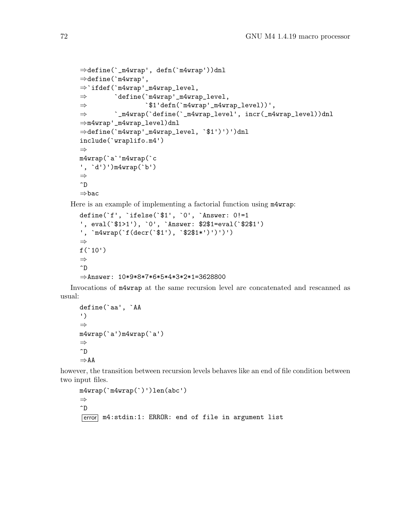```
⇒define(`_m4wrap', defn(`m4wrap'))dnl
⇒define(`m4wrap',
⇒`ifdef(`m4wrap'_m4wrap_level,
⇒ `define(`m4wrap'_m4wrap_level,
\Rightarrow \hat{J}1'defn(\hat{m}4wrap'\hat{m}4wrap\_level))',⇒ `_m4wrap(`define(`_m4wrap_level', incr(_m4wrap_level))dnl
\Rightarrowm4wrap'_m4wrap_level)dnl
⇒define(`m4wrap'_m4wrap_level, `$1')')')dnl
include(`wraplifo.m4')
⇒
m4wrap(`a`'m4wrap(`c
', `d')')m4wrap(`b')
⇒
\hat{D}⇒bac
```
Here is an example of implementing a factorial function using m4wrap:

```
define(`f', `ifelse(`$1', `0', `Answer: 0!=1
', eval(`$1>1'), `0', `Answer: $2$1=eval(`$2$1')
', `m4wrap(`f(decr(`$1'), `$2$1*')')')')
⇒
f('10')⇒
\hat{D}⇒Answer: 10*9*8*7*6*5*4*3*2*1=3628800
```
Invocations of m4wrap at the same recursion level are concatenated and rescanned as usual:

```
define(`aa', `AA
')
⇒
m4wrap(`a')m4wrap(`a')
⇒
\hat{D}⇒AA
```
however, the transition between recursion levels behaves like an end of file condition between two input files.

```
m4wrap(`m4wrap(`)')len(abc')
⇒
\hat{D}[error] m4:stdin:1: ERROR: end of file in argument list
```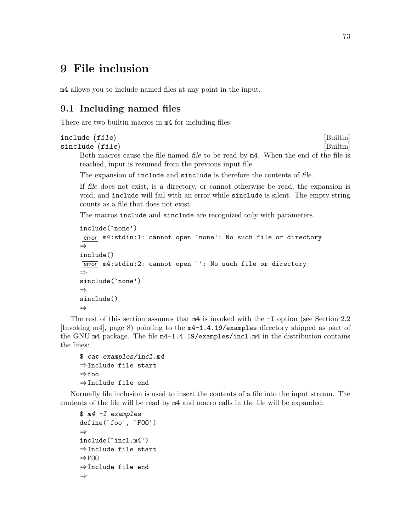# 9 File inclusion

m4 allows you to include named files at any point in the input.

## <span id="page-78-0"></span>9.1 Including named files

There are two builtin macros in  $m4$  for including files:

# include (file) [Builtin]

sinclude (file) [Builtin] Both macros cause the file named file to be read by m4. When the end of the file is reached, input is resumed from the previous input file.

The expansion of include and sinclude is therefore the contents of file.

If file does not exist, is a directory, or cannot otherwise be read, the expansion is void, and include will fail with an error while sinclude is silent. The empty string counts as a file that does not exist.

The macros include and sinclude are recognized only with parameters.

```
include(`none')
[error] m4:stdin:1: cannot open 'none': No such file or directory
⇒
include()
error m4:stdin:2: cannot open `': No such file or directory
⇒
sinclude(`none')
⇒
sinclude()
⇒
```
The rest of this section assumes that m4 is invoked with the -I option (see [Section 2.2](#page-13-0) [\[Invoking m4\], page 8\)](#page-13-0) pointing to the m4-1.4.19/examples directory shipped as part of the GNU m4 package. The file m4-1.4.19/examples/incl.m4 in the distribution contains the lines:

```
$ cat examples/incl.m4
⇒Include file start
⇒foo
⇒Include file end
```
Normally file inclusion is used to insert the contents of a file into the input stream. The contents of the file will be read by m4 and macro calls in the file will be expanded:

```
$ m4 -I examples
define(`foo', `FOO')
⇒
include(`incl.m4')
⇒Include file start
\RightarrowFOO
⇒Include file end
⇒
```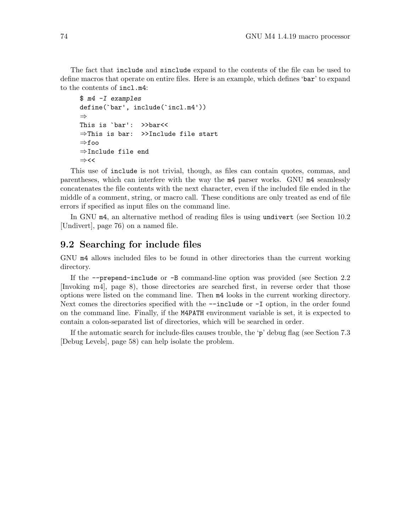The fact that include and sinclude expand to the contents of the file can be used to define macros that operate on entire files. Here is an example, which defines 'bar' to expand to the contents of incl.m4:

```
$ m4 -I examples
define(`bar', include(`incl.m4'))
⇒
This is `bar': >>bar<<
⇒This is bar: >>Include file start
⇒foo
⇒Include file end
⇒<<
```
This use of include is not trivial, though, as files can contain quotes, commas, and parentheses, which can interfere with the way the m4 parser works. GNU m4 seamlessly concatenates the file contents with the next character, even if the included file ended in the middle of a comment, string, or macro call. These conditions are only treated as end of file errors if specified as input files on the command line.

In GNU m4, an alternative method of reading files is using undivert (see [Section 10.2](#page-81-0) [\[Undivert\], page 76](#page-81-0)) on a named file.

#### 9.2 Searching for include files

GNU m4 allows included files to be found in other directories than the current working directory.

If the --prepend-include or -B command-line option was provided (see [Section 2.2](#page-13-0) [\[Invoking m4\], page 8](#page-13-0)), those directories are searched first, in reverse order that those options were listed on the command line. Then m4 looks in the current working directory. Next comes the directories specified with the  $\text{-include}$  or  $\text{-I}$  option, in the order found on the command line. Finally, if the M4PATH environment variable is set, it is expected to contain a colon-separated list of directories, which will be searched in order.

If the automatic search for include-files causes trouble, the 'p' debug flag (see [Section 7.3](#page-63-0) [\[Debug Levels\], page 58\)](#page-63-0) can help isolate the problem.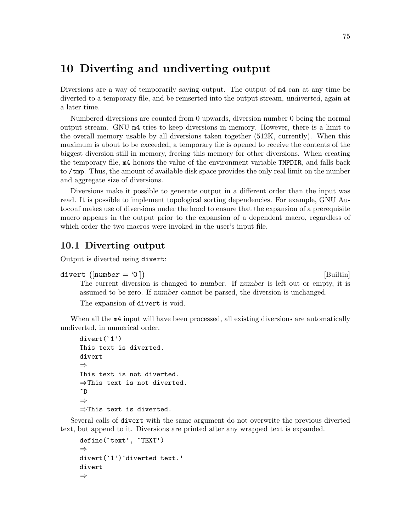## 10 Diverting and undiverting output

Diversions are a way of temporarily saving output. The output of m4 can at any time be diverted to a temporary file, and be reinserted into the output stream, undiverted, again at a later time.

Numbered diversions are counted from 0 upwards, diversion number 0 being the normal output stream. GNU m4 tries to keep diversions in memory. However, there is a limit to the overall memory usable by all diversions taken together (512K, currently). When this maximum is about to be exceeded, a temporary file is opened to receive the contents of the biggest diversion still in memory, freeing this memory for other diversions. When creating the temporary file, m4 honors the value of the environment variable TMPDIR, and falls back to /tmp. Thus, the amount of available disk space provides the only real limit on the number and aggregate size of diversions.

Diversions make it possible to generate output in a different order than the input was read. It is possible to implement topological sorting dependencies. For example, GNU Autoconf makes use of diversions under the hood to ensure that the expansion of a prerequisite macro appears in the output prior to the expansion of a dependent macro, regardless of which order the two macros were invoked in the user's input file.

#### 10.1 Diverting output

Output is diverted using divert:

divert  $(\lceil number = '0' \rceil)$  [Builtin]

The current diversion is changed to number. If number is left out or empty, it is assumed to be zero. If number cannot be parsed, the diversion is unchanged.

The expansion of divert is void.

When all the  $m4$  input will have been processed, all existing diversions are automatically undiverted, in numerical order.

```
divert(`1')
This text is diverted.
divert
⇒
This text is not diverted.
⇒This text is not diverted.
\hat{D}⇒
⇒This text is diverted.
```
Several calls of divert with the same argument do not overwrite the previous diverted text, but append to it. Diversions are printed after any wrapped text is expanded.

```
define(`text', `TEXT')
⇒
divert(`1')`diverted text.'
divert
⇒
```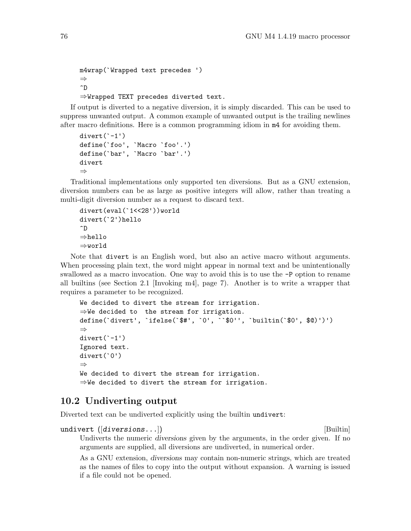```
m4wrap(`Wrapped text precedes ')
⇒
\hat{D}⇒Wrapped TEXT precedes diverted text.
```
If output is diverted to a negative diversion, it is simply discarded. This can be used to suppress unwanted output. A common example of unwanted output is the trailing newlines after macro definitions. Here is a common programming idiom in m4 for avoiding them.

```
divert(`-1')
define(`foo', `Macro `foo'.')
define(`bar', `Macro `bar'.')
divert
⇒
```
Traditional implementations only supported ten diversions. But as a GNU extension, diversion numbers can be as large as positive integers will allow, rather than treating a multi-digit diversion number as a request to discard text.

```
divert(eval(`1<<28'))world
divert(`2')hello
\hat{D}⇒hello
⇒world
```
Note that divert is an English word, but also an active macro without arguments. When processing plain text, the word might appear in normal text and be unintentionally swallowed as a macro invocation. One way to avoid this is to use the -P option to rename all builtins (see [Section 2.1 \[Invoking m4\], page 7\)](#page-12-0). Another is to write a wrapper that requires a parameter to be recognized.

```
We decided to divert the stream for irrigation.
⇒We decided to the stream for irrigation.
define(`divert', `ifelse(`$#', `0', ``$0'', `builtin(`$0', $@)')')
⇒
divert('-1')Ignored text.
divert(`0')
⇒
We decided to divert the stream for irrigation.
⇒We decided to divert the stream for irrigation.
```
#### <span id="page-81-0"></span>10.2 Undiverting output

Diverted text can be undiverted explicitly using the builtin undivert:

```
undivert (|diverisions...|) [Builtin]
```
Undiverts the numeric diversions given by the arguments, in the order given. If no arguments are supplied, all diversions are undiverted, in numerical order.

As a GNU extension, diversions may contain non-numeric strings, which are treated as the names of files to copy into the output without expansion. A warning is issued if a file could not be opened.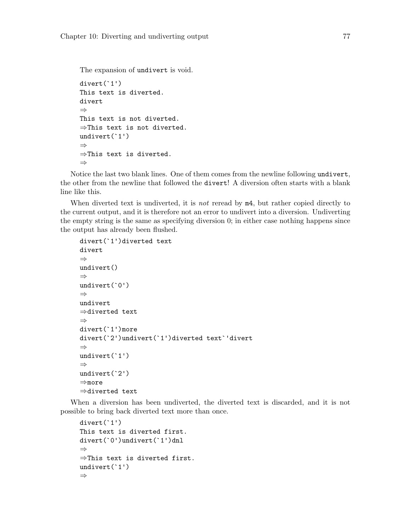The expansion of undivert is void.

```
divert(`1')
This text is diverted.
divert
⇒
This text is not diverted.
⇒This text is not diverted.
undivert(`1')
⇒
⇒This text is diverted.
⇒
```
Notice the last two blank lines. One of them comes from the newline following undivert, the other from the newline that followed the divert! A diversion often starts with a blank line like this.

When diverted text is undiverted, it is *not* reread by  $m4$ , but rather copied directly to the current output, and it is therefore not an error to undivert into a diversion. Undiverting the empty string is the same as specifying diversion 0; in either case nothing happens since the output has already been flushed.

```
divert(`1')diverted text
divert
⇒
undivert()
⇒
undivert(`0')
⇒
undivert
⇒diverted text
⇒
divert(`1')more
divert(`2')undivert(`1')diverted text`'divert
⇒
undivert(`1')
⇒
undivert(`2')
⇒more
⇒diverted text
```
When a diversion has been undiverted, the diverted text is discarded, and it is not possible to bring back diverted text more than once.

```
divert(`1')
This text is diverted first.
divert(`0')undivert(`1')dnl
⇒
⇒This text is diverted first.
undivert(`1')
⇒
```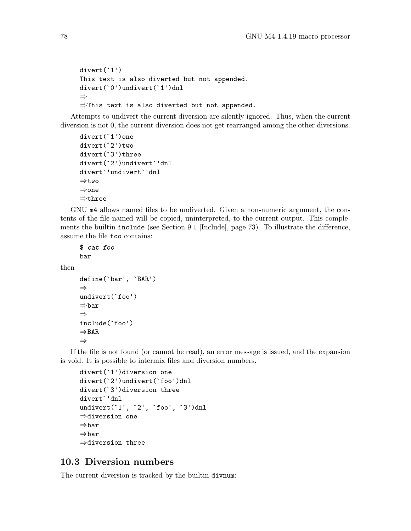```
divert(`1')
This text is also diverted but not appended.
divert(`0')undivert(`1')dnl
⇒
⇒This text is also diverted but not appended.
```
Attempts to undivert the current diversion are silently ignored. Thus, when the current diversion is not 0, the current diversion does not get rearranged among the other diversions.

```
divert(`1')one
divert(`2')two
divert(`3')three
divert(`2')undivert`'dnl
divert`'undivert`'dnl
⇒two
⇒one
⇒three
```
GNU m4 allows named files to be undiverted. Given a non-numeric argument, the contents of the file named will be copied, uninterpreted, to the current output. This complements the builtin include (see [Section 9.1 \[Include\], page 73\)](#page-78-0). To illustrate the difference, assume the file foo contains:

```
$ cat foo
bar
```
then

```
define(`bar', `BAR')
⇒
undivert(`foo')
⇒bar
⇒
include(`foo')
⇒BAR
⇒
```
If the file is not found (or cannot be read), an error message is issued, and the expansion is void. It is possible to intermix files and diversion numbers.

```
divert(`1')diversion one
divert(`2')undivert(`foo')dnl
divert(`3')diversion three
divert`'dnl
undivert('1', '2', 'foo', '3')dnl
⇒diversion one
⇒bar
⇒bar
⇒diversion three
```
#### 10.3 Diversion numbers

The current diversion is tracked by the builtin divnum: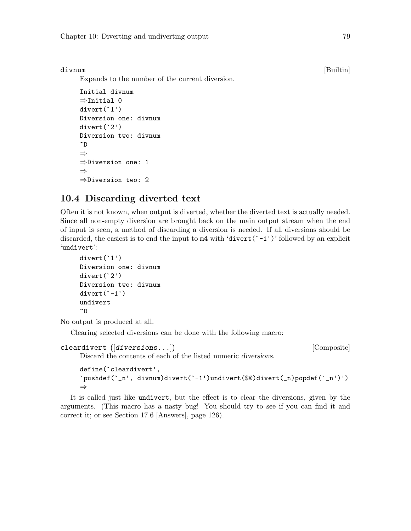Expands to the number of the current diversion.

```
Initial divnum
⇒Initial 0
divert(`1')
Diversion one: divnum
divert(`2')
Diversion two: divnum
\widehat{\phantom{a}}⇒
⇒Diversion one: 1
⇒
⇒Diversion two: 2
```
## 10.4 Discarding diverted text

Often it is not known, when output is diverted, whether the diverted text is actually needed. Since all non-empty diversion are brought back on the main output stream when the end of input is seen, a method of discarding a diversion is needed. If all diversions should be discarded, the easiest is to end the input to  $m4$  with 'divert('-1')' followed by an explicit 'undivert':

```
divert(`1')
Diversion one: divnum
divert(`2')
Diversion two: divnum
divert(`-1')
undivert
\hat{D}
```
No output is produced at all.

Clearing selected diversions can be done with the following macro:

```
cleardivert (\text{diversions} \dots) [Composite]
```
Discard the contents of each of the listed numeric diversions.

```
define(`cleardivert',
`pushdef(`_n', divnum)divert(`-1')undivert($@)divert(_n)popdef(`_n')')
⇒
```
It is called just like undivert, but the effect is to clear the diversions, given by the arguments. (This macro has a nasty bug! You should try to see if you can find it and correct it; or see [Section 17.6 \[Answers\], page 126\)](#page-131-0).

divnum [Builtin]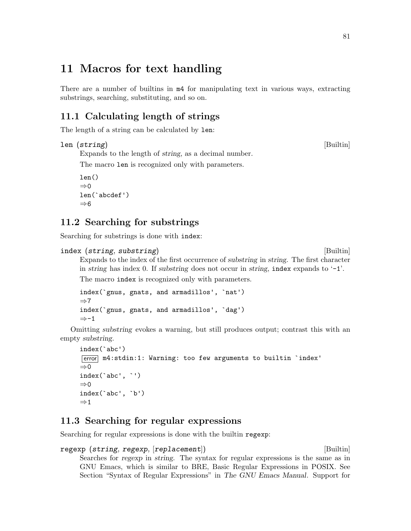## 11 Macros for text handling

There are a number of builtins in m4 for manipulating text in various ways, extracting substrings, searching, substituting, and so on.

## 11.1 Calculating length of strings

The length of a string can be calculated by len:

```
len (string) [Builtin]
```
Expands to the length of string, as a decimal number. The macro len is recognized only with parameters.

```
len()
\Rightarrow 0
len(`abcdef')
⇒6
```
## 11.2 Searching for substrings

Searching for substrings is done with index:

```
index (string, substring) [Builtin]
```
Expands to the index of the first occurrence of substring in string. The first character in string has index 0. If substring does not occur in string, index expands to  $-1$ . The macro index is recognized only with parameters.

```
index(`gnus, gnats, and armadillos', `nat')
⇒7
index(`gnus, gnats, and armadillos', `dag')
⇒-1
```
Omitting substring evokes a warning, but still produces output; contrast this with an empty substring.

```
index(`abc')
error m4:stdin:1: Warning: too few arguments to builtin `index'
\Rightarrow 0
index(`abc', `')
⇒0
index(`abc', `b')
\Rightarrow 1
```
#### <span id="page-86-0"></span>11.3 Searching for regular expressions

Searching for regular expressions is done with the builtin regexp:

```
regexp (string, regexp, [replacement]) [Builtin]
```
Searches for regexp in string. The syntax for regular expressions is the same as in GNU Emacs, which is similar to BRE, Basic Regular Expressions in POSIX. See Section "Syntax of Regular Expressions" in The GNU Emacs Manual. Support for

#### 81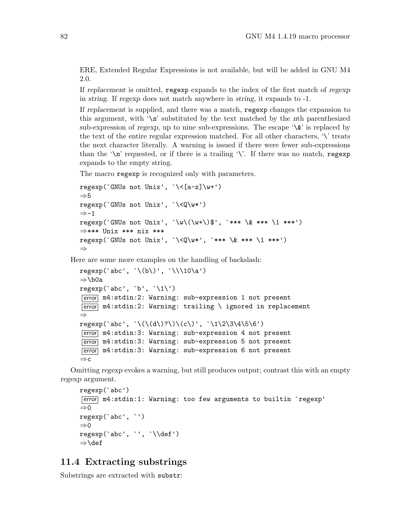ERE, Extended Regular Expressions is not available, but will be added in GNU M4 2.0.

If replacement is omitted, regexp expands to the index of the first match of regexp in string. If regexp does not match anywhere in string, it expands to -1.

If replacement is supplied, and there was a match, regexp changes the expansion to this argument, with  $\Lambda$  'substituted by the text matched by the nth parenthesized sub-expression of regexp, up to nine sub-expressions. The escape  $\forall x$  is replaced by the text of the entire regular expression matched. For all other characters,  $\langle \cdot \rangle$  treats the next character literally. A warning is issued if there were fewer sub-expressions than the ' $\langle n \rangle$ ' requested, or if there is a trailing ' $\langle \cdot \rangle$ '. If there was no match, regexp expands to the empty string.

The macro regexp is recognized only with parameters.

```
regexp('GWUs not Unix', '\\([a-z]\w+')\Rightarrow 5
regexp(`GNUs not Unix', `\<Q\w*')
⇒-1
regexp('GNUs not Unix', '\w\(\w+\)$', '*** \& *** \1 ***')
⇒*** Unix *** nix ***
regexp(`GNUs not Unix', `\<Q\w*', `*** \& *** \1 ***')
⇒
```
Here are some more examples on the handling of backslash:

```
regexp('abc', '\\(b'))', '\\(10\a')⇒\b0a
regexp('abc', 'b', '1\)
[error] m4:stdin:2: Warning: sub-expression 1 not present
\overline{\text{error}} m4:stdin:2: Warning: trailing \ ignored in replacement
⇒
regexp('abc', \lq(\d\))?\\)(c\)', \lq(1\2\3\4\5\6')[error] m4:stdin:3: Warning: sub-expression 4 not present
[error] m4:stdin:3: Warning: sub-expression 5 not present
error m4:stdin:3: Warning: sub-expression 6 not present
⇒c
```
Omitting regexp evokes a warning, but still produces output; contrast this with an empty regexp argument.

```
regexp(`abc')
error m4:stdin:1: Warning: too few arguments to builtin `regexp'
⇒0
regexp(`abc', `')
\Rightarrow 0
regexp(`abc', `', `\\def')
⇒\def
```
#### 11.4 Extracting substrings

Substrings are extracted with substr: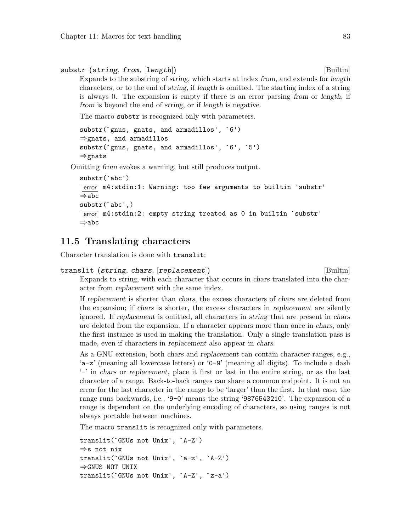```
substr (string, from, [length]) [Builtin]
```
Expands to the substring of string, which starts at index from, and extends for length characters, or to the end of string, if length is omitted. The starting index of a string is always 0. The expansion is empty if there is an error parsing from or length, if from is beyond the end of string, or if length is negative.

The macro substr is recognized only with parameters.

```
substr(`gnus, gnats, and armadillos', `6')
⇒gnats, and armadillos
substr(`gnus, gnats, and armadillos', `6', `5')
⇒gnats
```
Omitting from evokes a warning, but still produces output.

```
substr(`abc')
error m4:stdin:1: Warning: too few arguments to builtin `substr'
⇒abc
substr(`abc',)
error m4:stdin:2: empty string treated as 0 in builtin `substr'
⇒abc
```
#### 11.5 Translating characters

Character translation is done with translit:

```
translit (string, chars, [replacement]) [Builtin]
    Expands to string, with each character that occurs in chars translated into the char-
```
acter from replacement with the same index.

If replacement is shorter than chars, the excess characters of chars are deleted from the expansion; if chars is shorter, the excess characters in replacement are silently ignored. If replacement is omitted, all characters in string that are present in chars are deleted from the expansion. If a character appears more than once in chars, only the first instance is used in making the translation. Only a single translation pass is made, even if characters in replacement also appear in chars.

As a GNU extension, both chars and replacement can contain character-ranges, e.g., 'a-z' (meaning all lowercase letters) or '0-9' (meaning all digits). To include a dash '-' in chars or replacement, place it first or last in the entire string, or as the last character of a range. Back-to-back ranges can share a common endpoint. It is not an error for the last character in the range to be 'larger' than the first. In that case, the range runs backwards, i.e., '9-0' means the string '9876543210'. The expansion of a range is dependent on the underlying encoding of characters, so using ranges is not always portable between machines.

The macro translit is recognized only with parameters.

```
translit(`GNUs not Unix', `A-Z')
⇒s not nix
translit(`GNUs not Unix', `a-z', `A-Z')
⇒GNUS NOT UNIX
translit(`GNUs not Unix', `A-Z', `z-a')
```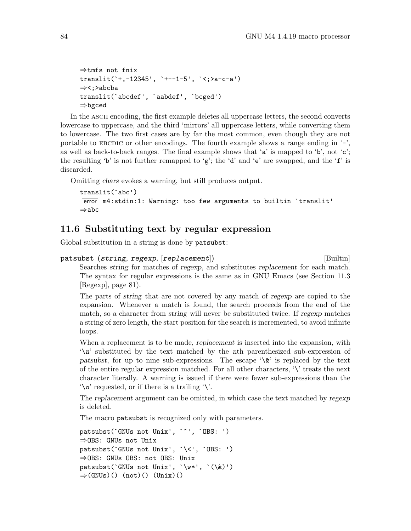```
⇒tmfs not fnix
translit(`+,-12345', `+--1-5', `<;>a-c-a')
⇒<;>abcba
translit(`abcdef', `aabdef', `bcged')
⇒bgced
```
In the ASCII encoding, the first example deletes all uppercase letters, the second converts lowercase to uppercase, and the third 'mirrors' all uppercase letters, while converting them to lowercase. The two first cases are by far the most common, even though they are not portable to EBCDIC or other encodings. The fourth example shows a range ending in  $-$ , as well as back-to-back ranges. The final example shows that 'a' is mapped to 'b', not 'c'; the resulting 'b' is not further remapped to 'g'; the 'd' and 'e' are swapped, and the 'f' is discarded.

Omitting chars evokes a warning, but still produces output.

```
translit(`abc')
error m4:stdin:1: Warning: too few arguments to builtin `translit'
⇒abc
```
#### 11.6 Substituting text by regular expression

Global substitution in a string is done by patsubst:

```
patsubst (string, regexp, [replacement]) [Builtin]
    Searches string for matches of regexp, and substitutes replacement for each match.
```
The syntax for regular expressions is the same as in GNU Emacs (see [Section 11.3](#page-86-0) [\[Regexp\], page 81\)](#page-86-0).

The parts of string that are not covered by any match of regexp are copied to the expansion. Whenever a match is found, the search proceeds from the end of the match, so a character from string will never be substituted twice. If regexp matches a string of zero length, the start position for the search is incremented, to avoid infinite loops.

When a replacement is to be made, replacement is inserted into the expansion, with '\n' substituted by the text matched by the nth parenthesized sub-expression of patsubst, for up to nine sub-expressions. The escape  $\&$  is replaced by the text of the entire regular expression matched. For all other characters,  $\setminus$  treats the next character literally. A warning is issued if there were fewer sub-expressions than the  $\lambda$ <sup>'</sup> $\alpha$ <sup>'</sup> requested, or if there is a trailing  $\lambda$ '.

The replacement argument can be omitted, in which case the text matched by regexp is deleted.

The macro patsubst is recognized only with parameters.

```
patsubst(`GNUs not Unix', `^', `OBS: ')
⇒OBS: GNUs not Unix
patsubst(`GNUs not Unix', `\<', `OBS: ')
⇒OBS: GNUs OBS: not OBS: Unix
patsubst(`GNUs not Unix', `\w*', `(\&)')
\Rightarrow (GNUs)() (not)() (Unix)()
```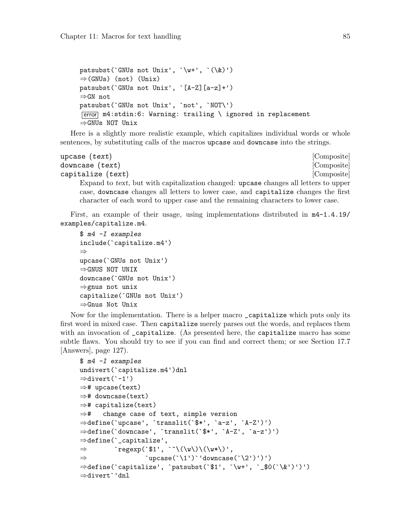```
patsubst(`GNUs not Unix', `\w+', `(\&)')
\Rightarrow (GNUs) (not) (Unix)
patsubst(`GNUs not Unix', `[A-Z][a-z]+')
⇒GN not
patsubst(`GNUs not Unix', `not', `NOT\')
\overline{\text{error}} m4:stdin:6: Warning: trailing \ ignored in replacement
⇒GNUs NOT Unix
```
Here is a slightly more realistic example, which capitalizes individual words or whole sentences, by substituting calls of the macros upcase and downcase into the strings.

```
upcase (text) [Composite]
downcase (text) [Composite]
capitalize (text) [Composite]
   Expand to text, but with capitalization changed: upcase changes all letters to upper
   case, downcase changes all letters to lower case, and capitalize changes the first
   character of each word to upper case and the remaining characters to lower case.
```
First, an example of their usage, using implementations distributed in m4-1.4.19/ examples/capitalize.m4.

```
$ m4 -I examples
include(`capitalize.m4')
⇒
upcase(`GNUs not Unix')
⇒GNUS NOT UNIX
downcase(`GNUs not Unix')
⇒gnus not unix
capitalize(`GNUs not Unix')
⇒Gnus Not Unix
```
Now for the implementation. There is a helper macro \_capitalize which puts only its first word in mixed case. Then capitalize merely parses out the words, and replaces them with an invocation of capitalize. (As presented here, the capitalize macro has some subtle flaws. You should try to see if you can find and correct them; or see [Section 17.7](#page-132-0) [\[Answers\], page 127](#page-132-0)).

```
$ m4 -I examples
undivert(`capitalize.m4')dnl
⇒divert(`-1')
⇒# upcase(text)
⇒# downcase(text)
⇒# capitalize(text)
⇒# change case of text, simple version
⇒define(`upcase', `translit(`$*', `a-z', `A-Z')')
⇒define(`downcase', `translit(`$*', `A-Z', `a-z')')
⇒define(`_capitalize',
\Rightarrow `regexp(`$1', `^\(\w\)\(\w*\)',
\Rightarrow `upcase(`\1')`'downcase(`\2')')')
⇒define(`capitalize', `patsubst(`$1', `\w+', `_$0(`\&')')')
⇒divert`'dnl
```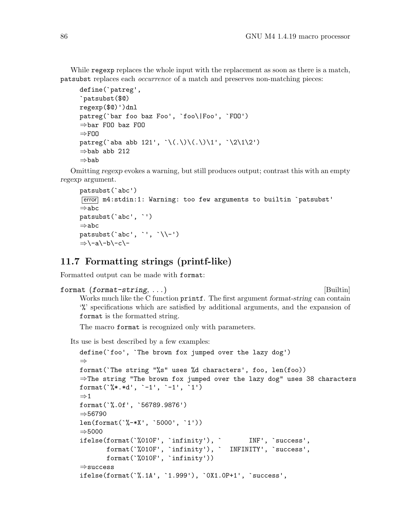While regexp replaces the whole input with the replacement as soon as there is a match, patsubst replaces each occurrence of a match and preserves non-matching pieces:

```
define(`patreg',
`patsubst($@)
regexp($@)')dnl
patreg(`bar foo baz Foo', `foo\|Foo', `FOO')
⇒bar FOO baz FOO
⇒FOO
patreg('aba abb 121', '\(.\)\(.\)\1', '\2\1\2')
⇒bab abb 212
⇒bab
```
Omitting regexp evokes a warning, but still produces output; contrast this with an empty regexp argument.

```
patsubst(`abc')
[error] m4:stdin:1: Warning: too few arguments to builtin `patsubst'
⇒abc
patsubst(`abc', `')
⇒abc
patsubst('abc', '', '\setminus-')
⇒\-a\-b\-c\-
```
#### 11.7 Formatting strings (printf-like)

Formatted output can be made with format:

```
format (format-string, ...) [Builtin]
```
Works much like the C function printf. The first argument format-string can contain '%' specifications which are satisfied by additional arguments, and the expansion of format is the formatted string.

The macro format is recognized only with parameters.

Its use is best described by a few examples:

```
define(`foo', `The brown fox jumped over the lazy dog')
⇒
format(`The string "%s" uses %d characters', foo, len(foo))
⇒The string "The brown fox jumped over the lazy dog" uses 38 characters
format(\sqrt[6]{*}.*d', \sqrt[-1]{-1'}, \sqrt[-1]{1'})
\Rightarrow 1
format(`%.0f', `56789.9876')
⇒56790
len(format(`%-*X', `5000', `1'))
⇒5000
ifelse(format(`%010F', `infinity'), ` INF', `success',
       format(`%010F', `infinity'), ` INFINITY', `success',
       format(`%010F', `infinity'))
⇒success
ifelse(format(`%.1A', `1.999'), `0X1.0P+1', `success',
```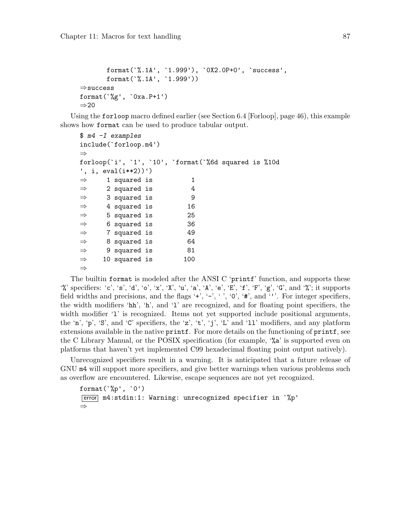```
format(`%.1A', `1.999'), `0X2.0P+0', `success',
       format(`%.1A', `1.999'))
⇒success
format(`%g', `0xa.P+1')
⇒20
```
Using the forloop macro defined earlier (see [Section 6.4 \[Forloop\], page 46\)](#page-51-0), this example shows how format can be used to produce tabular output.

```
$ m4 -I examples
include(`forloop.m4')
⇒
forloop(`i', `1', `10', `format(`%6d squared is %10d
', i, eval(i**2))')
\Rightarrow 1 squared is 1
\Rightarrow 2 squared is 4
\Rightarrow 3 squared is 9
\Rightarrow 4 squared is 16
\Rightarrow 5 squared is 25
\Rightarrow 6 squared is 36
\Rightarrow 7 squared is 49
\Rightarrow 8 squared is 64
\Rightarrow 9 squared is 81
\Rightarrow 10 squared is 100
⇒
```
The builtin format is modeled after the ANSI C 'printf' function, and supports these  $\mathcal{C}'$  specifiers: 'c', 's', 'd', 'o', 'x', 'X', 'u', 'a', 'A', 'e', 'E', 'f', 'F', 'g', 'G', and  $\mathcal{C}'$ ; it supports field widths and precisions, and the flags '+', '-', '', '0', '#', and '''. For integer specifiers, the width modifiers 'hh', 'h', and 'l' are recognized, and for floating point specifiers, the width modifier '1' is recognized. Items not yet supported include positional arguments, the 'n', 'p', 'S', and 'C' specifiers, the 'z', 't', 'j', 'L' and '11' modifiers, and any platform extensions available in the native printf. For more details on the functioning of printf, see the C Library Manual, or the POSIX specification (for example, '%a' is supported even on platforms that haven't yet implemented C99 hexadecimal floating point output natively).

Unrecognized specifiers result in a warning. It is anticipated that a future release of GNU m4 will support more specifiers, and give better warnings when various problems such as overflow are encountered. Likewise, escape sequences are not yet recognized.

```
format(\hat{C}_{p}^{\prime\prime}, \hat{O}^{\prime})error m4:stdin:1: Warning: unrecognized specifier in `%p'
⇒
```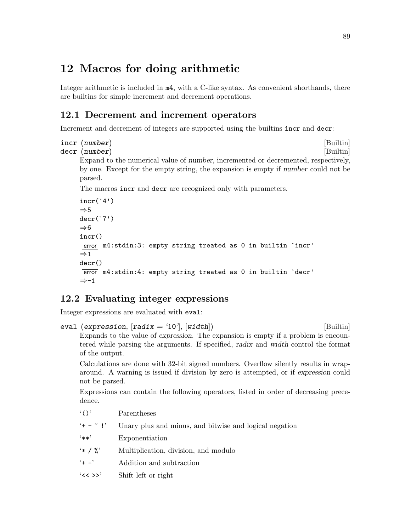# 12 Macros for doing arithmetic

Integer arithmetic is included in m4, with a C-like syntax. As convenient shorthands, there are builtins for simple increment and decrement operations.

## 12.1 Decrement and increment operators

Increment and decrement of integers are supported using the builtins incr and decr:

```
incr (number) [Builtin]
```

```
decr (number) [Builtin]
```
Expand to the numerical value of number, incremented or decremented, respectively, by one. Except for the empty string, the expansion is empty if number could not be parsed.

The macros incr and decr are recognized only with parameters.

```
incr('4')\Rightarrow 5
decr(`7')
⇒6
incr()
error m4:stdin:3: empty string treated as 0 in builtin `incr'
\Rightarrow 1
decr()
error m4:stdin:4: empty string treated as 0 in builtin `decr'
⇒-1
```
## 12.2 Evaluating integer expressions

Integer expressions are evaluated with eval:

```
eval (expression, [radix = '10'], [width]) [Builtin]
     Expands to the value of expression. The expansion is empty if a problem is encoun-
     tered while parsing the arguments. If specified, radix and width control the format
     of the output.
```
Calculations are done with 32-bit signed numbers. Overflow silently results in wraparound. A warning is issued if division by zero is attempted, or if expression could not be parsed.

Expressions can contain the following operators, listed in order of decreasing precedence.

- '()' Parentheses
- $'$  +  $\tilde{ }$  !' Unary plus and minus, and bitwise and logical negation
- '\*\*' Exponentiation
- '\* / %' Multiplication, division, and modulo
- '+ -' Addition and subtraction
- '<< >>' Shift left or right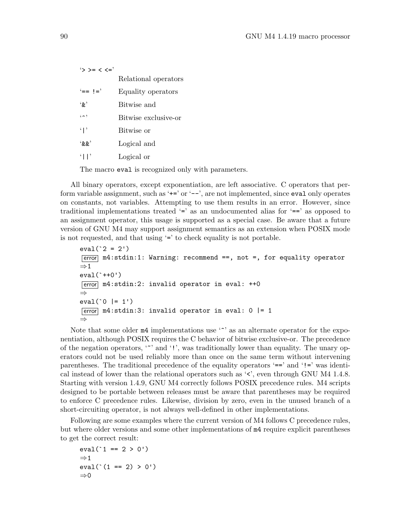| $\rightarrow$ >= < <=' |                      |
|------------------------|----------------------|
|                        | Relational operators |
| $' ==$ $!='$           | Equality operators   |
| $\cdot_{\alpha}$       | Bitwise and          |
| $($ $\sim$ $)$         | Bitwise exclusive-or |
| $\mathbf{F}$           | Bitwise or           |
| (x, y)                 | Logical and          |
| $\lceil \cdot \rceil$  | Logical or           |

The macro eval is recognized only with parameters.

All binary operators, except exponentiation, are left associative. C operators that perform variable assignment, such as ' $+=$ ' or ' $-$ ', are not implemented, since eval only operates on constants, not variables. Attempting to use them results in an error. However, since traditional implementations treated '=' as an undocumented alias for '==' as opposed to an assignment operator, this usage is supported as a special case. Be aware that a future version of GNU M4 may support assignment semantics as an extension when POSIX mode is not requested, and that using '=' to check equality is not portable.

```
eval('2 = 2')\overline{[error]} m4:stdin:1: Warning: recommend ==, not =, for equality operator
\Rightarrow 1
eval(`++0')
\overline{\text{error}} m4:stdin:2: invalid operator in eval: ++0
⇒
eval('0 |= 1')\overline{\text{error}} m4:stdin:3: invalid operator in eval: 0 \vert = 1
⇒
```
Note that some older  $m4$  implementations use '<sup>o</sup>' as an alternate operator for the exponentiation, although POSIX requires the C behavior of bitwise exclusive-or. The precedence of the negation operators, '~' and '!', was traditionally lower than equality. The unary operators could not be used reliably more than once on the same term without intervening parentheses. The traditional precedence of the equality operators '==' and '!=' was identical instead of lower than the relational operators such as '<', even through GNU M4 1.4.8. Starting with version 1.4.9, GNU M4 correctly follows POSIX precedence rules. M4 scripts designed to be portable between releases must be aware that parentheses may be required to enforce C precedence rules. Likewise, division by zero, even in the unused branch of a short-circuiting operator, is not always well-defined in other implementations.

Following are some examples where the current version of M4 follows C precedence rules, but where older versions and some other implementations of m4 require explicit parentheses to get the correct result:

```
eval('1 == 2 > 0')\Rightarrow 1
eval(' (1 == 2) > 0')⇒0
```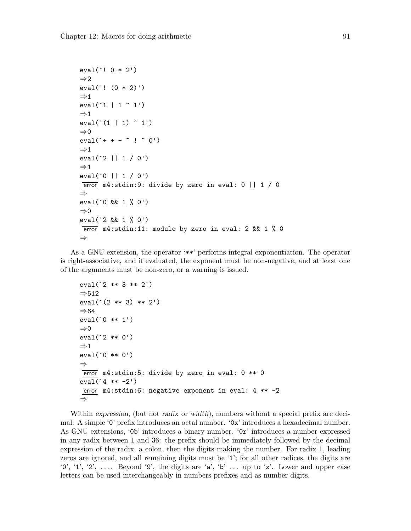```
eval(`! 0 * 2')
\Rightarrow 2
eval(`! (0 * 2)')
\Rightarrow 1
eval('1 | 1 ^ 1')\Rightarrow 1
eval('(1 | 1) ^ 1)\Rightarrow 0
eval('++ - " ! " 0')\Rightarrow 1
eval(`2 || 1 / 0')
\Rightarrow 1
eval(`0 || 1 / 0')
\boxed{\text{error}} m4:stdin:9: divide by zero in eval: 0 || 1 / 0
⇒
eval(`0 && 1 % 0')
\Rightarrow 0
eval(`2 && 1 % 0')
\overline{\text{error}} m4:stdin:11: modulo by zero in eval: 2 && 1 % 0
⇒
```
As a GNU extension, the operator '\*\*' performs integral exponentiation. The operator is right-associative, and if evaluated, the exponent must be non-negative, and at least one of the arguments must be non-zero, or a warning is issued.

```
eval(`2 ** 3 ** 2')
⇒512
eval(`(2 ** 3) ** 2')
⇒64
eval(`0 ** 1')
⇒0
eval(`2 ** 0')
\Rightarrow 1
eval(`0 ** 0')
⇒
error m4:stdin:5: divide by zero in eval: 0 ** 0
eval('4 ** -2')[error] m4:stdin:6: negative exponent in eval: 4 ** -2
⇒
```
Within expression, (but not radix or width), numbers without a special prefix are decimal. A simple '0' prefix introduces an octal number. '0x' introduces a hexadecimal number. As GNU extensions, '0b' introduces a binary number. '0r' introduces a number expressed in any radix between 1 and 36: the prefix should be immediately followed by the decimal expression of the radix, a colon, then the digits making the number. For radix 1, leading zeros are ignored, and all remaining digits must be '1'; for all other radices, the digits are '0', '1', '2', .... Beyond '9', the digits are 'a', 'b' ... up to 'z'. Lower and upper case letters can be used interchangeably in numbers prefixes and as number digits.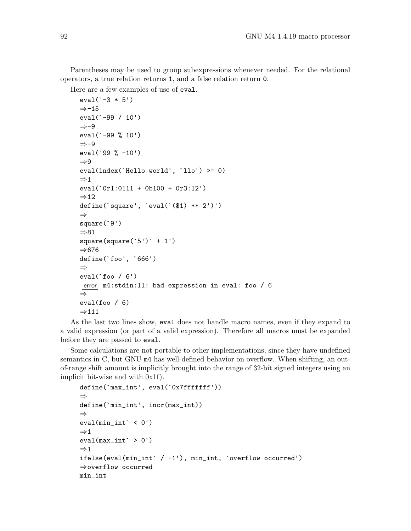Parentheses may be used to group subexpressions whenever needed. For the relational operators, a true relation returns 1, and a false relation return 0.

Here are a few examples of use of eval.

```
eval(`-3 * 5')
⇒-15
eval(`-99 / 10')
⇒-9
eval(`-99 % 10')
⇒-9
eval(`99 % -10')
⇒9
eval(index(`Hello world', `llo') >= 0)
⇒1
eval(`0r1:0111 + 0b100 + 0r3:12')
\Rightarrow 12
define(`square', `eval(`($1) ** 2')')
⇒
square(`9')
⇒81
square(square('5')` + 1')⇒676
define(`foo', `666')
⇒
eval('foo / 6')error m4:stdin:11: bad expression in eval: foo / 6
⇒
eval(foo / 6)
\Rightarrow 111
```
As the last two lines show, eval does not handle macro names, even if they expand to a valid expression (or part of a valid expression). Therefore all macros must be expanded before they are passed to eval.

Some calculations are not portable to other implementations, since they have undefined semantics in C, but GNU m4 has well-defined behavior on overflow. When shifting, an outof-range shift amount is implicitly brought into the range of 32-bit signed integers using an implicit bit-wise and with 0x1f).

```
define(`max_int', eval(`0x7fffffff'))
⇒
define(`min_int', incr(max_int))
⇒
eval(min\_int \cdot < 0')\Rightarrow 1
eval(max_int^* > 0')\Rightarrow 1
ifelse(eval(min_int` / -1'), min_int, `overflow occurred')
⇒overflow occurred
min_int
```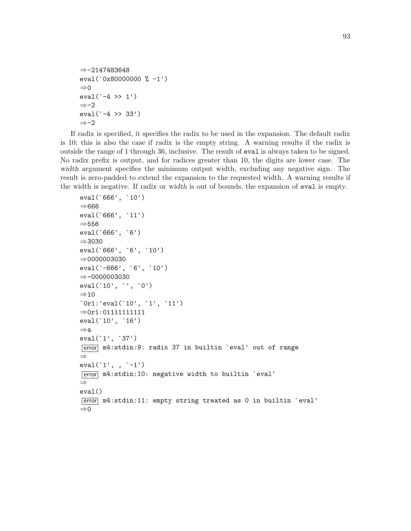```
⇒-2147483648
eval(`0x80000000 % -1')
\Rightarrow 0
eval(`-4 >> 1')
⇒-2
eval(`-4 >> 33')
⇒-2
```
If radix is specified, it specifies the radix to be used in the expansion. The default radix is 10; this is also the case if radix is the empty string. A warning results if the radix is outside the range of 1 through 36, inclusive. The result of eval is always taken to be signed. No radix prefix is output, and for radices greater than 10, the digits are lower case. The width argument specifies the minimum output width, excluding any negative sign. The result is zero-padded to extend the expansion to the requested width. A warning results if the width is negative. If radix or width is out of bounds, the expansion of eval is empty.

```
eval(`666', `10')
⇒666
eval(`666', `11')
⇒556
eval(`666', `6')
⇒3030
eval(`666', `6', `10')
⇒0000003030
eval(`-666', `6', `10')
⇒-0000003030
eval(`10', `', `0')
⇒10
`0r1:'eval(`10', `1', `11')
⇒0r1:01111111111
eval(`10', `16')
⇒a
eval(`1', `37')
error m4:stdin:9: radix 37 in builtin `eval' out of range
⇒
eval(`1', , `-1')
[error] m4:stdin:10: negative width to builtin `eval'
⇒
eval()
error m4:stdin:11: empty string treated as 0 in builtin `eval'
⇒0
```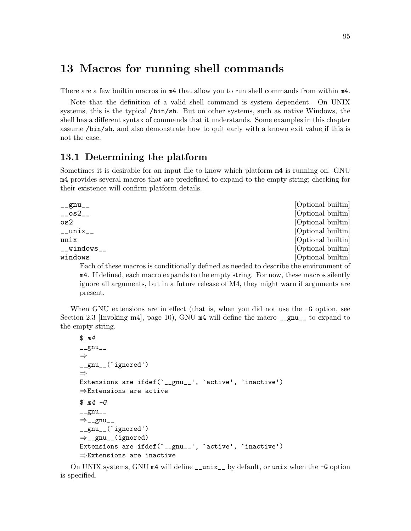## 13 Macros for running shell commands

There are a few builtin macros in m4 that allow you to run shell commands from within m4.

Note that the definition of a valid shell command is system dependent. On UNIX systems, this is the typical /bin/sh. But on other systems, such as native Windows, the shell has a different syntax of commands that it understands. Some examples in this chapter assume /bin/sh, and also demonstrate how to quit early with a known exit value if this is not the case.

#### 13.1 Determining the platform

Sometimes it is desirable for an input file to know which platform m4 is running on. GNU m4 provides several macros that are predefined to expand to the empty string; checking for their existence will confirm platform details.

| $\text{Lgmu}_{\text{L}}$                                                               | [Optional builtin] |
|----------------------------------------------------------------------------------------|--------------------|
| $_{-}$ $\circ$ s2 $_{-}$                                                               | [Optional builtin] |
| os2                                                                                    | [Optional builtin] |
| $\_$ unix $\_$                                                                         | [Optional builtin] |
| unix                                                                                   | [Optional builtin] |
| __windows__                                                                            | [Optional builtin] |
| windows                                                                                | [Optional builtin] |
| Each of these macros is conditionally defined as needed to describe the environment of |                    |
| m4. If defined each macro expands to the empty string. For now these macros silently   |                    |

ined, each macro expands to the empty string. For now, these macros silently ignore all arguments, but in a future release of M4, they might warn if arguments are present.

When GNU extensions are in effect (that is, when you did not use the  $-G$  option, see [Section 2.3 \[Invoking m4\], page 10\)](#page-15-0), GNU  $m4$  will define the macro  $\frac{m}{2}$  to expand to the empty string.

```
$ m4
\anglegnu\angle⇒
__gnu__(`ignored')
⇒
Extensions are ifdef(`__gnu__', `active', `inactive')
⇒Extensions are active
$ m4 - G_{-\text{gnu}_{--}}\Rightarrow __gnu__
__gnu__(`ignored')
⇒__gnu__(ignored)
Extensions are ifdef(`__gnu__', `active', `inactive')
⇒Extensions are inactive
```
On UNIX systems, GNU m4 will define \_\_unix\_\_ by default, or unix when the -G option is specified.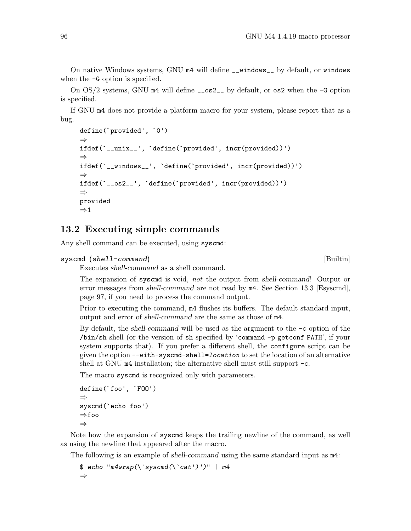On native Windows systems, GNU m4 will define \_\_windows\_\_ by default, or windows when the -G option is specified.

On  $OS/2$  systems, GNU  $m4$  will define  $\text{\_}s2_{\text{\_}}$  by default, or os2 when the  $-G$  option is specified.

If GNU m4 does not provide a platform macro for your system, please report that as a bug.

```
define(`provided', `0')
⇒
ifdef(`__unix__', `define(`provided', incr(provided))')
⇒
ifdef(`__windows__', `define(`provided', incr(provided))')
⇒
ifdef(`__os2__', `define(`provided', incr(provided))')
⇒
provided
\Rightarrow 1
```
#### 13.2 Executing simple commands

Any shell command can be executed, using syscmd:

```
syscmd (shell-command) [Builtin]
```
Executes shell-command as a shell command.

The expansion of syscmd is void, not the output from shell-command! Output or error messages from shell-command are not read by m4. See [Section 13.3 \[Esyscmd\],](#page-102-0) [page 97](#page-102-0), if you need to process the command output.

Prior to executing the command,  $m4$  flushes its buffers. The default standard input, output and error of shell-command are the same as those of m4.

By default, the shell-command will be used as the argument to the  $-c$  option of the /bin/sh shell (or the version of sh specified by 'command -p getconf PATH', if your system supports that). If you prefer a different shell, the configure script can be given the option --with-syscmd-shell=location to set the location of an alternative shell at GNU  $m4$  installation; the alternative shell must still support  $-c$ .

The macro syscmd is recognized only with parameters.

```
define(`foo', `FOO')
⇒
syscmd(`echo foo')
⇒foo
⇒
```
Note how the expansion of syscmd keeps the trailing newline of the command, as well as using the newline that appeared after the macro.

The following is an example of *shell-command* using the same standard input as  $m4$ :

```
$ echo "m4wrap(\s; systemd(\s; cat')')" | m4⇒
```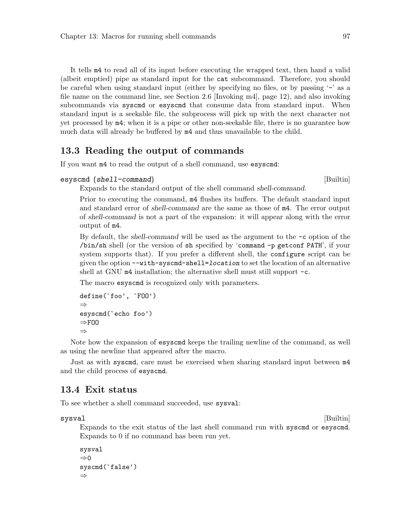It tells m4 to read all of its input before executing the wrapped text, then hand a valid (albeit emptied) pipe as standard input for the cat subcommand. Therefore, you should be careful when using standard input (either by specifying no files, or by passing '-' as a file name on the command line, see [Section 2.6 \[Invoking m4\], page 12](#page-17-0)), and also invoking subcommands via syscmd or esyscmd that consume data from standard input. When standard input is a seekable file, the subprocess will pick up with the next character not yet processed by m4; when it is a pipe or other non-seekable file, there is no guarantee how much data will already be buffered by m4 and thus unavailable to the child.

#### <span id="page-102-0"></span>13.3 Reading the output of commands

If you want m4 to read the output of a shell command, use esyscmd:

```
esyscmd (shell-command) and interest in the system of [{\rm Builtin}]
```
Expands to the standard output of the shell command shell-command.

Prior to executing the command, m4 flushes its buffers. The default standard input and standard error of shell-command are the same as those of m4. The error output of shell-command is not a part of the expansion: it will appear along with the error output of m4.

By default, the shell-command will be used as the argument to the  $-c$  option of the /bin/sh shell (or the version of sh specified by 'command -p getconf PATH', if your system supports that). If you prefer a different shell, the configure script can be given the option --with-syscmd-shell=location to set the location of an alternative shell at GNU m4 installation; the alternative shell must still support  $-c$ .

The macro esyscmd is recognized only with parameters.

```
define(`foo', `FOO')
⇒
esyscmd(`echo foo')
\RightarrowFOO
⇒
```
Note how the expansion of esyscmd keeps the trailing newline of the command, as well as using the newline that appeared after the macro.

Just as with syscmd, care must be exercised when sharing standard input between m4 and the child process of esyscmd.

#### 13.4 Exit status

To see whether a shell command succeeded, use sysval:

sysval [Builtin]

Expands to the exit status of the last shell command run with syscmd or esyscmd. Expands to 0 if no command has been run yet.

```
sysval
⇒0
syscmd(`false')
⇒
```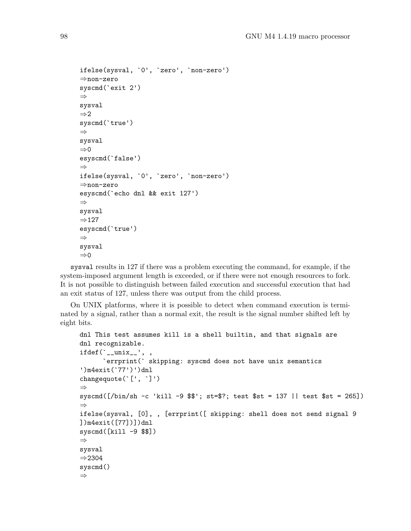```
ifelse(sysval, `0', `zero', `non-zero')
⇒non-zero
syscmd(`exit 2')
⇒
sysval
⇒2
syscmd(`true')
⇒
sysval
⇒0
esyscmd(`false')
⇒
ifelse(sysval, `0', `zero', `non-zero')
⇒non-zero
esyscmd(`echo dnl && exit 127')
⇒
sysval
⇒127
esyscmd(`true')
⇒
sysval
⇒0
```
sysval results in 127 if there was a problem executing the command, for example, if the system-imposed argument length is exceeded, or if there were not enough resources to fork. It is not possible to distinguish between failed execution and successful execution that had an exit status of 127, unless there was output from the child process.

On UNIX platforms, where it is possible to detect when command execution is terminated by a signal, rather than a normal exit, the result is the signal number shifted left by eight bits.

```
dnl This test assumes kill is a shell builtin, and that signals are
dnl recognizable.
ifdef('_\texttt{__unix__}', ,`errprint(` skipping: syscmd does not have unix semantics
')m4exit(`77')')dnl
changequote(`[', `]')
⇒
syscmd([/bin/sh -c 'kill -9 $$'; st=$?; test $st = 137 || test $st = 265])
⇒
ifelse(sysval, [0], , [errprint([ skipping: shell does not send signal 9
])m4exit([77])])dnl
syscmd([kill -9 $$])
⇒
sysval
⇒2304
syscmd()
⇒
```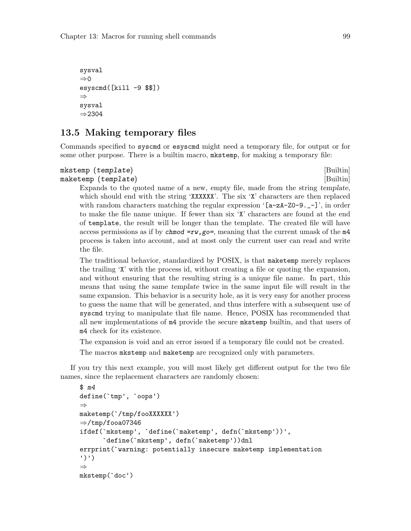```
sysval
\Rightarrow 0
esyscmd([kill -9 $$])
⇒
sysval
⇒2304
```
#### 13.5 Making temporary files

Commands specified to syscmd or esyscmd might need a temporary file, for output or for some other purpose. There is a builtin macro, mkstemp, for making a temporary file:

#### mkstemp (template) [Builtin] maketemp (template) [Builtin]

Expands to the quoted name of a new, empty file, made from the string template, which should end with the string 'XXXXXX'. The six 'X' characters are then replaced with random characters matching the regular expression  $\texttt{[a-zA-Z0-9,-]}'$ , in order to make the file name unique. If fewer than six 'X' characters are found at the end of template, the result will be longer than the template. The created file will have access permissions as if by chmod  $=rw$ , go=, meaning that the current umask of the  $m4$ process is taken into account, and at most only the current user can read and write the file.

The traditional behavior, standardized by POSIX, is that maketemp merely replaces the trailing 'X' with the process id, without creating a file or quoting the expansion, and without ensuring that the resulting string is a unique file name. In part, this means that using the same template twice in the same input file will result in the same expansion. This behavior is a security hole, as it is very easy for another process to guess the name that will be generated, and thus interfere with a subsequent use of syscmd trying to manipulate that file name. Hence, POSIX has recommended that all new implementations of m4 provide the secure mkstemp builtin, and that users of m4 check for its existence.

The expansion is void and an error issued if a temporary file could not be created.

The macros mkstemp and maketemp are recognized only with parameters.

If you try this next example, you will most likely get different output for the two file names, since the replacement characters are randomly chosen:

```
$ m4
define(`tmp', `oops')
⇒
maketemp(`/tmp/fooXXXXXX')
\Rightarrow/tmp/fooa07346
ifdef(`mkstemp', `define(`maketemp', defn(`mkstemp'))',
      `define(`mkstemp', defn(`maketemp'))dnl
errprint(`warning: potentially insecure maketemp implementation
')')
⇒
mkstemp(`doc')
```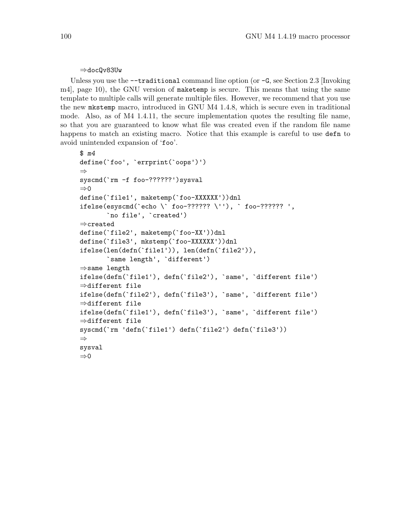#### ⇒docQv83Uw

Unless you use the  $-$ -traditional command line option (or  $-G$ , see [Section 2.3 \[Invoking](#page-15-0) [m4\], page 10](#page-15-0)), the GNU version of maketemp is secure. This means that using the same template to multiple calls will generate multiple files. However, we recommend that you use the new mkstemp macro, introduced in GNU M4 1.4.8, which is secure even in traditional mode. Also, as of M4 1.4.11, the secure implementation quotes the resulting file name, so that you are guaranteed to know what file was created even if the random file name happens to match an existing macro. Notice that this example is careful to use defin to avoid unintended expansion of 'foo'.

```
$ m4
define(`foo', `errprint(`oops')')
⇒
syscmd(`rm -f foo-??????')sysval
⇒0
define('file1', maketemp('foo-XXXXXX'))dnl
ifelse(esyscmd(`echo \` foo-?????? \''), ` foo-?????? ',
       `no file', `created')
⇒created
define(`file2', maketemp(`foo-XX'))dnl
define(`file3', mkstemp(`foo-XXXXXX'))dnl
ifelse(len(defn(`file1')), len(defn(`file2')),
       `same length', `different')
⇒same length
ifelse(defn(`file1'), defn(`file2'), `same', `different file')
⇒different file
ifelse(defn(`file2'), defn(`file3'), `same', `different file')
⇒different file
ifelse(defn(`file1'), defn(`file3'), `same', `different file')
⇒different file
syscmd(`rm 'defn(`file1') defn(`file2') defn(`file3'))
⇒
sysval
\Rightarrow 0
```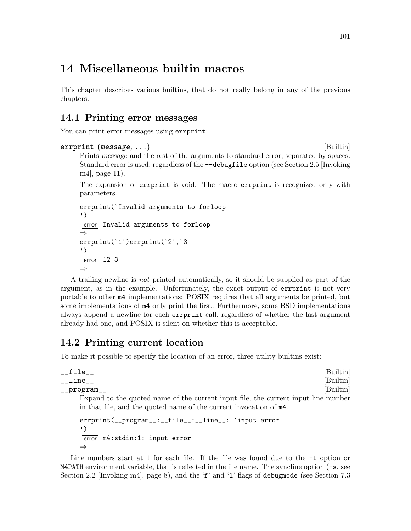# 14 Miscellaneous builtin macros

This chapter describes various builtins, that do not really belong in any of the previous chapters.

## 14.1 Printing error messages

You can print error messages using errprint:

```
errprint (message, ...) [Builtin]
     Prints message and the rest of the arguments to standard error, separated by spaces.
     Standard error is used, regardless of the --debugfile option (see Section 2.5 [Invoking
     m4], page 11).
     The expansion of errprint is void. The macro errprint is recognized only with
     parameters.
```

```
errprint(`Invalid arguments to forloop
')
error Invalid arguments to forloop
⇒
errprint(`1')errprint(`2',`3
')
\boxed{\text{error}} 12 3
⇒
```
A trailing newline is not printed automatically, so it should be supplied as part of the argument, as in the example. Unfortunately, the exact output of errprint is not very portable to other m4 implementations: POSIX requires that all arguments be printed, but some implementations of m4 only print the first. Furthermore, some BSD implementations always append a newline for each errprint call, regardless of whether the last argument already had one, and POSIX is silent on whether this is acceptable.

## 14.2 Printing current location

To make it possible to specify the location of an error, three utility builtins exist:

```
__file__ [Builtin]
__line__ [Builtin]
__program__ [Builtin]
   Expand to the quoted name of the current input file, the current input line number
   in that file, and the quoted name of the current invocation of m4.
   errprint(__program__:__file__:__line__: `input error
   ')
   error m4:stdin:1: input error
   ⇒
```
Line numbers start at 1 for each file. If the file was found due to the  $-I$  option or M4PATH environment variable, that is reflected in the file name. The syncline option (-s, see [Section 2.2 \[Invoking m4\], page 8\)](#page-13-0), and the 'f' and '1' flags of debugmode (see [Section 7.3](#page-63-0)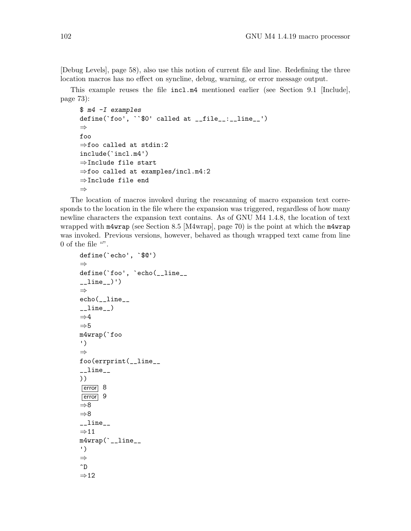[\[Debug Levels\], page 58](#page-63-0)), also use this notion of current file and line. Redefining the three location macros has no effect on syncline, debug, warning, or error message output.

This example reuses the file incl.m4 mentioned earlier (see [Section 9.1 \[Include\],](#page-78-0) [page 73](#page-78-0)):

```
$ m4 -I examples
define(`foo', ``$0' called at __file__:__line__')
⇒
foo
⇒foo called at stdin:2
include(`incl.m4')
⇒Include file start
⇒foo called at examples/incl.m4:2
⇒Include file end
⇒
```
The location of macros invoked during the rescanning of macro expansion text corresponds to the location in the file where the expansion was triggered, regardless of how many newline characters the expansion text contains. As of GNU M4 1.4.8, the location of text wrapped with m4wrap (see [Section 8.5 \[M4wrap\], page 70\)](#page-75-0) is the point at which the m4wrap was invoked. Previous versions, however, behaved as though wrapped text came from line 0 of the file  $\cdots$ .

```
define(`echo', `$@')
⇒
define(`foo', `echo(__line__
_lline_l)')
⇒
echo(__line__
_{-}line_{-})
\Rightarrow4
\Rightarrow 5
m4wrap(`foo
')
⇒
foo(errprint(__line__
_{-}line_{-}))
error 8
error 9
⇒8
⇒8
_{-}line_{-}⇒11
m4wrap(`__line__
')
⇒
\mathbin{\char`\^}D⇒12
```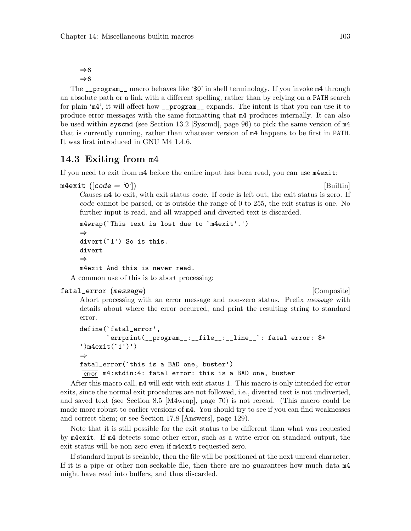⇒6  $\Rightarrow 6$ 

The \_\_program\_\_ macro behaves like '\$0' in shell terminology. If you invoke m4 through an absolute path or a link with a different spelling, rather than by relying on a PATH search for plain 'm4', it will affect how \_\_program\_\_ expands. The intent is that you can use it to produce error messages with the same formatting that m4 produces internally. It can also be used within syscmd (see [Section 13.2 \[Syscmd\], page 96](#page-101-0)) to pick the same version of m4 that is currently running, rather than whatever version of m4 happens to be first in PATH. It was first introduced in GNU M4 1.4.6.

## <span id="page-108-0"></span>14.3 Exiting from m4

If you need to exit from m4 before the entire input has been read, you can use m4exit:

 $m4$ exit ([code = '0']) [Builtin]

Causes m4 to exit, with exit status code. If code is left out, the exit status is zero. If code cannot be parsed, or is outside the range of 0 to 255, the exit status is one. No further input is read, and all wrapped and diverted text is discarded.

```
m4wrap(`This text is lost due to `m4exit'.')
⇒
divert(`1') So is this.
divert
⇒
m4exit And this is never read.
```
A common use of this is to abort processing:

#### fatal\_error (message) and intervalse in the composite  $[Composite]$

Abort processing with an error message and non-zero status. Prefix message with details about where the error occurred, and print the resulting string to standard error.

```
define(`fatal_error',
       `errprint(__program__:__file__:__line__`: fatal error: $*
')m4exit(`1')')
⇒
fatal_error(`this is a BAD one, buster')
error m4:stdin:4: fatal error: this is a BAD one, buster
```
After this macro call, m4 will exit with exit status 1. This macro is only intended for error exits, since the normal exit procedures are not followed, i.e., diverted text is not undiverted, and saved text (see [Section 8.5 \[M4wrap\], page 70](#page-75-0)) is not reread. (This macro could be made more robust to earlier versions of  $m4$ . You should try to see if you can find weaknesses and correct them; or see [Section 17.8 \[Answers\], page 129\)](#page-134-0).

Note that it is still possible for the exit status to be different than what was requested by m4exit. If m4 detects some other error, such as a write error on standard output, the exit status will be non-zero even if m4exit requested zero.

If standard input is seekable, then the file will be positioned at the next unread character. If it is a pipe or other non-seekable file, then there are no guarantees how much data m4 might have read into buffers, and thus discarded.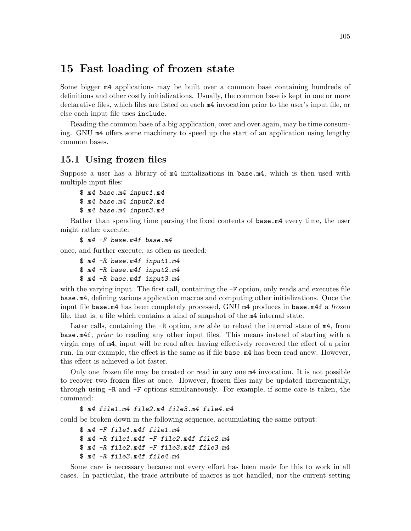# 15 Fast loading of frozen state

Some bigger m4 applications may be built over a common base containing hundreds of definitions and other costly initializations. Usually, the common base is kept in one or more declarative files, which files are listed on each m4 invocation prior to the user's input file, or else each input file uses include.

Reading the common base of a big application, over and over again, may be time consuming. GNU m4 offers some machinery to speed up the start of an application using lengthy common bases.

## 15.1 Using frozen files

Suppose a user has a library of m4 initializations in base.m4, which is then used with multiple input files:

```
$ m4 base.m4 input1.m4
$ m4 base.m4 input2.m4
$ m4 base.m4 input3.m4
```
Rather than spending time parsing the fixed contents of base.m4 every time, the user might rather execute:

\$ m4 -F base.m4f base.m4

once, and further execute, as often as needed:

```
$ m4 -R base.m4f input1.m4
$ m4 -R base.m4f input2.m4
$ m4 -R base.m4f input3.m4
```
with the varying input. The first call, containing the  $-F$  option, only reads and executes file base.m4, defining various application macros and computing other initializations. Once the input file base.m4 has been completely processed, GNU  $m4$  produces in base.m4f a frozen file, that is, a file which contains a kind of snapshot of the m4 internal state.

Later calls, containing the  $-R$  option, are able to reload the internal state of  $m4$ , from base.m4f, prior to reading any other input files. This means instead of starting with a virgin copy of m4, input will be read after having effectively recovered the effect of a prior run. In our example, the effect is the same as if file base.m4 has been read anew. However, this effect is achieved a lot faster.

Only one frozen file may be created or read in any one m4 invocation. It is not possible to recover two frozen files at once. However, frozen files may be updated incrementally, through using -R and -F options simultaneously. For example, if some care is taken, the command:

```
$ m4 file1.m4 file2.m4 file3.m4 file4.m4
```
could be broken down in the following sequence, accumulating the same output:

```
$ m4 -F file1.m4f file1.m4
$ m4 -R file1.m4f -F file2.m4f file2.m4
$ m4 -R file2.m4f -F file3.m4f file3.m4
$ m4 -R file3.m4f file4.m4
```
Some care is necessary because not every effort has been made for this to work in all cases. In particular, the trace attribute of macros is not handled, nor the current setting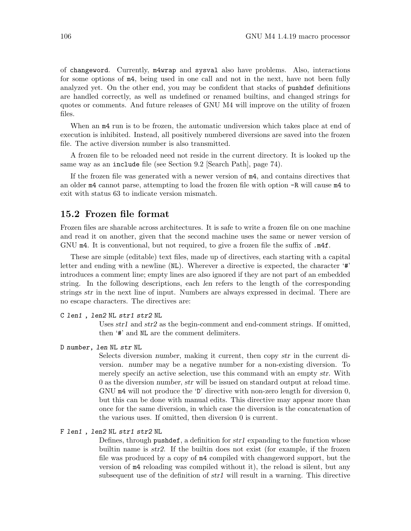of changeword. Currently, m4wrap and sysval also have problems. Also, interactions for some options of m4, being used in one call and not in the next, have not been fully analyzed yet. On the other end, you may be confident that stacks of pushdef definitions are handled correctly, as well as undefined or renamed builtins, and changed strings for quotes or comments. And future releases of GNU M4 will improve on the utility of frozen files.

When an  $m4$  run is to be frozen, the automatic undiversion which takes place at end of execution is inhibited. Instead, all positively numbered diversions are saved into the frozen file. The active diversion number is also transmitted.

A frozen file to be reloaded need not reside in the current directory. It is looked up the same way as an include file (see [Section 9.2 \[Search Path\], page 74\)](#page-79-0).

If the frozen file was generated with a newer version of m4, and contains directives that an older m4 cannot parse, attempting to load the frozen file with option -R will cause m4 to exit with status 63 to indicate version mismatch.

## 15.2 Frozen file format

Frozen files are sharable across architectures. It is safe to write a frozen file on one machine and read it on another, given that the second machine uses the same or newer version of GNU m4. It is conventional, but not required, to give a frozen file the suffix of  $\cdot$ m4f.

These are simple (editable) text files, made up of directives, each starting with a capital letter and ending with a newline (NL). Wherever a directive is expected, the character '#' introduces a comment line; empty lines are also ignored if they are not part of an embedded string. In the following descriptions, each len refers to the length of the corresponding strings str in the next line of input. Numbers are always expressed in decimal. There are no escape characters. The directives are:

#### C len1 , len2 NL str1 str2 NL

Uses str1 and str2 as the begin-comment and end-comment strings. If omitted, then '#' and NL are the comment delimiters.

#### D number, len NL str NL

Selects diversion number, making it current, then copy str in the current diversion. number may be a negative number for a non-existing diversion. To merely specify an active selection, use this command with an empty str. With 0 as the diversion number, str will be issued on standard output at reload time. GNU m4 will not produce the 'D' directive with non-zero length for diversion 0, but this can be done with manual edits. This directive may appear more than once for the same diversion, in which case the diversion is the concatenation of the various uses. If omitted, then diversion 0 is current.

#### F len1 , len2 NL str1 str2 NL

Defines, through pushdef, a definition for str1 expanding to the function whose builtin name is str2. If the builtin does not exist (for example, if the frozen file was produced by a copy of m4 compiled with changeword support, but the version of m4 reloading was compiled without it), the reload is silent, but any subsequent use of the definition of  $str1$  will result in a warning. This directive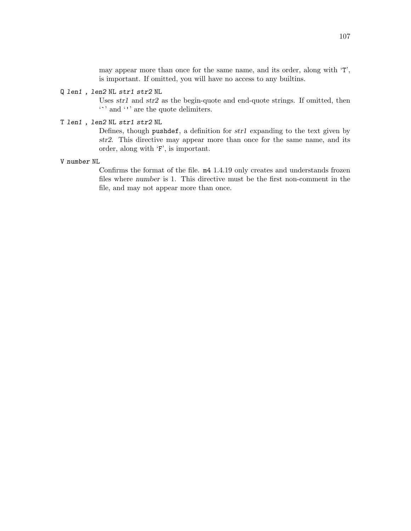may appear more than once for the same name, and its order, along with 'T', is important. If omitted, you will have no access to any builtins.

#### Q len1 , len2 NL str1 str2 NL

Uses str1 and str2 as the begin-quote and end-quote strings. If omitted, then '`' and ''' are the quote delimiters.

#### T len1 , len2 NL str1 str2 NL

Defines, though pushdef, a definition for str1 expanding to the text given by str2. This directive may appear more than once for the same name, and its order, along with 'F', is important.

#### V number NL

Confirms the format of the file. m4 1.4.19 only creates and understands frozen files where number is 1. This directive must be the first non-comment in the file, and may not appear more than once.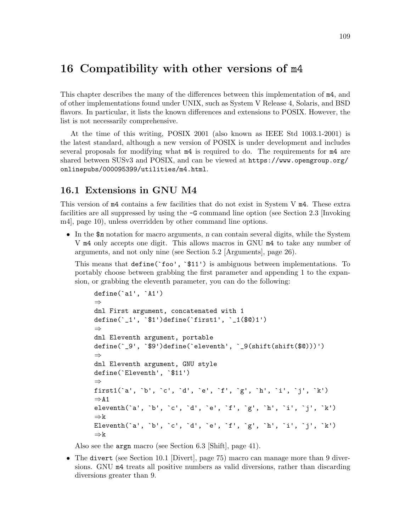# 16 Compatibility with other versions of m4

This chapter describes the many of the differences between this implementation of m4, and of other implementations found under UNIX, such as System V Release 4, Solaris, and BSD flavors. In particular, it lists the known differences and extensions to POSIX. However, the list is not necessarily comprehensive.

At the time of this writing, POSIX 2001 (also known as IEEE Std 1003.1-2001) is the latest standard, although a new version of POSIX is under development and includes several proposals for modifying what m4 is required to do. The requirements for m4 are shared between SUSv3 and POSIX, and can be viewed at [https://www.opengroup.org/](https://www.opengroup.org/onlinepubs/000095399/utilities/m4.html) [onlinepubs/000095399/utilities/m4.html](https://www.opengroup.org/onlinepubs/000095399/utilities/m4.html).

## 16.1 Extensions in GNU M4

This version of m4 contains a few facilities that do not exist in System V m4. These extra facilities are all suppressed by using the -G command line option (see [Section 2.3 \[Invoking](#page-15-0) [m4\], page 10\)](#page-15-0), unless overridden by other command line options.

• In the  $\text{\$n$}$  notation for macro arguments, n can contain several digits, while the System V m4 only accepts one digit. This allows macros in GNU m4 to take any number of arguments, and not only nine (see [Section 5.2 \[Arguments\], page 26\)](#page-31-0).

This means that define(`foo', `\$11') is ambiguous between implementations. To portably choose between grabbing the first parameter and appending 1 to the expansion, or grabbing the eleventh parameter, you can do the following:

```
define(`a1', `A1')
⇒
dnl First argument, concatenated with 1
define(`_1', `$1')define(`first1', `_1($@)1')
⇒
dnl Eleventh argument, portable
define(`_9', `$9')define(`eleventh', `_9(shift(shift($@)))')
⇒
dnl Eleventh argument, GNU style
define(`Eleventh', `$11')
⇒
first1(`a', `b', `c', `d', `e', `f', `g', `h', `i', `j', `k')
\RightarrowA1
eleventh(`a', `b', `c', `d', `e', `f', `g', `h', `i', `j', `k')
⇒k
Eleventh(`a', `b', `c', `d', `e', `f', `g', `h', `i', `j', `k')
⇒k
```
Also see the argn macro (see [Section 6.3 \[Shift\], page 41](#page-46-0)).

• The divert (see [Section 10.1 \[Divert\], page 75](#page-80-0)) macro can manage more than 9 diversions. GNU m4 treats all positive numbers as valid diversions, rather than discarding diversions greater than 9.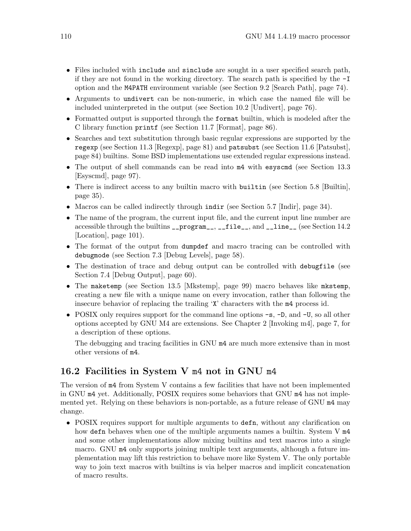- Files included with include and sinclude are sought in a user specified search path, if they are not found in the working directory. The search path is specified by the -I option and the M4PATH environment variable (see [Section 9.2 \[Search Path\], page 74\)](#page-79-0).
- Arguments to undivert can be non-numeric, in which case the named file will be included uninterpreted in the output (see [Section 10.2 \[Undivert\], page 76](#page-81-0)).
- Formatted output is supported through the format builtin, which is modeled after the C library function printf (see [Section 11.7 \[Format\], page 86](#page-91-0)).
- Searches and text substitution through basic regular expressions are supported by the regexp (see [Section 11.3 \[Regexp\], page 81](#page-86-0)) and patsubst (see [Section 11.6 \[Patsubst\],](#page-89-0) [page 84\)](#page-89-0) builtins. Some BSD implementations use extended regular expressions instead.
- The output of shell commands can be read into  $m4$  with esyscmd (see [Section 13.3](#page-102-0)) [\[Esyscmd\], page 97](#page-102-0)).
- There is indirect access to any builtin macro with builtin (see [Section 5.8 \[Builtin\],](#page-40-0) [page 35\)](#page-40-0).
- Macros can be called indirectly through indir (see [Section 5.7 \[Indir\], page 34\)](#page-39-0).
- The name of the program, the current input file, and the current input line number are accessible through the builtins \_\_program\_\_, \_\_file\_\_, and \_\_line\_\_ (see [Section 14.2](#page-106-0) [\[Location\], page 101\)](#page-106-0).
- The format of the output from dumpdef and macro tracing can be controlled with debugmode (see [Section 7.3 \[Debug Levels\], page 58](#page-63-0)).
- The destination of trace and debug output can be controlled with debugfile (see [Section 7.4 \[Debug Output\], page 60\)](#page-65-0).
- The maketemp (see [Section 13.5 \[Mkstemp\], page 99](#page-104-0)) macro behaves like mkstemp, creating a new file with a unique name on every invocation, rather than following the insecure behavior of replacing the trailing 'X' characters with the m4 process id.
- POSIX only requires support for the command line options  $-s$ ,  $-D$ , and  $-U$ , so all other options accepted by GNU M4 are extensions. See [Chapter 2 \[Invoking m4\], page 7,](#page-12-0) for a description of these options.

The debugging and tracing facilities in GNU m4 are much more extensive than in most other versions of m4.

## 16.2 Facilities in System V m4 not in GNU m4

The version of m4 from System V contains a few facilities that have not been implemented in GNU m4 yet. Additionally, POSIX requires some behaviors that GNU m4 has not implemented yet. Relying on these behaviors is non-portable, as a future release of GNU m4 may change.

• POSIX requires support for multiple arguments to defn, without any clarification on how defn behaves when one of the multiple arguments names a builtin. System V  $m4$ and some other implementations allow mixing builtins and text macros into a single macro. GNU m4 only supports joining multiple text arguments, although a future implementation may lift this restriction to behave more like System V. The only portable way to join text macros with builtins is via helper macros and implicit concatenation of macro results.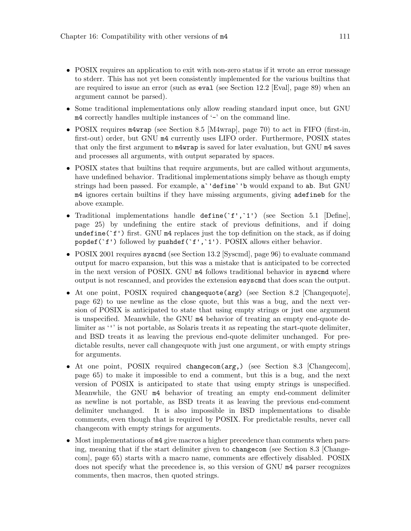- POSIX requires an application to exit with non-zero status if it wrote an error message to stderr. This has not yet been consistently implemented for the various builtins that are required to issue an error (such as eval (see [Section 12.2 \[Eval\], page 89](#page-94-0)) when an argument cannot be parsed).
- Some traditional implementations only allow reading standard input once, but GNU  $m4$  correctly handles multiple instances of  $-$  on the command line.
- POSIX requires m4wrap (see [Section 8.5 \[M4wrap\], page 70](#page-75-0)) to act in FIFO (first-in, first-out) order, but GNU m4 currently uses LIFO order. Furthermore, POSIX states that only the first argument to m4wrap is saved for later evaluation, but GNU m4 saves and processes all arguments, with output separated by spaces.
- POSIX states that builtins that require arguments, but are called without arguments, have undefined behavior. Traditional implementations simply behave as though empty strings had been passed. For example, a`'define`'b would expand to ab. But GNU m4 ignores certain builtins if they have missing arguments, giving adefineb for the above example.
- Traditional implementations handle define('f','1') (see [Section 5.1 \[Define\],](#page-30-0) [page 25](#page-30-0)) by undefining the entire stack of previous definitions, and if doing undefine( $f'$ ) first. GNU  $m4$  replaces just the top definition on the stack, as if doing popdef ( $f'$ ) followed by pushdef ( $f'$ ,  $1'$ ). POSIX allows either behavior.
- POSIX 2001 requires syscmd (see [Section 13.2 \[Syscmd\], page 96\)](#page-101-0) to evaluate command output for macro expansion, but this was a mistake that is anticipated to be corrected in the next version of POSIX. GNU m4 follows traditional behavior in syscmd where output is not rescanned, and provides the extension esyscmd that does scan the output.
- At one point, POSIX required changequote(arg) (see [Section 8.2 \[Changequote\],](#page-67-0) [page 62](#page-67-0)) to use newline as the close quote, but this was a bug, and the next version of POSIX is anticipated to state that using empty strings or just one argument is unspecified. Meanwhile, the GNU m4 behavior of treating an empty end-quote delimiter as ''' is not portable, as Solaris treats it as repeating the start-quote delimiter, and BSD treats it as leaving the previous end-quote delimiter unchanged. For predictable results, never call changequote with just one argument, or with empty strings for arguments.
- At one point, POSIX required changecom(arg,) (see [Section 8.3 \[Changecom\],](#page-70-0) [page 65](#page-70-0)) to make it impossible to end a comment, but this is a bug, and the next version of POSIX is anticipated to state that using empty strings is unspecified. Meanwhile, the GNU m4 behavior of treating an empty end-comment delimiter as newline is not portable, as BSD treats it as leaving the previous end-comment delimiter unchanged. It is also impossible in BSD implementations to disable comments, even though that is required by POSIX. For predictable results, never call changecom with empty strings for arguments.
- Most implementations of m4 give macros a higher precedence than comments when parsing, meaning that if the start delimiter given to changecom (see [Section 8.3 \[Change](#page-70-0)[com\], page 65](#page-70-0)) starts with a macro name, comments are effectively disabled. POSIX does not specify what the precedence is, so this version of GNU m4 parser recognizes comments, then macros, then quoted strings.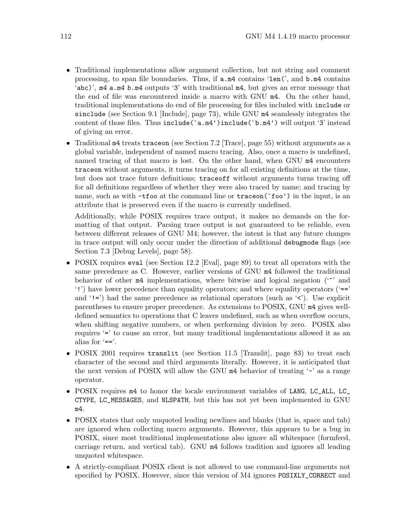- Traditional implementations allow argument collection, but not string and comment processing, to span file boundaries. Thus, if a.m4 contains 'len(', and b.m4 contains 'abc)', m4 a.m4 b.m4 outputs '3' with traditional m4, but gives an error message that the end of file was encountered inside a macro with GNU m4. On the other hand, traditional implementations do end of file processing for files included with include or sinclude (see [Section 9.1 \[Include\], page 73\)](#page-78-0), while GNU m4 seamlessly integrates the content of those files. Thus include(`a.m4')include(`b.m4') will output '3' instead of giving an error.
- Traditional m4 treats traceon (see [Section 7.2 \[Trace\], page 55\)](#page-60-0) without arguments as a global variable, independent of named macro tracing. Also, once a macro is undefined, named tracing of that macro is lost. On the other hand, when GNU m4 encounters traceon without arguments, it turns tracing on for all existing definitions at the time, but does not trace future definitions; traceoff without arguments turns tracing off for all definitions regardless of whether they were also traced by name; and tracing by name, such as with -tfoo at the command line or traceon( $\text{'foo'}$ ) in the input, is an attribute that is preserved even if the macro is currently undefined.

Additionally, while POSIX requires trace output, it makes no demands on the formatting of that output. Parsing trace output is not guaranteed to be reliable, even between different releases of GNU M4; however, the intent is that any future changes in trace output will only occur under the direction of additional debugmode flags (see [Section 7.3 \[Debug Levels\], page 58](#page-63-0)).

- POSIX requires eval (see [Section 12.2 \[Eval\], page 89](#page-94-0)) to treat all operators with the same precedence as C. However, earlier versions of GNU m4 followed the traditional behavior of other  $m4$  implementations, where bitwise and logical negation ( $\sim$ ) and '!') have lower precedence than equality operators; and where equality operators ('==' and  $'$ !=') had the same precedence as relational operators (such as  $'\zeta'$ ). Use explicit parentheses to ensure proper precedence. As extensions to POSIX, GNU m4 gives welldefined semantics to operations that C leaves undefined, such as when overflow occurs, when shifting negative numbers, or when performing division by zero. POSIX also requires '=' to cause an error, but many traditional implementations allowed it as an alias for  $'==$ .
- POSIX 2001 requires translit (see [Section 11.5 \[Translit\], page 83\)](#page-88-0) to treat each character of the second and third arguments literally. However, it is anticipated that the next version of POSIX will allow the GNU  $m4$  behavior of treating  $-$  as a range operator.
- POSIX requires  $m4$  to honor the locale environment variables of LANG, LC\_ALL, LC\_ CTYPE, LC\_MESSAGES, and NLSPATH, but this has not yet been implemented in GNU m4.
- POSIX states that only unquoted leading newlines and blanks (that is, space and tab) are ignored when collecting macro arguments. However, this appears to be a bug in POSIX, since most traditional implementations also ignore all whitespace (formfeed, carriage return, and vertical tab). GNU m4 follows tradition and ignores all leading unquoted whitespace.
- A strictly-compliant POSIX client is not allowed to use command-line arguments not specified by POSIX. However, since this version of M4 ignores POSIXLY\_CORRECT and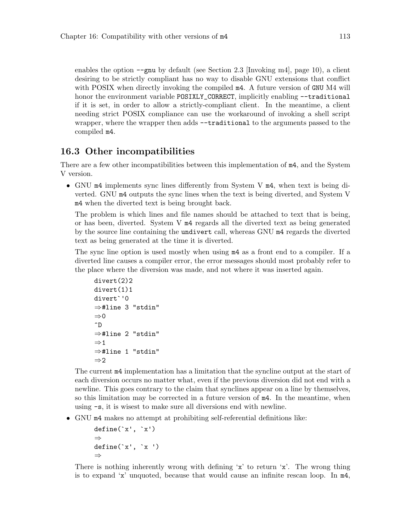enables the option  $-\text{gnu}$  by default (see [Section 2.3 \[Invoking m4\], page 10\)](#page-15-0), a client desiring to be strictly compliant has no way to disable GNU extensions that conflict with POSIX when directly invoking the compiled m4. A future version of GNU M4 will honor the environment variable POSIXLY\_CORRECT, implicitly enabling --traditional if it is set, in order to allow a strictly-compliant client. In the meantime, a client needing strict POSIX compliance can use the workaround of invoking a shell script wrapper, where the wrapper then adds  $-\text{traditional}$  to the arguments passed to the compiled m4.

## 16.3 Other incompatibilities

There are a few other incompatibilities between this implementation of m4, and the System V version.

• GNU m4 implements sync lines differently from System V m4, when text is being diverted. GNU m4 outputs the sync lines when the text is being diverted, and System V m4 when the diverted text is being brought back.

The problem is which lines and file names should be attached to text that is being, or has been, diverted. System V m4 regards all the diverted text as being generated by the source line containing the undivert call, whereas GNU m4 regards the diverted text as being generated at the time it is diverted.

The sync line option is used mostly when using m4 as a front end to a compiler. If a diverted line causes a compiler error, the error messages should most probably refer to the place where the diversion was made, and not where it was inserted again.

```
divert(2)2
divert(1)1
divert`'0
⇒#line 3 "stdin"
\Rightarrow 0
\hat{D}⇒#line 2 "stdin"
\Rightarrow 1
⇒#line 1 "stdin"
\Rightarrow 2
```
The current m4 implementation has a limitation that the syncline output at the start of each diversion occurs no matter what, even if the previous diversion did not end with a newline. This goes contrary to the claim that synclines appear on a line by themselves, so this limitation may be corrected in a future version of m4. In the meantime, when using -s, it is wisest to make sure all diversions end with newline.

• GNU m4 makes no attempt at prohibiting self-referential definitions like:

```
define('x', 'x')⇒
define('x', 'x')⇒
```
There is nothing inherently wrong with defining 'x' to return 'x'. The wrong thing is to expand 'x' unquoted, because that would cause an infinite rescan loop. In m4,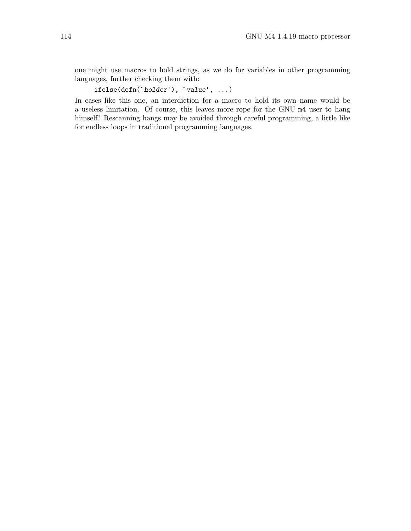one might use macros to hold strings, as we do for variables in other programming languages, further checking them with:

ifelse(defn(`holder'), `value', ...)

In cases like this one, an interdiction for a macro to hold its own name would be a useless limitation. Of course, this leaves more rope for the GNU m4 user to hang himself! Rescanning hangs may be avoided through careful programming, a little like for endless loops in traditional programming languages.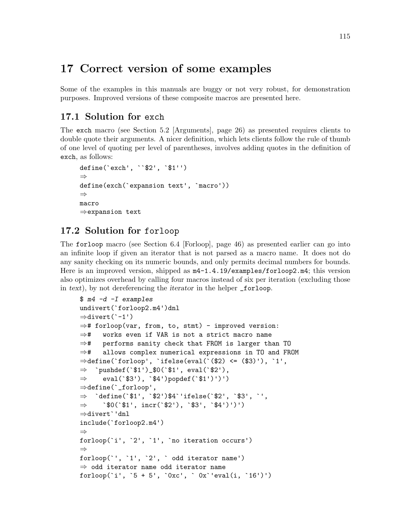# 17 Correct version of some examples

Some of the examples in this manuals are buggy or not very robust, for demonstration purposes. Improved versions of these composite macros are presented here.

# 17.1 Solution for exch

The exch macro (see [Section 5.2 \[Arguments\], page 26](#page-31-0)) as presented requires clients to double quote their arguments. A nicer definition, which lets clients follow the rule of thumb of one level of quoting per level of parentheses, involves adding quotes in the definition of exch, as follows:

```
define(`exch', ``$2', `$1'')
⇒
define(exch(`expansion text', `macro'))
⇒
macro
⇒expansion text
```
# 17.2 Solution for forloop

The forloop macro (see [Section 6.4 \[Forloop\], page 46\)](#page-51-0) as presented earlier can go into an infinite loop if given an iterator that is not parsed as a macro name. It does not do any sanity checking on its numeric bounds, and only permits decimal numbers for bounds. Here is an improved version, shipped as m4-1.4.19/examples/forloop2.m4; this version also optimizes overhead by calling four macros instead of six per iteration (excluding those in text), by not dereferencing the iterator in the helper \_forloop.

```
$ m4 -d -I examples
undivert(`forloop2.m4')dnl
⇒divert(`-1')
⇒# forloop(var, from, to, stmt) - improved version:
⇒# works even if VAR is not a strict macro name
⇒# performs sanity check that FROM is larger than TO
⇒# allows complex numerical expressions in TO and FROM
\Rightarrow define(`forloop', `ifelse(eval(`($2) <= ($3)'), `1',
\Rightarrow `pushdef(`$1')_$0(`$1', eval(`$2'),
⇒ eval(`$3'), `$4')popdef(`$1')')')
⇒define(`_forloop',
\Rightarrow `define(`$1', `$2')$4`'ifelse(`$2', `$3', `',
\Rightarrow `$0(`$1', incr(`$2'), `$3', `$4')')')
⇒divert`'dnl
include(`forloop2.m4')
⇒
forloop(`i', `2', `1', `no iteration occurs')
⇒
forloop(`', `1', `2', ` odd iterator name')
⇒ odd iterator name odd iterator name
for loop('i', '5 + 5', '0xc', '0x' 'eval(i, '16')')
```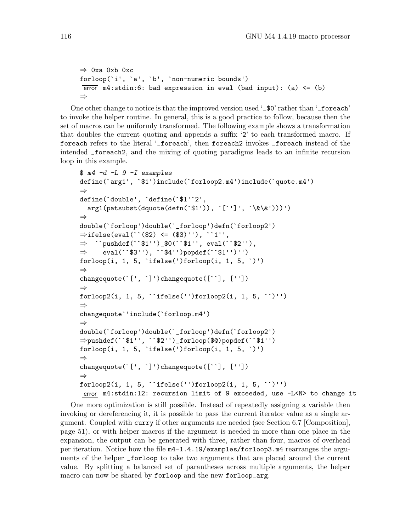```
⇒ 0xa 0xb 0xc
forloop(`i', `a', `b', `non-numeric bounds')
Ferror m4: stdin:6: bad expression in eval (bad input): (a) \leq (b)
⇒
```
One other change to notice is that the improved version used '\_\$0' rather than '\_foreach' to invoke the helper routine. In general, this is a good practice to follow, because then the set of macros can be uniformly transformed. The following example shows a transformation that doubles the current quoting and appends a suffix '2' to each transformed macro. If foreach refers to the literal '\_foreach', then foreach2 invokes \_foreach instead of the intended \_foreach2, and the mixing of quoting paradigms leads to an infinite recursion loop in this example.

```
$ m4 -d -L 9 -I examples
define(`arg1', `$1')include(`forloop2.m4')include(`quote.m4')
⇒
define(`double', `define(`$1'`2',
  arg1(patsubst(dquote(defn(`$1')), `[`']', `\&\&')))')
⇒
double(`forloop')double(`_forloop')defn(`forloop2')
\Rightarrowifelse(eval(``($2) <= ($3)''), ``1'',
⇒ ``pushdef(``$1'')_$0(``$1'', eval(``$2''),
\Rightarrow eval(``$3''), ``$4'')popdef(``$1'')'')
forloop(i, 1, 5, 'ifelse(') forloop(i, 1, 5, ')')⇒
changequote(`[', `]')changequote([``], [''])
⇒
for loop2(i, 1, 5, 'ifelse('')forloop2(i, 1, 5, '')'')⇒
changequote`'include(`forloop.m4')
⇒
double(`forloop')double(`_forloop')defn(`forloop2')
⇒pushdef(``$1'', ``$2'')_forloop($@)popdef(``$1'')
forloop(i, 1, 5, 'ifelse(') forloop(i, 1, 5, ')')⇒
changequote(`[', `]')changequote([``], [''])
⇒
forloop2(i, 1, 5, ``ifelse('')forloop2(i, 1, 5, ``)'')
error m4:stdin:12: recursion limit of 9 exceeded, use -L<N> to change it
```
One more optimization is still possible. Instead of repeatedly assigning a variable then invoking or dereferencing it, it is possible to pass the current iterator value as a single argument. Coupled with curry if other arguments are needed (see [Section 6.7 \[Composition\],](#page-56-0) [page 51\)](#page-56-0), or with helper macros if the argument is needed in more than one place in the expansion, the output can be generated with three, rather than four, macros of overhead per iteration. Notice how the file m4-1.4.19/examples/forloop3.m4 rearranges the arguments of the helper \_forloop to take two arguments that are placed around the current value. By splitting a balanced set of parantheses across multiple arguments, the helper macro can now be shared by forloop and the new forloop\_arg.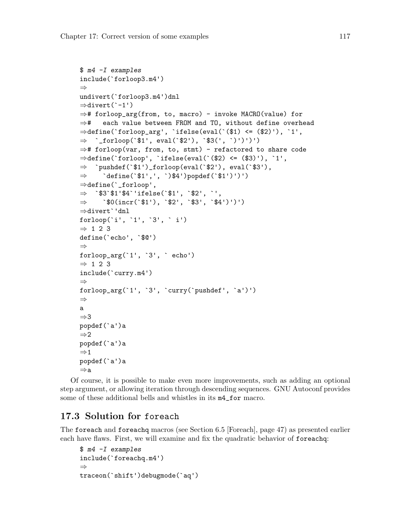```
$ m4 -I examples
include(`forloop3.m4')
⇒
undivert(`forloop3.m4')dnl
⇒divert(`-1')
⇒# forloop_arg(from, to, macro) - invoke MACRO(value) for
⇒# each value between FROM and TO, without define overhead
⇒define(`forloop_arg', `ifelse(eval(`($1) <= ($2)'), `1',
⇒ `_forloop(`$1', eval(`$2'), `$3(', `)')')')
⇒# forloop(var, from, to, stmt) - refactored to share code
⇒define(`forloop', `ifelse(eval(`($2) <= ($3)'), `1',
\Rightarrow `pushdef(`$1')_forloop(eval(`$2'), eval(`$3'),
\Rightarrow define(`$1',', `)$4')popdef(`$1')')')
⇒define(`_forloop',
\Rightarrow `$3`$1'$4`'ifelse(`$1', `$2', `',
⇒ \Rightarrow \text{\$0(incr('$1'), '$2', '$3', '$4')')')⇒divert`'dnl
forloop(`i', `1', `3', ` i')
\Rightarrow 1 2 3
define(`echo', `$@')
⇒
for loop_arg('1', '3', 'echo')\Rightarrow 1 2 3
include(`curry.m4')
⇒
forloop_arg(`1', `3', `curry(`pushdef', `a')')
⇒
a
⇒3
popdef(`a')a
\Rightarrow 2
popdef(`a')a
\Rightarrow 1
popdef(`a')a
⇒a
```
Of course, it is possible to make even more improvements, such as adding an optional step argument, or allowing iteration through descending sequences. GNU Autoconf provides some of these additional bells and whistles in its m4\_for macro.

## 17.3 Solution for foreach

The foreach and foreachq macros (see [Section 6.5 \[Foreach\], page 47](#page-52-0)) as presented earlier each have flaws. First, we will examine and fix the quadratic behavior of foreachq:

```
$ m4 -I examples
include(`foreachq.m4')
⇒
traceon(`shift')debugmode(`aq')
```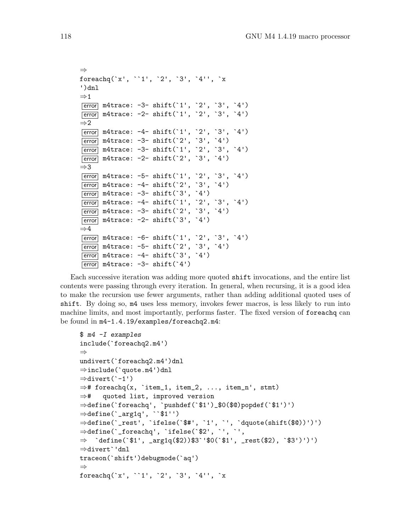```
⇒
foreachq(`x', ``1', `2', `3', `4'', `x
')dnl
\Rightarrow 1
error m4trace: -3- shift(`1', `2', `3', `4')
error m4trace: -2- shift(`1', `2', `3', `4')
\Rightarrow 2
error m4trace: -4- shift(`1', `2', `3', `4')
\boxed{\text{error}} m4trace: -3- shift('2', '3', '4')
error m4trace: -3- shift(`1', `2', `3', `4')
error m4trace: -2- shift(`2', `3', `4')
\Rightarrow3
[error] m4trace: -5- shift('1', '2', '3', '4')
\boxed{\text{error}} m4trace: -4- shift('2', '3', '4')
\boxed{\text{error}} m4trace: -3- shift(`3', `4')
error m4trace: -4- shift(`1', `2', `3', `4')
\boxed{\text{error}} m4trace: -3- shift(`2', `3', `4')
\boxed{\text{error}} m4trace: -2- shift(`3', `4')
\Rightarrow4
error m4trace: -6- shift(`1', `2', `3', `4')
error m4trace: -5- shift(`2', `3', `4')
\boxed{\text{error}} m4trace: -4- shift('3', '4')
\boxed{\text{error}} m4trace: -3- shift(`4')
```
Each successive iteration was adding more quoted shift invocations, and the entire list contents were passing through every iteration. In general, when recursing, it is a good idea to make the recursion use fewer arguments, rather than adding additional quoted uses of shift. By doing so, m4 uses less memory, invokes fewer macros, is less likely to run into machine limits, and most importantly, performs faster. The fixed version of foreachq can be found in m4-1.4.19/examples/foreachq2.m4:

```
$ m4 -I examples
include(`foreachq2.m4')
⇒
undivert(`foreachq2.m4')dnl
⇒include(`quote.m4')dnl
⇒divert(`-1')
\Rightarrow# foreachq(x, `item_1, item_2, ..., item_n', stmt)
⇒# quoted list, improved version
⇒define(`foreachq', `pushdef(`$1')_$0($@)popdef(`$1')')
\Rightarrow define(`_arg1q', ``$1'')
⇒define(`_rest', `ifelse(`$#', `1', `', `dquote(shift($@))')')
⇒define(`_foreachq', `ifelse(`$2', `', `',
⇒ `define(`$1', _arg1q($2))$3`'$0(`$1', _rest($2), `$3')')')
⇒divert`'dnl
traceon(`shift')debugmode(`aq')
⇒
foreachq(`x', ``1', `2', `3', `4'', `x
```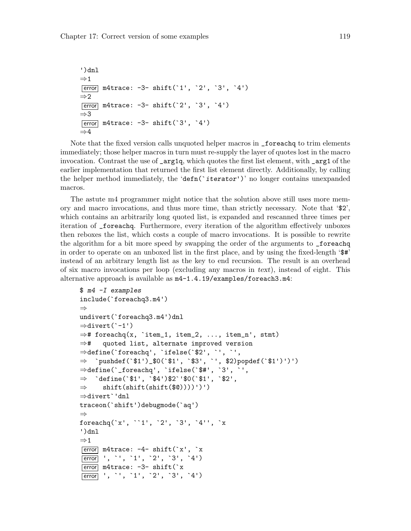```
')dnl
\Rightarrow 1
error m4trace: -3- shift(`1', `2', `3', `4')
\Rightarrow 2
\boxed{\text{error}} m4trace: -3- shift(`2', `3', `4')
⇒3
\boxed{\text{error}} m4trace: -3- shift(`3', `4')
⇒4
```
Note that the fixed version calls unquoted helper macros in \_foreachq to trim elements immediately; those helper macros in turn must re-supply the layer of quotes lost in the macro invocation. Contrast the use of \_arg1q, which quotes the first list element, with \_arg1 of the earlier implementation that returned the first list element directly. Additionally, by calling the helper method immediately, the 'defn('iterator')' no longer contains unexpanded macros.

The astute m4 programmer might notice that the solution above still uses more memory and macro invocations, and thus more time, than strictly necessary. Note that '\$2', which contains an arbitrarily long quoted list, is expanded and rescanned three times per iteration of \_foreachq. Furthermore, every iteration of the algorithm effectively unboxes then reboxes the list, which costs a couple of macro invocations. It is possible to rewrite the algorithm for a bit more speed by swapping the order of the arguments to \_foreachq in order to operate on an unboxed list in the first place, and by using the fixed-length '\$#' instead of an arbitrary length list as the key to end recursion. The result is an overhead of six macro invocations per loop (excluding any macros in text), instead of eight. This alternative approach is available as m4-1.4.19/examples/foreach3.m4:

```
$ m4 -I examples
include(`foreachq3.m4')
⇒
undivert(`foreachq3.m4')dnl
\Rightarrowdivert(`-1')
\Rightarrow# foreachq(x, `item_1, item_2, ..., item_n', stmt)
⇒# quoted list, alternate improved version
⇒define(`foreachq', `ifelse(`$2', `', `',
⇒ `pushdef(`$1')_$0(`$1', `$3', `', $2)popdef(`$1')')')
⇒define(`_foreachq', `ifelse(`$#', `3', `',
\Rightarrow 'define(`$1', `$4')$2`'$0(`$1', `$2',
\Rightarrow shift(shift(shift($0))))')')
⇒divert`'dnl
traceon(`shift')debugmode(`aq')
⇒
foreachq(`x', ``1', `2', `3', `4'', `x
')dnl
\Rightarrow 1
\overline{\text{error}} m4trace: -4- shift(`x', `x
error ', `', `1', `2', `3', `4')
\overline{\text{error}} m4trace: -3- shift('x
error ', `', `1', `2', `3', `4')
```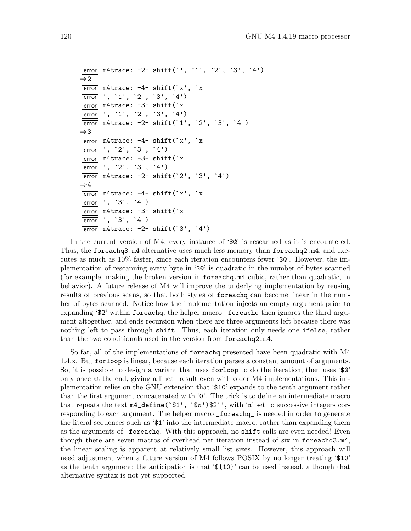```
error m4trace: -2- shift(`', `1', `2', `3', `4')
\Rightarrow 2
\boxed{\text{error}} m4trace: -4- shift(`x', `x
error ', `1', `2', `3', `4')
error m4trace: -3- shift(`x
error ', `1', `2', `3', `4')
error m4trace: -2- shift(`1', `2', `3', `4')
⇒3
\boxed{\text{error}} m4trace: -4- shift(`x', `x
error ', `2', `3', `4')
error m4trace: -3- shift(`x
error ', `2', `3', `4')
\boxed{\text{error}} m4trace: -2- shift(`2', `3', `4')
⇒4
\overline{\text{error}} m4trace: -4- shift('x', 'x
error ', `3', `4')
\overline{\text{error}} m4trace: -3- shift('x
error ', `3', `4')
\boxed{\text{error}} m4trace: -2- shift(`3', `4')
```
In the current version of M4, every instance of '\$@' is rescanned as it is encountered. Thus, the foreachq3.m4 alternative uses much less memory than foreachq2.m4, and executes as much as  $10\%$  faster, since each iteration encounters fewer ' $\mathcal{F}$ <sup>o</sup>. However, the implementation of rescanning every byte in '\$@' is quadratic in the number of bytes scanned (for example, making the broken version in foreachq.m4 cubic, rather than quadratic, in behavior). A future release of M4 will improve the underlying implementation by reusing results of previous scans, so that both styles of foreachq can become linear in the number of bytes scanned. Notice how the implementation injects an empty argument prior to expanding '\$2' within foreachq; the helper macro \_foreachq then ignores the third argument altogether, and ends recursion when there are three arguments left because there was nothing left to pass through shift. Thus, each iteration only needs one ifelse, rather than the two conditionals used in the version from foreachq2.m4.

So far, all of the implementations of foreachq presented have been quadratic with M4 1.4.x. But forloop is linear, because each iteration parses a constant amount of arguments. So, it is possible to design a variant that uses forloop to do the iteration, then uses '\$@' only once at the end, giving a linear result even with older M4 implementations. This implementation relies on the GNU extension that '\$10' expands to the tenth argument rather than the first argument concatenated with '0'. The trick is to define an intermediate macro that repeats the text  $m4$ -define(` $\$ 1', ` $\pi$ ') $\$ 2'', with 'n' set to successive integers corresponding to each argument. The helper macro \_foreachq\_ is needed in order to generate the literal sequences such as '\$1' into the intermediate macro, rather than expanding them as the arguments of \_foreachq. With this approach, no shift calls are even needed! Even though there are seven macros of overhead per iteration instead of six in foreachq3.m4, the linear scaling is apparent at relatively small list sizes. However, this approach will need adjustment when a future version of M4 follows POSIX by no longer treating '\$10' as the tenth argument; the anticipation is that '\${10}' can be used instead, although that alternative syntax is not yet supported.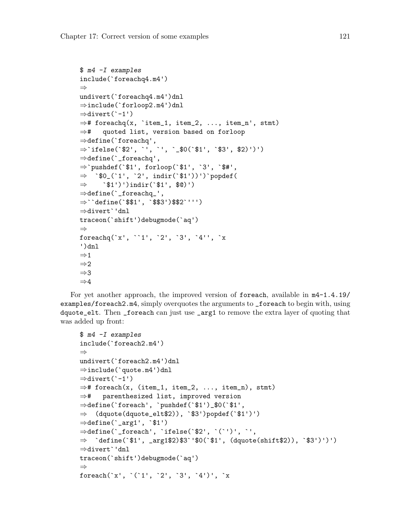```
$ m4 -I examples
include(`foreachq4.m4')
⇒
undivert(`foreachq4.m4')dnl
⇒include(`forloop2.m4')dnl
⇒divert(`-1')
\Rightarrow# foreachq(x, `item_1, item_2, ..., item_n', stmt)
⇒# quoted list, version based on forloop
⇒define(`foreachq',
⇒`ifelse(`$2', `', `', `_$0(`$1', `$3', $2)')')
⇒define(`_foreachq',
⇒`pushdef(`$1', forloop(`$1', `3', `$#',
\Rightarrow `$0_(`1', `2', indir(`$1'))')`popdef(
\Rightarrow `$1')')indir(`$1', $0)')
⇒define(`_foreachq_',
⇒``define(`$$1', `$$3')$$2`''')
⇒divert`'dnl
traceon(`shift')debugmode(`aq')
⇒
foreachq(`x', ``1', `2', `3', `4'', `x
')dnl
\Rightarrow 1
\Rightarrow 2
⇒3
\Rightarrow4
```
For yet another approach, the improved version of foreach, available in  $m4-1.4.19/$ examples/foreach2.m4, simply overquotes the arguments to \_foreach to begin with, using dquote\_elt. Then \_foreach can just use \_arg1 to remove the extra layer of quoting that was added up front:

```
$ m4 -I examples
include(`foreach2.m4')
⇒
undivert('foreach2.m4')dnl
⇒include(`quote.m4')dnl
⇒divert(`-1')
\Rightarrow# foreach(x, (item_1, item_2, ..., item_n), stmt)
⇒# parenthesized list, improved version
⇒define(`foreach', `pushdef(`$1')_$0(`$1',
\Rightarrow (dquote(dquote_elt$2)), `$3')popdef(`$1')')
\Rightarrow define(`_arg1', `$1')
⇒define(`_foreach', `ifelse(`$2', `(`')', `',
⇒ `define(`$1', _arg1$2)$3`'$0(`$1', (dquote(shift$2)), `$3')')')
⇒divert`'dnl
traceon(`shift')debugmode(`aq')
⇒
foreach(`x', `(`1', `2', `3', `4')', `x
```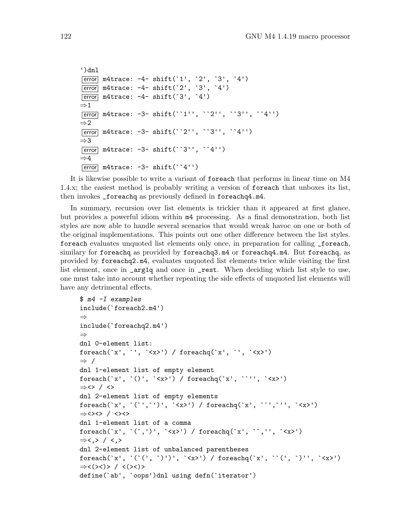```
')dnl
\boxed{\text{error}} m4trace: -4- shift(`1', `2', `3', `4')
\boxed{\text{error}} m4trace: -4- shift(`2', `3', `4')
\boxed{\text{error}} m4trace: -4- shift(`3', `4')
\Rightarrow 1
error m4trace: -3- shift(``1'', ``2'', ``3'', ``4'')
\Rightarrow 2
error m4trace: -3- shift(``2'', ``3'', ``4'')
⇒3
\boxed{\text{error}} m4trace: -3- shift(``3'', ``4'')
\Rightarrow4
\overline{\text{error}} m4trace: -3- shift(``4'')
```
It is likewise possible to write a variant of foreach that performs in linear time on M4 1.4.x; the easiest method is probably writing a version of foreach that unboxes its list, then invokes \_foreachq as previously defined in foreachq4.m4.

In summary, recursion over list elements is trickier than it appeared at first glance, but provides a powerful idiom within m4 processing. As a final demonstration, both list styles are now able to handle several scenarios that would wreak havoc on one or both of the original implementations. This points out one other difference between the list styles. foreach evaluates unquoted list elements only once, in preparation for calling \_foreach, similary for foreachq as provided by foreachq3.m4 or foreachq4.m4. But foreachq, as provided by foreachq2.m4, evaluates unquoted list elements twice while visiting the first list element, once in \_arg1q and once in \_rest. When deciding which list style to use, one must take into account whether repeating the side effects of unquoted list elements will have any detrimental effects.

```
$ m4 -I examples
include(`foreach2.m4')
⇒
include(`foreachq2.m4')
⇒
dnl 0-element list:
foreach(`x', `', `<x>') / foreachq(`x', `', `<x>')
⇒ /
dnl 1-element list of empty element
foreach(`x', `()', `<x>') / foreachq(`x', ``'', `<x>')
⇒<> / <>
dnl 2-element list of empty elements
foreach('x', '('',')', '<x)> foreachq('x', '''', '''', '<x>')⇒<><> / <><>
dnl 1-element list of a comma
foreach(`x', `(`,')', `<x>') / foreachq(`x', ``,'', `<x>')
⇒<,> / <,>
dnl 2-element list of unbalanced parentheses
foreach(`x', `(`(', `)')', `<x>') / foreachq(`x', ``(', `)'', `<x>')
⇒<(><)> / <(><)>
define(`ab', `oops')dnl using defn(`iterator')
```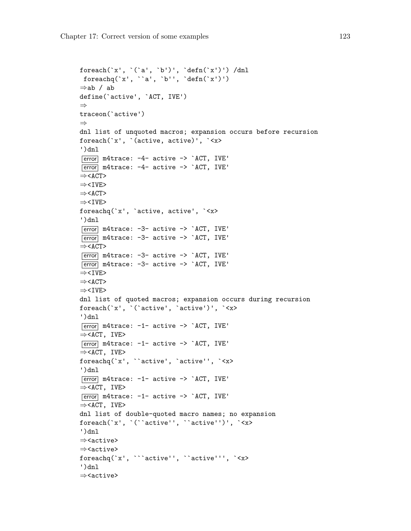```
foreach(`x', `(`a', `b')', `defn(`x')') /dnl
foreachq(x', 'a', 'b'', 'defn('x')')⇒ab / ab
define(`active', `ACT, IVE')
⇒
traceon(`active')
⇒
dnl list of unquoted macros; expansion occurs before recursion
foreach(`x', `(active, active)', `<x>
')dnl
\overline{\text{error}} m4trace: -4- active -> `ACT, IVE'
\overline{\text{error}} m4trace: -4- active -> `ACT, IVE'
⇒<ACT>
⇒<IVE>
⇒<ACT>
⇒<IVE>
foreachq(`x', `active, active', `<x>
')dnl
error m4trace: -3- active -> `ACT, IVE'
\overline{\text{error}} m4trace: -3- active -> `ACT, IVE'
⇒<ACT>
\overline{\text{error}} m4trace: -3- active -> `ACT, IVE'
\overline{\text{error}} m4trace: -3- active -> `ACT, IVE'
⇒<IVE>
⇒<ACT>
⇒<IVE>
dnl list of quoted macros; expansion occurs during recursion
foreach(`x', `(`active', `active')', `<x>
')dnl
\overline{\text{error}} m4trace: -1- active -> `ACT, IVE'
⇒<ACT, IVE>
\overline{\text{error}} m4trace: -1- active -> `ACT, IVE'
⇒<ACT, IVE>
foreachq(`x', ``active', `active'', `<x>
')dnl
\boxed{\text{error}} m4trace: -1- active -> `ACT, IVE'
⇒<ACT, IVE>
\overline{\text{error}} m4trace: -1- active -> `ACT, IVE'
⇒<ACT, IVE>
dnl list of double-quoted macro names; no expansion
foreach(`x', `(``active'', ``active'')', `<x>
')dnl
⇒<active>
⇒<active>
foreachq(`x', ```active'', ``active''', `<x>
')dnl
⇒<active>
```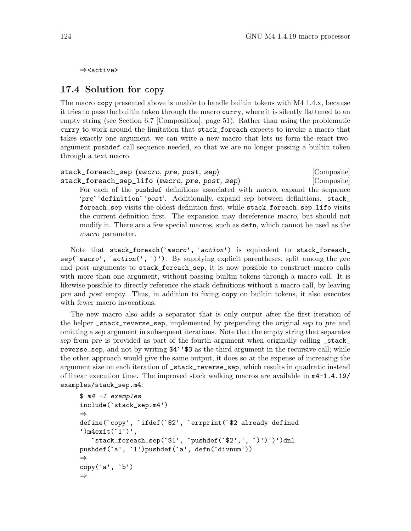⇒<active>

## 17.4 Solution for copy

The macro copy presented above is unable to handle builtin tokens with M4 1.4.x, because it tries to pass the builtin token through the macro curry, where it is silently flattened to an empty string (see [Section 6.7 \[Composition\], page 51\)](#page-56-0). Rather than using the problematic curry to work around the limitation that stack\_foreach expects to invoke a macro that takes exactly one argument, we can write a new macro that lets us form the exact twoargument pushdef call sequence needed, so that we are no longer passing a builtin token through a text macro.

stack\_foreach\_sep (macro, pre, post, sep) [Composite] stack\_foreach\_sep\_lifo (macro, pre, post, sep) [Composite] For each of the pushdef definitions associated with macro, expand the sequence 'pre`'definition`'post'. Additionally, expand sep between definitions. stack\_ foreach\_sep visits the oldest definition first, while stack\_foreach\_sep\_lifo visits the current definition first. The expansion may dereference macro, but should not modify it. There are a few special macros, such as defn, which cannot be used as the macro parameter.

Note that stack\_foreach(`macro', `action') is equivalent to stack\_foreach\_  $\text{sep}(\text{~macro}', \text{~action}(\text{~}, \text{~}))$ . By supplying explicit parentheses, split among the pre and post arguments to stack\_foreach\_sep, it is now possible to construct macro calls with more than one argument, without passing builtin tokens through a macro call. It is likewise possible to directly reference the stack definitions without a macro call, by leaving pre and post empty. Thus, in addition to fixing copy on builtin tokens, it also executes with fewer macro invocations.

The new macro also adds a separator that is only output after the first iteration of the helper \_stack\_reverse\_sep, implemented by prepending the original sep to pre and omitting a sep argument in subsequent iterations. Note that the empty string that separates sep from pre is provided as part of the fourth argument when originally calling \_stack\_ reverse\_sep, and not by writing \$4`'\$3 as the third argument in the recursive call; while the other approach would give the same output, it does so at the expense of increasing the argument size on each iteration of \_stack\_reverse\_sep, which results in quadratic instead of linear execution time. The improved stack walking macros are available in m4-1.4.19/ examples/stack\_sep.m4:

```
$ m4 -I examples
include(`stack_sep.m4')
⇒
define(`copy', `ifdef(`$2', `errprint(`$2 already defined
')m4exit(`1')',
   `stack_foreach_sep(`$1', `pushdef(`$2',', `)')')')dnl
pushdef(`a', `1')pushdef(`a', defn(`divnum'))
⇒
copy(`a', `b')
⇒
```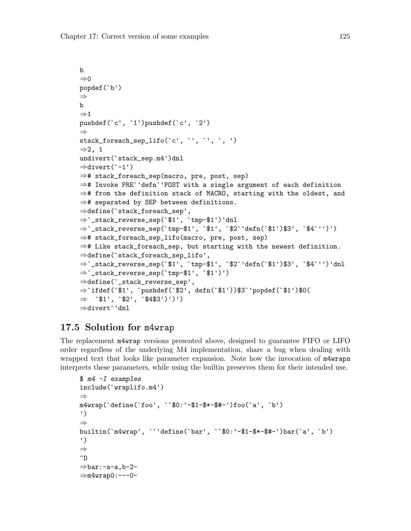```
b
\Rightarrow 0
popdef(`b')
⇒
b
⇒1
pushdef(`c', `1')pushdef(`c', `2')
⇒
stack_foreach_sep_lifo(`c', `', `', `, ')
⇒2, 1
undivert(`stack_sep.m4')dnl
⇒divert(`-1')
⇒# stack_foreach_sep(macro, pre, post, sep)
⇒# Invoke PRE`'defn`'POST with a single argument of each definition
⇒# from the definition stack of MACRO, starting with the oldest, and
⇒# separated by SEP between definitions.
⇒define(`stack_foreach_sep',
⇒`_stack_reverse_sep(`$1', `tmp-$1')'dnl
⇒`_stack_reverse_sep(`tmp-$1', `$1', `$2`'defn(`$1')$3', `$4`'')')
⇒# stack_foreach_sep_lifo(macro, pre, post, sep)
⇒# Like stack_foreach_sep, but starting with the newest definition.
⇒define(`stack_foreach_sep_lifo',
⇒`_stack_reverse_sep(`$1', `tmp-$1', `$2`'defn(`$1')$3', `$4`'')'dnl
⇒`_stack_reverse_sep(`tmp-$1', `$1')')
⇒define(`_stack_reverse_sep',
⇒`ifdef(`$1', `pushdef(`$2', defn(`$1'))$3`'popdef(`$1')$0(
\Rightarrow `$1', `$2', `$4$3')')')
⇒divert`'dnl
```
## 17.5 Solution for m4wrap

The replacement m4wrap versions presented above, designed to guarantee FIFO or LIFO order regardless of the underlying M4 implementation, share a bug when dealing with wrapped text that looks like parameter expansion. Note how the invocation of m4wrapn interprets these parameters, while using the builtin preserves them for their intended use.

```
$ m4 -I examples
include(`wraplifo.m4')
⇒
m4wrap(`define(`foo', ``$0:'-$1-$*-$#-')foo(`a', `b')
')
⇒
builtin(`m4wrap', ``'define(`bar', ``$0:'-$1-$*-$#-')bar(`a', `b')
')
⇒
\hat{D}\Rightarrowbar:-a-a,b-2-
\Rightarrowm4wrap0:---0-
```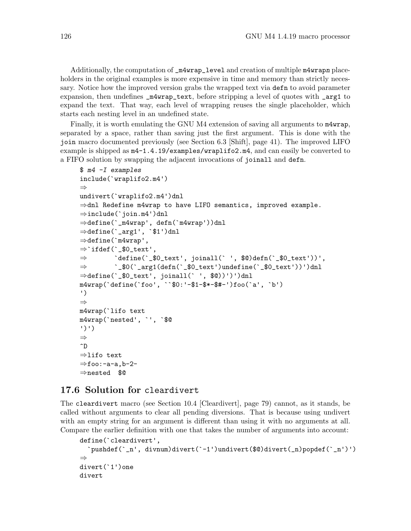Additionally, the computation of  $\texttt{\_m4wrap\_level}$  and creation of multiple  $\texttt{m4wrapn}$  placeholders in the original examples is more expensive in time and memory than strictly necessary. Notice how the improved version grabs the wrapped text via defn to avoid parameter expansion, then undefines  $\text{\_m4wrap\_text},$  before stripping a level of quotes with  $\text{\_arg1}$  to expand the text. That way, each level of wrapping reuses the single placeholder, which starts each nesting level in an undefined state.

Finally, it is worth emulating the GNU M4 extension of saving all arguments to m4wrap, separated by a space, rather than saving just the first argument. This is done with the join macro documented previously (see [Section 6.3 \[Shift\], page 41](#page-46-0)). The improved LIFO example is shipped as m4-1.4.19/examples/wraplifo2.m4, and can easily be converted to a FIFO solution by swapping the adjacent invocations of joinall and defn.

```
$ m4 -I examples
include(`wraplifo2.m4')
⇒
undivert(`wraplifo2.m4')dnl
⇒dnl Redefine m4wrap to have LIFO semantics, improved example.
⇒include(`join.m4')dnl
⇒define(`_m4wrap', defn(`m4wrap'))dnl
⇒define(`_arg1', `$1')dnl
\Rightarrowdefine(`m4wrap',
\Rightarrow ifdef('_$0_text',
\Rightarrow `define(`_$0_text', joinall(` ', $0)defn(`_$0_text'))',
⇒ `_$0(`_arg1(defn(`_$0_text')undefine(`_$0_text'))')dnl
⇒define(`_$0_text', joinall(` ', $@))')')dnl
m4wrap(`define(`foo', ``$0:'-$1-$*-$#-')foo(`a', `b')
')
⇒
m4wrap(`lifo text
m4wrap(`nested', `', `$@
')')
⇒
\hat{D}⇒lifo text
\Rightarrowfoo:-a-a,b-2-
⇒nested $@
```
#### 17.6 Solution for cleardivert

The cleardivert macro (see [Section 10.4 \[Cleardivert\], page 79\)](#page-84-0) cannot, as it stands, be called without arguments to clear all pending diversions. That is because using undivert with an empty string for an argument is different than using it with no arguments at all. Compare the earlier definition with one that takes the number of arguments into account:

```
define(`cleardivert',
  `pushdef(`_n', divnum)divert(`-1')undivert($@)divert(_n)popdef(`_n')')
⇒
divert(`1')one
divert
```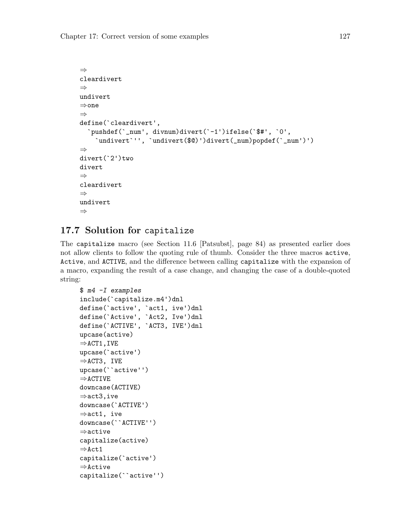```
⇒
cleardivert
⇒
undivert
⇒one
⇒
define(`cleardivert',
  `pushdef(`_num', divnum)divert(`-1')ifelse(`$#', `0',
    `undivert`'', `undivert($@)')divert(_num)popdef(`_num')')
⇒
divert(`2')two
divert
⇒
cleardivert
⇒
undivert
⇒
```
# 17.7 Solution for capitalize

The capitalize macro (see [Section 11.6 \[Patsubst\], page 84\)](#page-89-0) as presented earlier does not allow clients to follow the quoting rule of thumb. Consider the three macros active, Active, and ACTIVE, and the difference between calling capitalize with the expansion of a macro, expanding the result of a case change, and changing the case of a double-quoted string:

```
$ m4 -I examples
include(`capitalize.m4')dnl
define(`active', `act1, ive')dnl
define(`Active', `Act2, Ive')dnl
define(`ACTIVE', `ACT3, IVE')dnl
upcase(active)
\RightarrowACT1, IVE
upcase(`active')
⇒ACT3, IVE
upcase(``active'')
\RightarrowACTIVE
downcase(ACTIVE)
⇒act3,ive
downcase(`ACTIVE')
⇒act1, ive
downcase(``ACTIVE'')
⇒active
capitalize(active)
⇒Act1
capitalize(`active')
⇒Active
capitalize(``active'')
```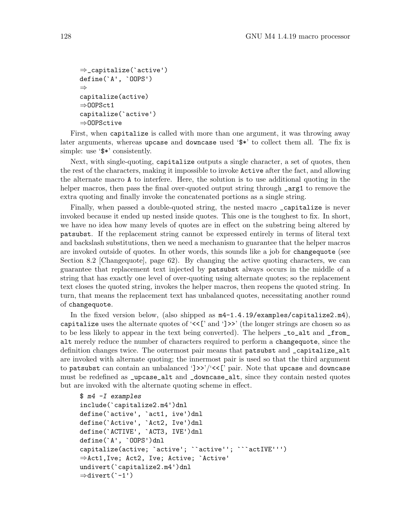```
⇒_capitalize(`active')
define(`A', `OOPS')
⇒
capitalize(active)
⇒OOPSct1
capitalize(`active')
⇒OOPSctive
```
First, when capitalize is called with more than one argument, it was throwing away later arguments, whereas upcase and downcase used '\$\*' to collect them all. The fix is simple: use ' $\ast\ast$ ' consistently.

Next, with single-quoting, capitalize outputs a single character, a set of quotes, then the rest of the characters, making it impossible to invoke Active after the fact, and allowing the alternate macro A to interfere. Here, the solution is to use additional quoting in the helper macros, then pass the final over-quoted output string through **\_arg1** to remove the extra quoting and finally invoke the concatenated portions as a single string.

Finally, when passed a double-quoted string, the nested macro \_capitalize is never invoked because it ended up nested inside quotes. This one is the toughest to fix. In short, we have no idea how many levels of quotes are in effect on the substring being altered by patsubst. If the replacement string cannot be expressed entirely in terms of literal text and backslash substitutions, then we need a mechanism to guarantee that the helper macros are invoked outside of quotes. In other words, this sounds like a job for changequote (see [Section 8.2 \[Changequote\], page 62\)](#page-67-0). By changing the active quoting characters, we can guarantee that replacement text injected by patsubst always occurs in the middle of a string that has exactly one level of over-quoting using alternate quotes; so the replacement text closes the quoted string, invokes the helper macros, then reopens the quoted string. In turn, that means the replacement text has unbalanced quotes, necessitating another round of changequote.

In the fixed version below, (also shipped as m4-1.4.19/examples/capitalize2.m4), capitalize uses the alternate quotes of ' $\langle \langle \cdot \rangle$ ' and ' $] \rangle$ ' (the longer strings are chosen so as to be less likely to appear in the text being converted). The helpers \_to\_alt and \_from\_ alt merely reduce the number of characters required to perform a changequote, since the definition changes twice. The outermost pair means that patsubst and \_capitalize\_alt are invoked with alternate quoting; the innermost pair is used so that the third argument to patsubst can contain an unbalanced ' $\rightarrow$ '/'<<[' pair. Note that upcase and downcase must be redefined as \_upcase\_alt and \_downcase\_alt, since they contain nested quotes but are invoked with the alternate quoting scheme in effect.

```
$ m4 -I examples
include(`capitalize2.m4')dnl
define(`active', `act1, ive')dnl
define(`Active', `Act2, Ive')dnl
define(`ACTIVE', `ACT3, IVE')dnl
define(`A', `OOPS')dnl
capitalize(active; `active'; ``active''; ```actIVE''')
⇒Act1,Ive; Act2, Ive; Active; `Active'
undivert(`capitalize2.m4')dnl
⇒divert(`-1')
```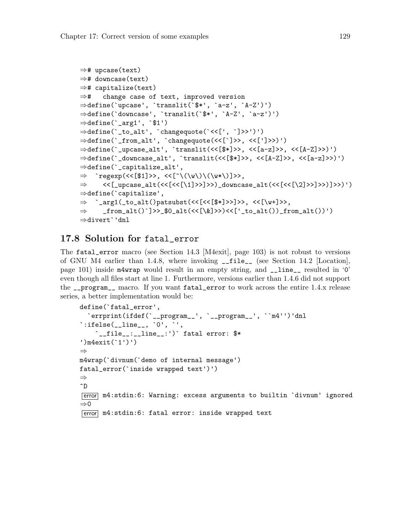```
⇒# upcase(text)
⇒# downcase(text)
⇒# capitalize(text)
⇒# change case of text, improved version
⇒define(`upcase', `translit(`$*', `a-z', `A-Z')')
⇒define(`downcase', `translit(`$*', `A-Z', `a-z')')
\Rightarrow define(`_arg1', `$1')
⇒define(`_to_alt', `changequote(`<<[', `]>>')')
⇒define(`_from_alt', `changequote(<<[`]>>, <<[']>>)')
⇒define(`_upcase_alt', `translit(<<[$*]>>, <<[a-z]>>, <<[A-Z]>>)')
⇒define(`_downcase_alt', `translit(<<[$*]>>, <<[A-Z]>>, <<[a-z]>>)')
⇒define(`_capitalize_alt',
\Rightarrow `regexp(<<[$1]>>, <<[^\(\w\)\(\w*\)]>>,
\Rightarrow <<[_upcase_alt(<<[<<[\1]>>)>>)_downcase_alt(<<[<<[\2]>>)}>>)]>>)')
⇒define(`capitalize',
⇒ `_arg1(_to_alt()patsubst(<<[<<[$*]>>]>>, <<[\w+]>>,
\Rightarrow _from_alt()`]>>_$0_alt(<<[\&]>>)<<['_to_alt())_from_alt())')
⇒divert`'dnl
```
#### <span id="page-134-0"></span>17.8 Solution for fatal\_error

The fatal\_error macro (see [Section 14.3 \[M4exit\], page 103\)](#page-108-0) is not robust to versions of GNU M4 earlier than 1.4.8, where invoking \_\_file\_\_ (see [Section 14.2 \[Location\],](#page-106-0) [page 101](#page-106-0)) inside m4wrap would result in an empty string, and \_\_line\_\_ resulted in '0' even though all files start at line 1. Furthermore, versions earlier than 1.4.6 did not support the \_\_program\_\_ macro. If you want fatal\_error to work across the entire 1.4.x release series, a better implementation would be:

```
define(`fatal_error',
  `errprint(ifdef(`__program__', `__program__', ``m4'')'dnl
\text{``ifelse}(\text{__line}_\text{__}, \text{ '0'}, \text{ '}',`__file__:__line__:')` fatal error: $*
')m4exit(`1')')
⇒
m4wrap(`divnum(`demo of internal message')
fatal_error(`inside wrapped text')')
⇒
\hat{D}error m4:stdin:6: Warning: excess arguments to builtin `divnum' ignored
⇒0
error m4:stdin:6: fatal error: inside wrapped text
```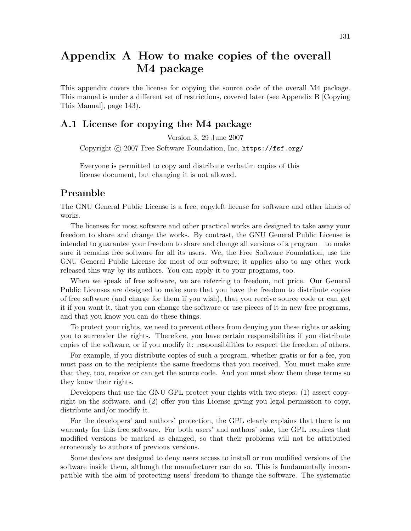# Appendix A How to make copies of the overall M4 package

This appendix covers the license for copying the source code of the overall M4 package. This manual is under a different set of restrictions, covered later (see [Appendix B \[Copying](#page-148-0) [This Manual\], page 143](#page-148-0)).

#### A.1 License for copying the M4 package

Version 3, 29 June 2007

Copyright C 2007 Free Software Foundation, Inc. <https://fsf.org/>

Everyone is permitted to copy and distribute verbatim copies of this license document, but changing it is not allowed.

## Preamble

The GNU General Public License is a free, copyleft license for software and other kinds of works.

The licenses for most software and other practical works are designed to take away your freedom to share and change the works. By contrast, the GNU General Public License is intended to guarantee your freedom to share and change all versions of a program—to make sure it remains free software for all its users. We, the Free Software Foundation, use the GNU General Public License for most of our software; it applies also to any other work released this way by its authors. You can apply it to your programs, too.

When we speak of free software, we are referring to freedom, not price. Our General Public Licenses are designed to make sure that you have the freedom to distribute copies of free software (and charge for them if you wish), that you receive source code or can get it if you want it, that you can change the software or use pieces of it in new free programs, and that you know you can do these things.

To protect your rights, we need to prevent others from denying you these rights or asking you to surrender the rights. Therefore, you have certain responsibilities if you distribute copies of the software, or if you modify it: responsibilities to respect the freedom of others.

For example, if you distribute copies of such a program, whether gratis or for a fee, you must pass on to the recipients the same freedoms that you received. You must make sure that they, too, receive or can get the source code. And you must show them these terms so they know their rights.

Developers that use the GNU GPL protect your rights with two steps: (1) assert copyright on the software, and (2) offer you this License giving you legal permission to copy, distribute and/or modify it.

For the developers' and authors' protection, the GPL clearly explains that there is no warranty for this free software. For both users' and authors' sake, the GPL requires that modified versions be marked as changed, so that their problems will not be attributed erroneously to authors of previous versions.

Some devices are designed to deny users access to install or run modified versions of the software inside them, although the manufacturer can do so. This is fundamentally incompatible with the aim of protecting users' freedom to change the software. The systematic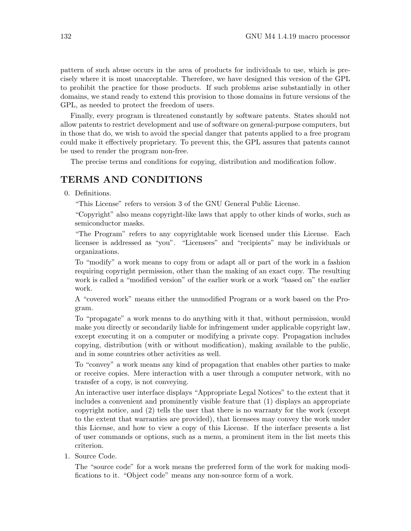pattern of such abuse occurs in the area of products for individuals to use, which is precisely where it is most unacceptable. Therefore, we have designed this version of the GPL to prohibit the practice for those products. If such problems arise substantially in other domains, we stand ready to extend this provision to those domains in future versions of the GPL, as needed to protect the freedom of users.

Finally, every program is threatened constantly by software patents. States should not allow patents to restrict development and use of software on general-purpose computers, but in those that do, we wish to avoid the special danger that patents applied to a free program could make it effectively proprietary. To prevent this, the GPL assures that patents cannot be used to render the program non-free.

The precise terms and conditions for copying, distribution and modification follow.

## TERMS AND CONDITIONS

0. Definitions.

"This License" refers to version 3 of the GNU General Public License.

"Copyright" also means copyright-like laws that apply to other kinds of works, such as semiconductor masks.

"The Program" refers to any copyrightable work licensed under this License. Each licensee is addressed as "you". "Licensees" and "recipients" may be individuals or organizations.

To "modify" a work means to copy from or adapt all or part of the work in a fashion requiring copyright permission, other than the making of an exact copy. The resulting work is called a "modified version" of the earlier work or a work "based on" the earlier work.

A "covered work" means either the unmodified Program or a work based on the Program.

To "propagate" a work means to do anything with it that, without permission, would make you directly or secondarily liable for infringement under applicable copyright law, except executing it on a computer or modifying a private copy. Propagation includes copying, distribution (with or without modification), making available to the public, and in some countries other activities as well.

To "convey" a work means any kind of propagation that enables other parties to make or receive copies. Mere interaction with a user through a computer network, with no transfer of a copy, is not conveying.

An interactive user interface displays "Appropriate Legal Notices" to the extent that it includes a convenient and prominently visible feature that (1) displays an appropriate copyright notice, and (2) tells the user that there is no warranty for the work (except to the extent that warranties are provided), that licensees may convey the work under this License, and how to view a copy of this License. If the interface presents a list of user commands or options, such as a menu, a prominent item in the list meets this criterion.

1. Source Code.

The "source code" for a work means the preferred form of the work for making modifications to it. "Object code" means any non-source form of a work.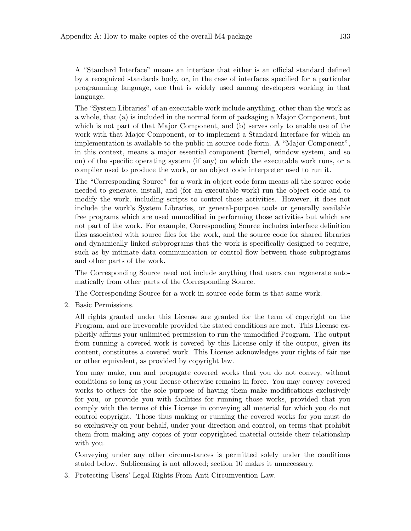A "Standard Interface" means an interface that either is an official standard defined by a recognized standards body, or, in the case of interfaces specified for a particular programming language, one that is widely used among developers working in that language.

The "System Libraries" of an executable work include anything, other than the work as a whole, that (a) is included in the normal form of packaging a Major Component, but which is not part of that Major Component, and (b) serves only to enable use of the work with that Major Component, or to implement a Standard Interface for which an implementation is available to the public in source code form. A "Major Component", in this context, means a major essential component (kernel, window system, and so on) of the specific operating system (if any) on which the executable work runs, or a compiler used to produce the work, or an object code interpreter used to run it.

The "Corresponding Source" for a work in object code form means all the source code needed to generate, install, and (for an executable work) run the object code and to modify the work, including scripts to control those activities. However, it does not include the work's System Libraries, or general-purpose tools or generally available free programs which are used unmodified in performing those activities but which are not part of the work. For example, Corresponding Source includes interface definition files associated with source files for the work, and the source code for shared libraries and dynamically linked subprograms that the work is specifically designed to require, such as by intimate data communication or control flow between those subprograms and other parts of the work.

The Corresponding Source need not include anything that users can regenerate automatically from other parts of the Corresponding Source.

The Corresponding Source for a work in source code form is that same work.

2. Basic Permissions.

All rights granted under this License are granted for the term of copyright on the Program, and are irrevocable provided the stated conditions are met. This License explicitly affirms your unlimited permission to run the unmodified Program. The output from running a covered work is covered by this License only if the output, given its content, constitutes a covered work. This License acknowledges your rights of fair use or other equivalent, as provided by copyright law.

You may make, run and propagate covered works that you do not convey, without conditions so long as your license otherwise remains in force. You may convey covered works to others for the sole purpose of having them make modifications exclusively for you, or provide you with facilities for running those works, provided that you comply with the terms of this License in conveying all material for which you do not control copyright. Those thus making or running the covered works for you must do so exclusively on your behalf, under your direction and control, on terms that prohibit them from making any copies of your copyrighted material outside their relationship with you.

Conveying under any other circumstances is permitted solely under the conditions stated below. Sublicensing is not allowed; section 10 makes it unnecessary.

3. Protecting Users' Legal Rights From Anti-Circumvention Law.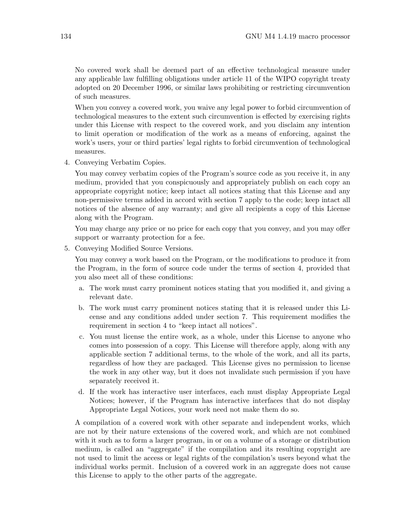No covered work shall be deemed part of an effective technological measure under any applicable law fulfilling obligations under article 11 of the WIPO copyright treaty adopted on 20 December 1996, or similar laws prohibiting or restricting circumvention of such measures.

When you convey a covered work, you waive any legal power to forbid circumvention of technological measures to the extent such circumvention is effected by exercising rights under this License with respect to the covered work, and you disclaim any intention to limit operation or modification of the work as a means of enforcing, against the work's users, your or third parties' legal rights to forbid circumvention of technological measures.

4. Conveying Verbatim Copies.

You may convey verbatim copies of the Program's source code as you receive it, in any medium, provided that you conspicuously and appropriately publish on each copy an appropriate copyright notice; keep intact all notices stating that this License and any non-permissive terms added in accord with section 7 apply to the code; keep intact all notices of the absence of any warranty; and give all recipients a copy of this License along with the Program.

You may charge any price or no price for each copy that you convey, and you may offer support or warranty protection for a fee.

5. Conveying Modified Source Versions.

You may convey a work based on the Program, or the modifications to produce it from the Program, in the form of source code under the terms of section 4, provided that you also meet all of these conditions:

- a. The work must carry prominent notices stating that you modified it, and giving a relevant date.
- b. The work must carry prominent notices stating that it is released under this License and any conditions added under section 7. This requirement modifies the requirement in section 4 to "keep intact all notices".
- c. You must license the entire work, as a whole, under this License to anyone who comes into possession of a copy. This License will therefore apply, along with any applicable section 7 additional terms, to the whole of the work, and all its parts, regardless of how they are packaged. This License gives no permission to license the work in any other way, but it does not invalidate such permission if you have separately received it.
- d. If the work has interactive user interfaces, each must display Appropriate Legal Notices; however, if the Program has interactive interfaces that do not display Appropriate Legal Notices, your work need not make them do so.

A compilation of a covered work with other separate and independent works, which are not by their nature extensions of the covered work, and which are not combined with it such as to form a larger program, in or on a volume of a storage or distribution medium, is called an "aggregate" if the compilation and its resulting copyright are not used to limit the access or legal rights of the compilation's users beyond what the individual works permit. Inclusion of a covered work in an aggregate does not cause this License to apply to the other parts of the aggregate.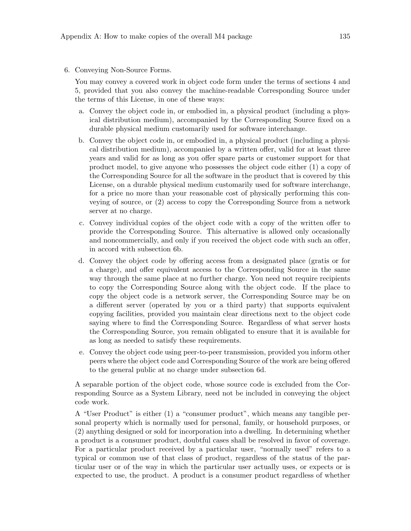6. Conveying Non-Source Forms.

You may convey a covered work in object code form under the terms of sections 4 and 5, provided that you also convey the machine-readable Corresponding Source under the terms of this License, in one of these ways:

- a. Convey the object code in, or embodied in, a physical product (including a physical distribution medium), accompanied by the Corresponding Source fixed on a durable physical medium customarily used for software interchange.
- b. Convey the object code in, or embodied in, a physical product (including a physical distribution medium), accompanied by a written offer, valid for at least three years and valid for as long as you offer spare parts or customer support for that product model, to give anyone who possesses the object code either (1) a copy of the Corresponding Source for all the software in the product that is covered by this License, on a durable physical medium customarily used for software interchange, for a price no more than your reasonable cost of physically performing this conveying of source, or (2) access to copy the Corresponding Source from a network server at no charge.
- c. Convey individual copies of the object code with a copy of the written offer to provide the Corresponding Source. This alternative is allowed only occasionally and noncommercially, and only if you received the object code with such an offer, in accord with subsection 6b.
- d. Convey the object code by offering access from a designated place (gratis or for a charge), and offer equivalent access to the Corresponding Source in the same way through the same place at no further charge. You need not require recipients to copy the Corresponding Source along with the object code. If the place to copy the object code is a network server, the Corresponding Source may be on a different server (operated by you or a third party) that supports equivalent copying facilities, provided you maintain clear directions next to the object code saying where to find the Corresponding Source. Regardless of what server hosts the Corresponding Source, you remain obligated to ensure that it is available for as long as needed to satisfy these requirements.
- e. Convey the object code using peer-to-peer transmission, provided you inform other peers where the object code and Corresponding Source of the work are being offered to the general public at no charge under subsection 6d.

A separable portion of the object code, whose source code is excluded from the Corresponding Source as a System Library, need not be included in conveying the object code work.

A "User Product" is either (1) a "consumer product", which means any tangible personal property which is normally used for personal, family, or household purposes, or (2) anything designed or sold for incorporation into a dwelling. In determining whether a product is a consumer product, doubtful cases shall be resolved in favor of coverage. For a particular product received by a particular user, "normally used" refers to a typical or common use of that class of product, regardless of the status of the particular user or of the way in which the particular user actually uses, or expects or is expected to use, the product. A product is a consumer product regardless of whether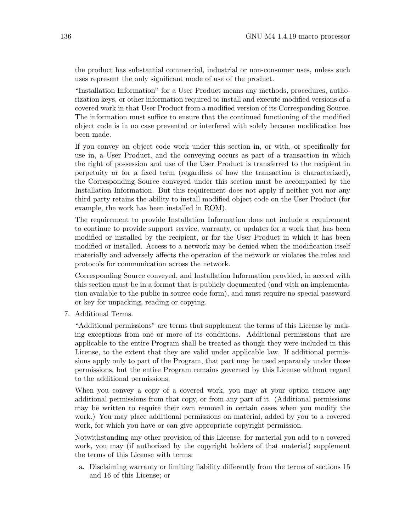the product has substantial commercial, industrial or non-consumer uses, unless such uses represent the only significant mode of use of the product.

"Installation Information" for a User Product means any methods, procedures, authorization keys, or other information required to install and execute modified versions of a covered work in that User Product from a modified version of its Corresponding Source. The information must suffice to ensure that the continued functioning of the modified object code is in no case prevented or interfered with solely because modification has been made.

If you convey an object code work under this section in, or with, or specifically for use in, a User Product, and the conveying occurs as part of a transaction in which the right of possession and use of the User Product is transferred to the recipient in perpetuity or for a fixed term (regardless of how the transaction is characterized), the Corresponding Source conveyed under this section must be accompanied by the Installation Information. But this requirement does not apply if neither you nor any third party retains the ability to install modified object code on the User Product (for example, the work has been installed in ROM).

The requirement to provide Installation Information does not include a requirement to continue to provide support service, warranty, or updates for a work that has been modified or installed by the recipient, or for the User Product in which it has been modified or installed. Access to a network may be denied when the modification itself materially and adversely affects the operation of the network or violates the rules and protocols for communication across the network.

Corresponding Source conveyed, and Installation Information provided, in accord with this section must be in a format that is publicly documented (and with an implementation available to the public in source code form), and must require no special password or key for unpacking, reading or copying.

7. Additional Terms.

"Additional permissions" are terms that supplement the terms of this License by making exceptions from one or more of its conditions. Additional permissions that are applicable to the entire Program shall be treated as though they were included in this License, to the extent that they are valid under applicable law. If additional permissions apply only to part of the Program, that part may be used separately under those permissions, but the entire Program remains governed by this License without regard to the additional permissions.

When you convey a copy of a covered work, you may at your option remove any additional permissions from that copy, or from any part of it. (Additional permissions may be written to require their own removal in certain cases when you modify the work.) You may place additional permissions on material, added by you to a covered work, for which you have or can give appropriate copyright permission.

Notwithstanding any other provision of this License, for material you add to a covered work, you may (if authorized by the copyright holders of that material) supplement the terms of this License with terms:

a. Disclaiming warranty or limiting liability differently from the terms of sections 15 and 16 of this License; or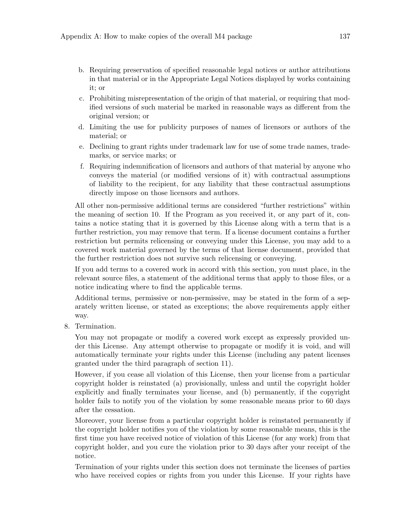- b. Requiring preservation of specified reasonable legal notices or author attributions in that material or in the Appropriate Legal Notices displayed by works containing it; or
- c. Prohibiting misrepresentation of the origin of that material, or requiring that modified versions of such material be marked in reasonable ways as different from the original version; or
- d. Limiting the use for publicity purposes of names of licensors or authors of the material; or
- e. Declining to grant rights under trademark law for use of some trade names, trademarks, or service marks; or
- f. Requiring indemnification of licensors and authors of that material by anyone who conveys the material (or modified versions of it) with contractual assumptions of liability to the recipient, for any liability that these contractual assumptions directly impose on those licensors and authors.

All other non-permissive additional terms are considered "further restrictions" within the meaning of section 10. If the Program as you received it, or any part of it, contains a notice stating that it is governed by this License along with a term that is a further restriction, you may remove that term. If a license document contains a further restriction but permits relicensing or conveying under this License, you may add to a covered work material governed by the terms of that license document, provided that the further restriction does not survive such relicensing or conveying.

If you add terms to a covered work in accord with this section, you must place, in the relevant source files, a statement of the additional terms that apply to those files, or a notice indicating where to find the applicable terms.

Additional terms, permissive or non-permissive, may be stated in the form of a separately written license, or stated as exceptions; the above requirements apply either way.

8. Termination.

You may not propagate or modify a covered work except as expressly provided under this License. Any attempt otherwise to propagate or modify it is void, and will automatically terminate your rights under this License (including any patent licenses granted under the third paragraph of section 11).

However, if you cease all violation of this License, then your license from a particular copyright holder is reinstated (a) provisionally, unless and until the copyright holder explicitly and finally terminates your license, and (b) permanently, if the copyright holder fails to notify you of the violation by some reasonable means prior to 60 days after the cessation.

Moreover, your license from a particular copyright holder is reinstated permanently if the copyright holder notifies you of the violation by some reasonable means, this is the first time you have received notice of violation of this License (for any work) from that copyright holder, and you cure the violation prior to 30 days after your receipt of the notice.

Termination of your rights under this section does not terminate the licenses of parties who have received copies or rights from you under this License. If your rights have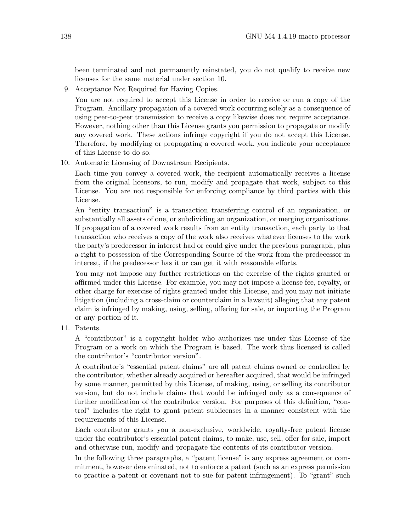been terminated and not permanently reinstated, you do not qualify to receive new licenses for the same material under section 10.

9. Acceptance Not Required for Having Copies.

You are not required to accept this License in order to receive or run a copy of the Program. Ancillary propagation of a covered work occurring solely as a consequence of using peer-to-peer transmission to receive a copy likewise does not require acceptance. However, nothing other than this License grants you permission to propagate or modify any covered work. These actions infringe copyright if you do not accept this License. Therefore, by modifying or propagating a covered work, you indicate your acceptance of this License to do so.

10. Automatic Licensing of Downstream Recipients.

Each time you convey a covered work, the recipient automatically receives a license from the original licensors, to run, modify and propagate that work, subject to this License. You are not responsible for enforcing compliance by third parties with this License.

An "entity transaction" is a transaction transferring control of an organization, or substantially all assets of one, or subdividing an organization, or merging organizations. If propagation of a covered work results from an entity transaction, each party to that transaction who receives a copy of the work also receives whatever licenses to the work the party's predecessor in interest had or could give under the previous paragraph, plus a right to possession of the Corresponding Source of the work from the predecessor in interest, if the predecessor has it or can get it with reasonable efforts.

You may not impose any further restrictions on the exercise of the rights granted or affirmed under this License. For example, you may not impose a license fee, royalty, or other charge for exercise of rights granted under this License, and you may not initiate litigation (including a cross-claim or counterclaim in a lawsuit) alleging that any patent claim is infringed by making, using, selling, offering for sale, or importing the Program or any portion of it.

11. Patents.

A "contributor" is a copyright holder who authorizes use under this License of the Program or a work on which the Program is based. The work thus licensed is called the contributor's "contributor version".

A contributor's "essential patent claims" are all patent claims owned or controlled by the contributor, whether already acquired or hereafter acquired, that would be infringed by some manner, permitted by this License, of making, using, or selling its contributor version, but do not include claims that would be infringed only as a consequence of further modification of the contributor version. For purposes of this definition, "control" includes the right to grant patent sublicenses in a manner consistent with the requirements of this License.

Each contributor grants you a non-exclusive, worldwide, royalty-free patent license under the contributor's essential patent claims, to make, use, sell, offer for sale, import and otherwise run, modify and propagate the contents of its contributor version.

In the following three paragraphs, a "patent license" is any express agreement or commitment, however denominated, not to enforce a patent (such as an express permission to practice a patent or covenant not to sue for patent infringement). To "grant" such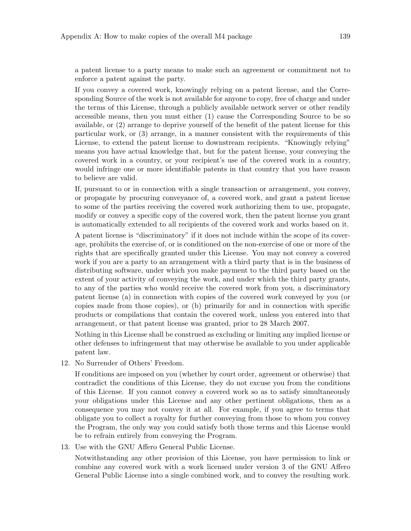a patent license to a party means to make such an agreement or commitment not to enforce a patent against the party.

If you convey a covered work, knowingly relying on a patent license, and the Corresponding Source of the work is not available for anyone to copy, free of charge and under the terms of this License, through a publicly available network server or other readily accessible means, then you must either (1) cause the Corresponding Source to be so available, or (2) arrange to deprive yourself of the benefit of the patent license for this particular work, or (3) arrange, in a manner consistent with the requirements of this License, to extend the patent license to downstream recipients. "Knowingly relying" means you have actual knowledge that, but for the patent license, your conveying the covered work in a country, or your recipient's use of the covered work in a country, would infringe one or more identifiable patents in that country that you have reason to believe are valid.

If, pursuant to or in connection with a single transaction or arrangement, you convey, or propagate by procuring conveyance of, a covered work, and grant a patent license to some of the parties receiving the covered work authorizing them to use, propagate, modify or convey a specific copy of the covered work, then the patent license you grant is automatically extended to all recipients of the covered work and works based on it.

A patent license is "discriminatory" if it does not include within the scope of its coverage, prohibits the exercise of, or is conditioned on the non-exercise of one or more of the rights that are specifically granted under this License. You may not convey a covered work if you are a party to an arrangement with a third party that is in the business of distributing software, under which you make payment to the third party based on the extent of your activity of conveying the work, and under which the third party grants, to any of the parties who would receive the covered work from you, a discriminatory patent license (a) in connection with copies of the covered work conveyed by you (or copies made from those copies), or (b) primarily for and in connection with specific products or compilations that contain the covered work, unless you entered into that arrangement, or that patent license was granted, prior to 28 March 2007.

Nothing in this License shall be construed as excluding or limiting any implied license or other defenses to infringement that may otherwise be available to you under applicable patent law.

12. No Surrender of Others' Freedom.

If conditions are imposed on you (whether by court order, agreement or otherwise) that contradict the conditions of this License, they do not excuse you from the conditions of this License. If you cannot convey a covered work so as to satisfy simultaneously your obligations under this License and any other pertinent obligations, then as a consequence you may not convey it at all. For example, if you agree to terms that obligate you to collect a royalty for further conveying from those to whom you convey the Program, the only way you could satisfy both those terms and this License would be to refrain entirely from conveying the Program.

13. Use with the GNU Affero General Public License.

Notwithstanding any other provision of this License, you have permission to link or combine any covered work with a work licensed under version 3 of the GNU Affero General Public License into a single combined work, and to convey the resulting work.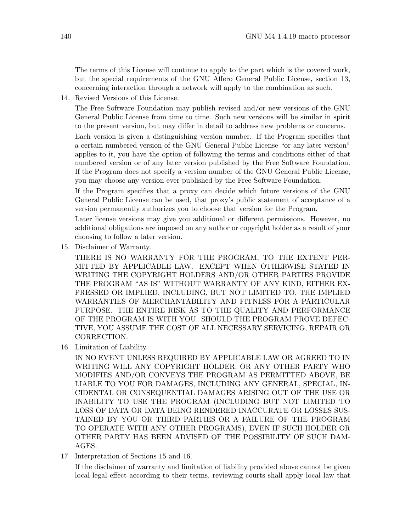The terms of this License will continue to apply to the part which is the covered work, but the special requirements of the GNU Affero General Public License, section 13, concerning interaction through a network will apply to the combination as such.

14. Revised Versions of this License.

The Free Software Foundation may publish revised and/or new versions of the GNU General Public License from time to time. Such new versions will be similar in spirit to the present version, but may differ in detail to address new problems or concerns.

Each version is given a distinguishing version number. If the Program specifies that a certain numbered version of the GNU General Public License "or any later version" applies to it, you have the option of following the terms and conditions either of that numbered version or of any later version published by the Free Software Foundation. If the Program does not specify a version number of the GNU General Public License, you may choose any version ever published by the Free Software Foundation.

If the Program specifies that a proxy can decide which future versions of the GNU General Public License can be used, that proxy's public statement of acceptance of a version permanently authorizes you to choose that version for the Program.

Later license versions may give you additional or different permissions. However, no additional obligations are imposed on any author or copyright holder as a result of your choosing to follow a later version.

15. Disclaimer of Warranty.

THERE IS NO WARRANTY FOR THE PROGRAM, TO THE EXTENT PER-MITTED BY APPLICABLE LAW. EXCEPT WHEN OTHERWISE STATED IN WRITING THE COPYRIGHT HOLDERS AND/OR OTHER PARTIES PROVIDE THE PROGRAM "AS IS" WITHOUT WARRANTY OF ANY KIND, EITHER EX-PRESSED OR IMPLIED, INCLUDING, BUT NOT LIMITED TO, THE IMPLIED WARRANTIES OF MERCHANTABILITY AND FITNESS FOR A PARTICULAR PURPOSE. THE ENTIRE RISK AS TO THE QUALITY AND PERFORMANCE OF THE PROGRAM IS WITH YOU. SHOULD THE PROGRAM PROVE DEFEC-TIVE, YOU ASSUME THE COST OF ALL NECESSARY SERVICING, REPAIR OR CORRECTION.

16. Limitation of Liability.

IN NO EVENT UNLESS REQUIRED BY APPLICABLE LAW OR AGREED TO IN WRITING WILL ANY COPYRIGHT HOLDER, OR ANY OTHER PARTY WHO MODIFIES AND/OR CONVEYS THE PROGRAM AS PERMITTED ABOVE, BE LIABLE TO YOU FOR DAMAGES, INCLUDING ANY GENERAL, SPECIAL, IN-CIDENTAL OR CONSEQUENTIAL DAMAGES ARISING OUT OF THE USE OR INABILITY TO USE THE PROGRAM (INCLUDING BUT NOT LIMITED TO LOSS OF DATA OR DATA BEING RENDERED INACCURATE OR LOSSES SUS-TAINED BY YOU OR THIRD PARTIES OR A FAILURE OF THE PROGRAM TO OPERATE WITH ANY OTHER PROGRAMS), EVEN IF SUCH HOLDER OR OTHER PARTY HAS BEEN ADVISED OF THE POSSIBILITY OF SUCH DAM-AGES.

17. Interpretation of Sections 15 and 16.

If the disclaimer of warranty and limitation of liability provided above cannot be given local legal effect according to their terms, reviewing courts shall apply local law that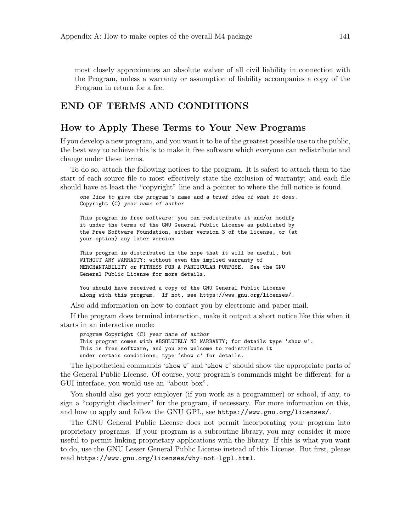most closely approximates an absolute waiver of all civil liability in connection with the Program, unless a warranty or assumption of liability accompanies a copy of the Program in return for a fee.

#### END OF TERMS AND CONDITIONS

#### How to Apply These Terms to Your New Programs

If you develop a new program, and you want it to be of the greatest possible use to the public, the best way to achieve this is to make it free software which everyone can redistribute and change under these terms.

To do so, attach the following notices to the program. It is safest to attach them to the start of each source file to most effectively state the exclusion of warranty; and each file should have at least the "copyright" line and a pointer to where the full notice is found.

one line to give the program's name and a brief idea of what it does. Copyright (C) year name of author

This program is free software: you can redistribute it and/or modify it under the terms of the GNU General Public License as published by the Free Software Foundation, either version 3 of the License, or (at your option) any later version.

This program is distributed in the hope that it will be useful, but WITHOUT ANY WARRANTY; without even the implied warranty of MERCHANTABILITY or FITNESS FOR A PARTICULAR PURPOSE. See the GNU General Public License for more details.

You should have received a copy of the GNU General Public License along with this program. If not, see <https://www.gnu.org/licenses/>.

Also add information on how to contact you by electronic and paper mail.

If the program does terminal interaction, make it output a short notice like this when it starts in an interactive mode:

program Copyright (C) year name of author This program comes with ABSOLUTELY NO WARRANTY; for details type 'show w'. This is free software, and you are welcome to redistribute it under certain conditions; type 'show c' for details.

The hypothetical commands 'show w' and 'show c' should show the appropriate parts of the General Public License. Of course, your program's commands might be different; for a GUI interface, you would use an "about box".

You should also get your employer (if you work as a programmer) or school, if any, to sign a "copyright disclaimer" for the program, if necessary. For more information on this, and how to apply and follow the GNU GPL, see <https://www.gnu.org/licenses/>.

The GNU General Public License does not permit incorporating your program into proprietary programs. If your program is a subroutine library, you may consider it more useful to permit linking proprietary applications with the library. If this is what you want to do, use the GNU Lesser General Public License instead of this License. But first, please read <https://www.gnu.org/licenses/why-not-lgpl.html>.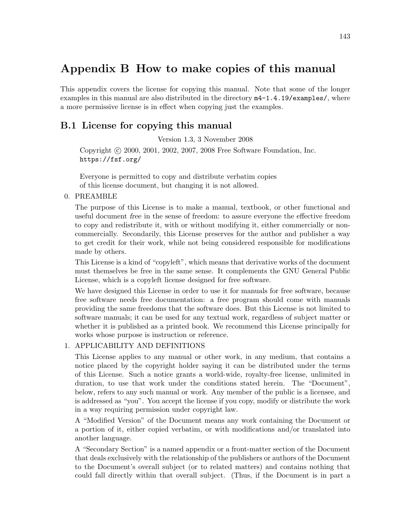## <span id="page-148-0"></span>Appendix B How to make copies of this manual

This appendix covers the license for copying this manual. Note that some of the longer examples in this manual are also distributed in the directory m4-1.4.19/examples/, where a more permissive license is in effect when copying just the examples.

#### B.1 License for copying this manual

Version 1.3, 3 November 2008

Copyright © 2000, 2001, 2002, 2007, 2008 Free Software Foundation, Inc. <https://fsf.org/>

Everyone is permitted to copy and distribute verbatim copies of this license document, but changing it is not allowed.

#### 0. PREAMBLE

The purpose of this License is to make a manual, textbook, or other functional and useful document free in the sense of freedom: to assure everyone the effective freedom to copy and redistribute it, with or without modifying it, either commercially or noncommercially. Secondarily, this License preserves for the author and publisher a way to get credit for their work, while not being considered responsible for modifications made by others.

This License is a kind of "copyleft", which means that derivative works of the document must themselves be free in the same sense. It complements the GNU General Public License, which is a copyleft license designed for free software.

We have designed this License in order to use it for manuals for free software, because free software needs free documentation: a free program should come with manuals providing the same freedoms that the software does. But this License is not limited to software manuals; it can be used for any textual work, regardless of subject matter or whether it is published as a printed book. We recommend this License principally for works whose purpose is instruction or reference.

#### 1. APPLICABILITY AND DEFINITIONS

This License applies to any manual or other work, in any medium, that contains a notice placed by the copyright holder saying it can be distributed under the terms of this License. Such a notice grants a world-wide, royalty-free license, unlimited in duration, to use that work under the conditions stated herein. The "Document", below, refers to any such manual or work. Any member of the public is a licensee, and is addressed as "you". You accept the license if you copy, modify or distribute the work in a way requiring permission under copyright law.

A "Modified Version" of the Document means any work containing the Document or a portion of it, either copied verbatim, or with modifications and/or translated into another language.

A "Secondary Section" is a named appendix or a front-matter section of the Document that deals exclusively with the relationship of the publishers or authors of the Document to the Document's overall subject (or to related matters) and contains nothing that could fall directly within that overall subject. (Thus, if the Document is in part a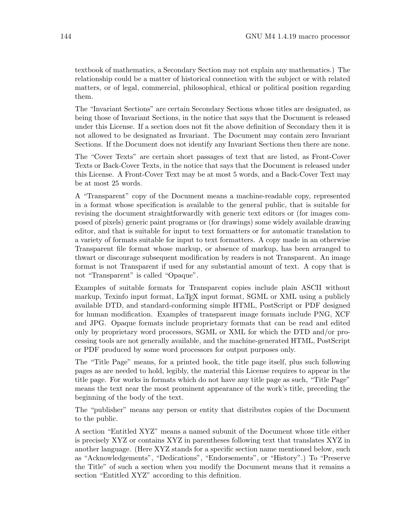textbook of mathematics, a Secondary Section may not explain any mathematics.) The relationship could be a matter of historical connection with the subject or with related matters, or of legal, commercial, philosophical, ethical or political position regarding them.

The "Invariant Sections" are certain Secondary Sections whose titles are designated, as being those of Invariant Sections, in the notice that says that the Document is released under this License. If a section does not fit the above definition of Secondary then it is not allowed to be designated as Invariant. The Document may contain zero Invariant Sections. If the Document does not identify any Invariant Sections then there are none.

The "Cover Texts" are certain short passages of text that are listed, as Front-Cover Texts or Back-Cover Texts, in the notice that says that the Document is released under this License. A Front-Cover Text may be at most 5 words, and a Back-Cover Text may be at most 25 words.

A "Transparent" copy of the Document means a machine-readable copy, represented in a format whose specification is available to the general public, that is suitable for revising the document straightforwardly with generic text editors or (for images composed of pixels) generic paint programs or (for drawings) some widely available drawing editor, and that is suitable for input to text formatters or for automatic translation to a variety of formats suitable for input to text formatters. A copy made in an otherwise Transparent file format whose markup, or absence of markup, has been arranged to thwart or discourage subsequent modification by readers is not Transparent. An image format is not Transparent if used for any substantial amount of text. A copy that is not "Transparent" is called "Opaque".

Examples of suitable formats for Transparent copies include plain ASCII without markup, Texinfo input format, LaT<sub>EX</sub> input format, SGML or XML using a publicly available DTD, and standard-conforming simple HTML, PostScript or PDF designed for human modification. Examples of transparent image formats include PNG, XCF and JPG. Opaque formats include proprietary formats that can be read and edited only by proprietary word processors, SGML or XML for which the DTD and/or processing tools are not generally available, and the machine-generated HTML, PostScript or PDF produced by some word processors for output purposes only.

The "Title Page" means, for a printed book, the title page itself, plus such following pages as are needed to hold, legibly, the material this License requires to appear in the title page. For works in formats which do not have any title page as such, "Title Page" means the text near the most prominent appearance of the work's title, preceding the beginning of the body of the text.

The "publisher" means any person or entity that distributes copies of the Document to the public.

A section "Entitled XYZ" means a named subunit of the Document whose title either is precisely XYZ or contains XYZ in parentheses following text that translates XYZ in another language. (Here XYZ stands for a specific section name mentioned below, such as "Acknowledgements", "Dedications", "Endorsements", or "History".) To "Preserve the Title" of such a section when you modify the Document means that it remains a section "Entitled XYZ" according to this definition.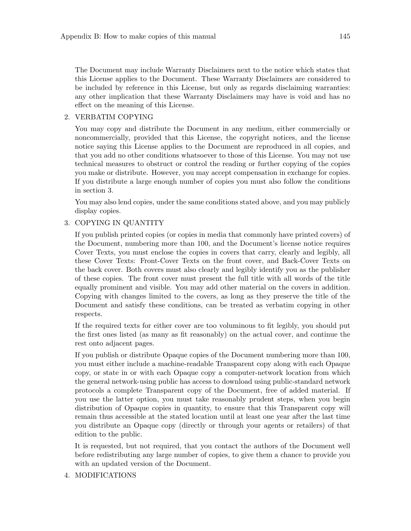The Document may include Warranty Disclaimers next to the notice which states that this License applies to the Document. These Warranty Disclaimers are considered to be included by reference in this License, but only as regards disclaiming warranties: any other implication that these Warranty Disclaimers may have is void and has no effect on the meaning of this License.

#### 2. VERBATIM COPYING

You may copy and distribute the Document in any medium, either commercially or noncommercially, provided that this License, the copyright notices, and the license notice saying this License applies to the Document are reproduced in all copies, and that you add no other conditions whatsoever to those of this License. You may not use technical measures to obstruct or control the reading or further copying of the copies you make or distribute. However, you may accept compensation in exchange for copies. If you distribute a large enough number of copies you must also follow the conditions in section 3.

You may also lend copies, under the same conditions stated above, and you may publicly display copies.

#### 3. COPYING IN QUANTITY

If you publish printed copies (or copies in media that commonly have printed covers) of the Document, numbering more than 100, and the Document's license notice requires Cover Texts, you must enclose the copies in covers that carry, clearly and legibly, all these Cover Texts: Front-Cover Texts on the front cover, and Back-Cover Texts on the back cover. Both covers must also clearly and legibly identify you as the publisher of these copies. The front cover must present the full title with all words of the title equally prominent and visible. You may add other material on the covers in addition. Copying with changes limited to the covers, as long as they preserve the title of the Document and satisfy these conditions, can be treated as verbatim copying in other respects.

If the required texts for either cover are too voluminous to fit legibly, you should put the first ones listed (as many as fit reasonably) on the actual cover, and continue the rest onto adjacent pages.

If you publish or distribute Opaque copies of the Document numbering more than 100, you must either include a machine-readable Transparent copy along with each Opaque copy, or state in or with each Opaque copy a computer-network location from which the general network-using public has access to download using public-standard network protocols a complete Transparent copy of the Document, free of added material. If you use the latter option, you must take reasonably prudent steps, when you begin distribution of Opaque copies in quantity, to ensure that this Transparent copy will remain thus accessible at the stated location until at least one year after the last time you distribute an Opaque copy (directly or through your agents or retailers) of that edition to the public.

It is requested, but not required, that you contact the authors of the Document well before redistributing any large number of copies, to give them a chance to provide you with an updated version of the Document.

#### 4. MODIFICATIONS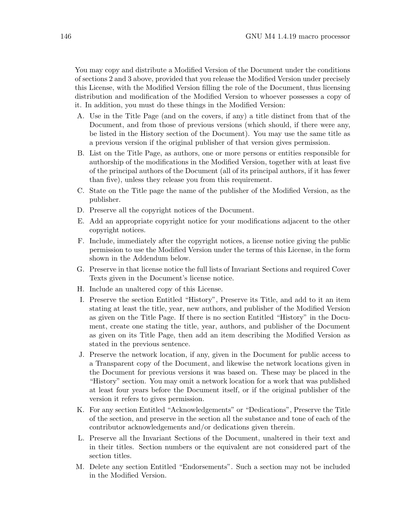You may copy and distribute a Modified Version of the Document under the conditions of sections 2 and 3 above, provided that you release the Modified Version under precisely this License, with the Modified Version filling the role of the Document, thus licensing distribution and modification of the Modified Version to whoever possesses a copy of it. In addition, you must do these things in the Modified Version:

- A. Use in the Title Page (and on the covers, if any) a title distinct from that of the Document, and from those of previous versions (which should, if there were any, be listed in the History section of the Document). You may use the same title as a previous version if the original publisher of that version gives permission.
- B. List on the Title Page, as authors, one or more persons or entities responsible for authorship of the modifications in the Modified Version, together with at least five of the principal authors of the Document (all of its principal authors, if it has fewer than five), unless they release you from this requirement.
- C. State on the Title page the name of the publisher of the Modified Version, as the publisher.
- D. Preserve all the copyright notices of the Document.
- E. Add an appropriate copyright notice for your modifications adjacent to the other copyright notices.
- F. Include, immediately after the copyright notices, a license notice giving the public permission to use the Modified Version under the terms of this License, in the form shown in the Addendum below.
- G. Preserve in that license notice the full lists of Invariant Sections and required Cover Texts given in the Document's license notice.
- H. Include an unaltered copy of this License.
- I. Preserve the section Entitled "History", Preserve its Title, and add to it an item stating at least the title, year, new authors, and publisher of the Modified Version as given on the Title Page. If there is no section Entitled "History" in the Document, create one stating the title, year, authors, and publisher of the Document as given on its Title Page, then add an item describing the Modified Version as stated in the previous sentence.
- J. Preserve the network location, if any, given in the Document for public access to a Transparent copy of the Document, and likewise the network locations given in the Document for previous versions it was based on. These may be placed in the "History" section. You may omit a network location for a work that was published at least four years before the Document itself, or if the original publisher of the version it refers to gives permission.
- K. For any section Entitled "Acknowledgements" or "Dedications", Preserve the Title of the section, and preserve in the section all the substance and tone of each of the contributor acknowledgements and/or dedications given therein.
- L. Preserve all the Invariant Sections of the Document, unaltered in their text and in their titles. Section numbers or the equivalent are not considered part of the section titles.
- M. Delete any section Entitled "Endorsements". Such a section may not be included in the Modified Version.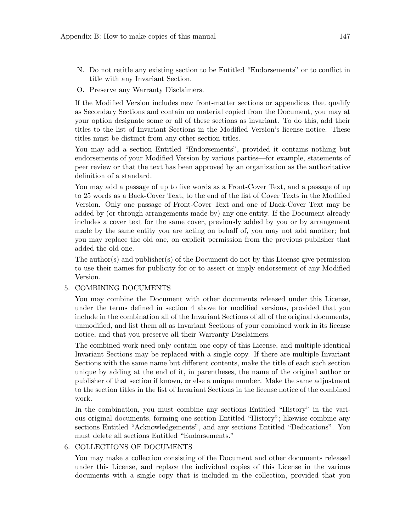- N. Do not retitle any existing section to be Entitled "Endorsements" or to conflict in title with any Invariant Section.
- O. Preserve any Warranty Disclaimers.

If the Modified Version includes new front-matter sections or appendices that qualify as Secondary Sections and contain no material copied from the Document, you may at your option designate some or all of these sections as invariant. To do this, add their titles to the list of Invariant Sections in the Modified Version's license notice. These titles must be distinct from any other section titles.

You may add a section Entitled "Endorsements", provided it contains nothing but endorsements of your Modified Version by various parties—for example, statements of peer review or that the text has been approved by an organization as the authoritative definition of a standard.

You may add a passage of up to five words as a Front-Cover Text, and a passage of up to 25 words as a Back-Cover Text, to the end of the list of Cover Texts in the Modified Version. Only one passage of Front-Cover Text and one of Back-Cover Text may be added by (or through arrangements made by) any one entity. If the Document already includes a cover text for the same cover, previously added by you or by arrangement made by the same entity you are acting on behalf of, you may not add another; but you may replace the old one, on explicit permission from the previous publisher that added the old one.

The author(s) and publisher(s) of the Document do not by this License give permission to use their names for publicity for or to assert or imply endorsement of any Modified Version.

#### 5. COMBINING DOCUMENTS

You may combine the Document with other documents released under this License, under the terms defined in section 4 above for modified versions, provided that you include in the combination all of the Invariant Sections of all of the original documents, unmodified, and list them all as Invariant Sections of your combined work in its license notice, and that you preserve all their Warranty Disclaimers.

The combined work need only contain one copy of this License, and multiple identical Invariant Sections may be replaced with a single copy. If there are multiple Invariant Sections with the same name but different contents, make the title of each such section unique by adding at the end of it, in parentheses, the name of the original author or publisher of that section if known, or else a unique number. Make the same adjustment to the section titles in the list of Invariant Sections in the license notice of the combined work.

In the combination, you must combine any sections Entitled "History" in the various original documents, forming one section Entitled "History"; likewise combine any sections Entitled "Acknowledgements", and any sections Entitled "Dedications". You must delete all sections Entitled "Endorsements."

#### 6. COLLECTIONS OF DOCUMENTS

You may make a collection consisting of the Document and other documents released under this License, and replace the individual copies of this License in the various documents with a single copy that is included in the collection, provided that you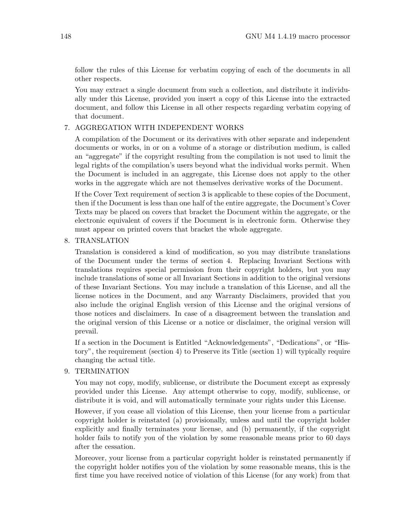follow the rules of this License for verbatim copying of each of the documents in all other respects.

You may extract a single document from such a collection, and distribute it individually under this License, provided you insert a copy of this License into the extracted document, and follow this License in all other respects regarding verbatim copying of that document.

#### 7. AGGREGATION WITH INDEPENDENT WORKS

A compilation of the Document or its derivatives with other separate and independent documents or works, in or on a volume of a storage or distribution medium, is called an "aggregate" if the copyright resulting from the compilation is not used to limit the legal rights of the compilation's users beyond what the individual works permit. When the Document is included in an aggregate, this License does not apply to the other works in the aggregate which are not themselves derivative works of the Document.

If the Cover Text requirement of section 3 is applicable to these copies of the Document, then if the Document is less than one half of the entire aggregate, the Document's Cover Texts may be placed on covers that bracket the Document within the aggregate, or the electronic equivalent of covers if the Document is in electronic form. Otherwise they must appear on printed covers that bracket the whole aggregate.

8. TRANSLATION

Translation is considered a kind of modification, so you may distribute translations of the Document under the terms of section 4. Replacing Invariant Sections with translations requires special permission from their copyright holders, but you may include translations of some or all Invariant Sections in addition to the original versions of these Invariant Sections. You may include a translation of this License, and all the license notices in the Document, and any Warranty Disclaimers, provided that you also include the original English version of this License and the original versions of those notices and disclaimers. In case of a disagreement between the translation and the original version of this License or a notice or disclaimer, the original version will prevail.

If a section in the Document is Entitled "Acknowledgements", "Dedications", or "History", the requirement (section 4) to Preserve its Title (section 1) will typically require changing the actual title.

9. TERMINATION

You may not copy, modify, sublicense, or distribute the Document except as expressly provided under this License. Any attempt otherwise to copy, modify, sublicense, or distribute it is void, and will automatically terminate your rights under this License.

However, if you cease all violation of this License, then your license from a particular copyright holder is reinstated (a) provisionally, unless and until the copyright holder explicitly and finally terminates your license, and (b) permanently, if the copyright holder fails to notify you of the violation by some reasonable means prior to 60 days after the cessation.

Moreover, your license from a particular copyright holder is reinstated permanently if the copyright holder notifies you of the violation by some reasonable means, this is the first time you have received notice of violation of this License (for any work) from that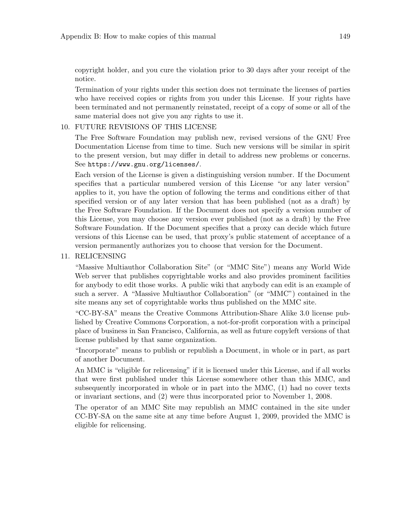copyright holder, and you cure the violation prior to 30 days after your receipt of the notice.

Termination of your rights under this section does not terminate the licenses of parties who have received copies or rights from you under this License. If your rights have been terminated and not permanently reinstated, receipt of a copy of some or all of the same material does not give you any rights to use it.

#### 10. FUTURE REVISIONS OF THIS LICENSE

The Free Software Foundation may publish new, revised versions of the GNU Free Documentation License from time to time. Such new versions will be similar in spirit to the present version, but may differ in detail to address new problems or concerns. See <https://www.gnu.org/licenses/>.

Each version of the License is given a distinguishing version number. If the Document specifies that a particular numbered version of this License "or any later version" applies to it, you have the option of following the terms and conditions either of that specified version or of any later version that has been published (not as a draft) by the Free Software Foundation. If the Document does not specify a version number of this License, you may choose any version ever published (not as a draft) by the Free Software Foundation. If the Document specifies that a proxy can decide which future versions of this License can be used, that proxy's public statement of acceptance of a version permanently authorizes you to choose that version for the Document.

#### 11. RELICENSING

"Massive Multiauthor Collaboration Site" (or "MMC Site") means any World Wide Web server that publishes copyrightable works and also provides prominent facilities for anybody to edit those works. A public wiki that anybody can edit is an example of such a server. A "Massive Multiauthor Collaboration" (or "MMC") contained in the site means any set of copyrightable works thus published on the MMC site.

"CC-BY-SA" means the Creative Commons Attribution-Share Alike 3.0 license published by Creative Commons Corporation, a not-for-profit corporation with a principal place of business in San Francisco, California, as well as future copyleft versions of that license published by that same organization.

"Incorporate" means to publish or republish a Document, in whole or in part, as part of another Document.

An MMC is "eligible for relicensing" if it is licensed under this License, and if all works that were first published under this License somewhere other than this MMC, and subsequently incorporated in whole or in part into the MMC, (1) had no cover texts or invariant sections, and (2) were thus incorporated prior to November 1, 2008.

The operator of an MMC Site may republish an MMC contained in the site under CC-BY-SA on the same site at any time before August 1, 2009, provided the MMC is eligible for relicensing.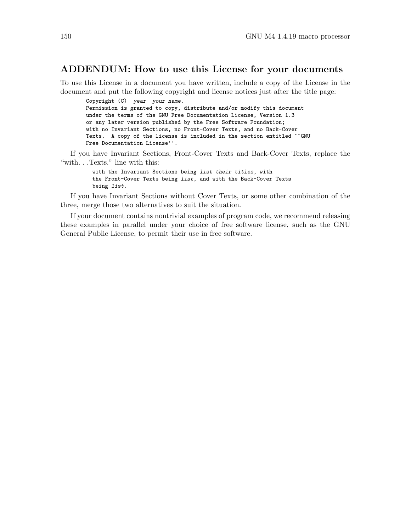#### ADDENDUM: How to use this License for your documents

To use this License in a document you have written, include a copy of the License in the document and put the following copyright and license notices just after the title page:

Copyright (C) year your name. Permission is granted to copy, distribute and/or modify this document under the terms of the GNU Free Documentation License, Version 1.3 or any later version published by the Free Software Foundation; with no Invariant Sections, no Front-Cover Texts, and no Back-Cover Texts. A copy of the license is included in the section entitled ``GNU Free Documentation License''.

If you have Invariant Sections, Front-Cover Texts and Back-Cover Texts, replace the "with. . . Texts." line with this:

> with the Invariant Sections being list their titles, with the Front-Cover Texts being list, and with the Back-Cover Texts being list.

If you have Invariant Sections without Cover Texts, or some other combination of the three, merge those two alternatives to suit the situation.

If your document contains nontrivial examples of program code, we recommend releasing these examples in parallel under your choice of free software license, such as the GNU General Public License, to permit their use in free software.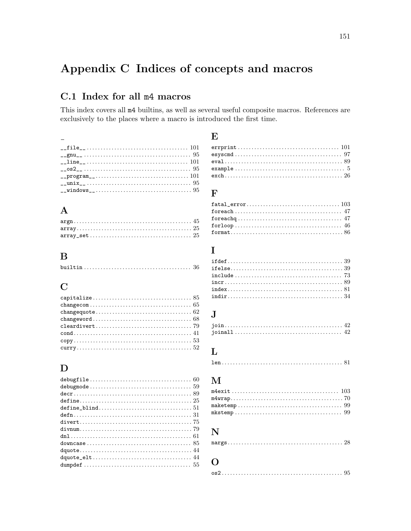# Appendix C Indices of concepts and macros

### C.1 Index for all m4 macros

This index covers all  $m4$  builtins, as well as several useful composite macros. References are exclusively to the places where a macro is introduced the first time.

#### $\overline{\phantom{0}}$  $\text{\_}unit \qquad \qquad 35$

#### $\mathbf{A}$

### $\bf{B}$

|--|

### $\mathbf C$

### D

#### E

#### $\mathbf{F}$

### $\bf{I}$

| $index \dots \dots \dots \dots \dots \dots \dots \dots \dots \dots \dots \dots \ 81$ |  |
|--------------------------------------------------------------------------------------|--|
|                                                                                      |  |

## $\mathbf{J}$

## $\mathbf{L}$

### $\mathbf{M}$

| ${\tt maketemp}\dots{\tt\dots}\dots{\tt\dots}\dots{\tt\dots}\dots{\tt\dots}\dots{\tt\dots}\ 99$ |  |
|-------------------------------------------------------------------------------------------------|--|
|                                                                                                 |  |

## $\mathbf N$

|--|--|

#### $\mathbf 0$ os

|--|--|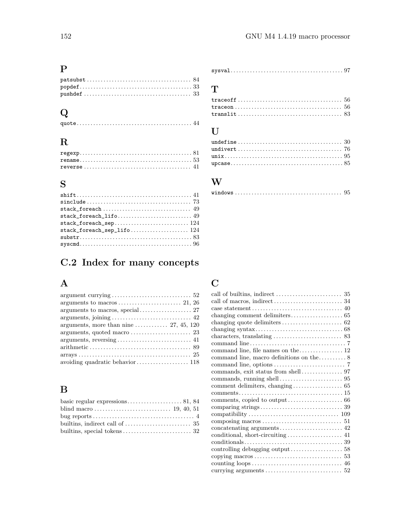## P

# Q

### R

## S

| $stack\_fore$ . $49$ |
|----------------------|
| $stack\_forec.$      |
| $stack\_forec124$    |
|                      |
|                      |
|                      |

# C.2 Index for many concepts

## A

| argument currying $\ldots \ldots \ldots \ldots \ldots \ldots \ldots \ldots 52$ |
|--------------------------------------------------------------------------------|
|                                                                                |
|                                                                                |
|                                                                                |
| arguments, more than nine $\ldots$ $\ldots$ $\ldots$ 27, 45, 120               |
|                                                                                |
|                                                                                |
|                                                                                |
|                                                                                |
|                                                                                |

# $\mathbf{B}$

| builtins, indirect call of $\dots \dots \dots \dots \dots \dots \dots$ 35 |  |
|---------------------------------------------------------------------------|--|
|                                                                           |  |

#### sysval. . . . . . . . . . . . . . . . . . . . . . . . . . . . . . . . . . . . . . . . . [97](#page-102-0)

### T

### $\mathbf U$

### W

|--|--|--|--|--|--|--|--|--|--|--|--|--|--|--|--|--|--|--|--|--|--|--|--|--|--|--|--|--|--|--|--|--|--|--|--|--|--|--|--|--|--|--|

## C

| changing quote delimiters $\dots\dots\dots\dots\dots\dots\dots$ 62                           |
|----------------------------------------------------------------------------------------------|
|                                                                                              |
|                                                                                              |
|                                                                                              |
| command line, file names on the 12                                                           |
| command line, macro definitions on the $\dots \dots \dots 8$                                 |
|                                                                                              |
|                                                                                              |
|                                                                                              |
|                                                                                              |
|                                                                                              |
|                                                                                              |
|                                                                                              |
|                                                                                              |
|                                                                                              |
|                                                                                              |
|                                                                                              |
| $conditions \ldots \ldots \ldots \ldots \ldots \ldots \ldots \ldots \ldots \ldots \ldots 39$ |
|                                                                                              |
|                                                                                              |
|                                                                                              |
|                                                                                              |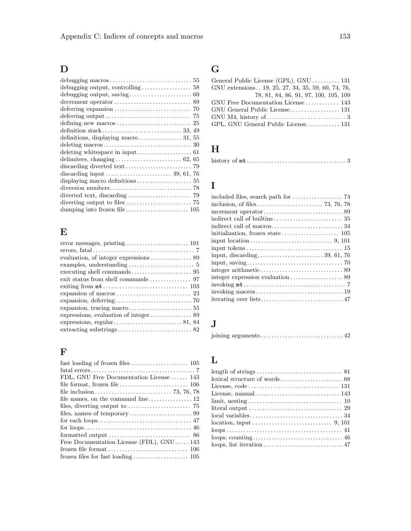# D

| delimiters, changing $\ldots \ldots \ldots \ldots \ldots \ldots \ldots \ldots$ 62, 65 |
|---------------------------------------------------------------------------------------|
|                                                                                       |
|                                                                                       |
|                                                                                       |
|                                                                                       |
|                                                                                       |
|                                                                                       |
|                                                                                       |

## E

| $expansion, deferring \ldots \ldots \ldots \ldots \ldots \ldots \ldots \ldots \ldots \ldots 70$ |
|-------------------------------------------------------------------------------------------------|
|                                                                                                 |
|                                                                                                 |
|                                                                                                 |
|                                                                                                 |
|                                                                                                 |

## F

| FDL, GNU Free Documentation License  143                                             |
|--------------------------------------------------------------------------------------|
| file format, frozen file $\dots\dots\dots\dots\dots\dots\dots\dots 106$              |
|                                                                                      |
|                                                                                      |
| files, diverting output to $\dots \dots \dots \dots \dots \dots \dots$ 75            |
|                                                                                      |
|                                                                                      |
|                                                                                      |
| formatted output $\ldots \ldots \ldots \ldots \ldots \ldots \ldots \ldots \ldots$ 86 |
| Free Documentation License (FDL), $GNU \ldots$ . 143                                 |
|                                                                                      |
|                                                                                      |
|                                                                                      |

# G

# $\mathbf H$

|--|--|--|

## I

# J

|--|--|--|--|

# L

| literal output $\ldots \ldots \ldots \ldots \ldots \ldots \ldots \ldots \ldots \ldots \ldots$ 29 |  |
|--------------------------------------------------------------------------------------------------|--|
|                                                                                                  |  |
|                                                                                                  |  |
|                                                                                                  |  |
|                                                                                                  |  |
|                                                                                                  |  |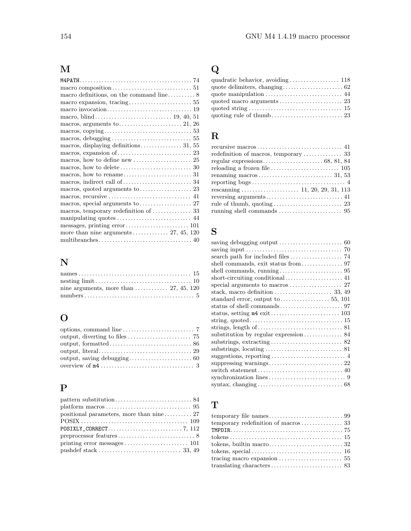# M

| macros, arguments to $\ldots$ $\ldots$ $21, 26$                |
|----------------------------------------------------------------|
|                                                                |
|                                                                |
| macros, displaying definitions 31, 55                          |
|                                                                |
|                                                                |
|                                                                |
|                                                                |
|                                                                |
| macros, quoted arguments to $\dots \dots \dots \dots \dots 23$ |
|                                                                |
|                                                                |
|                                                                |
|                                                                |
|                                                                |
| more than nine arguments  27, 45, 120                          |
|                                                                |

# N

| nine arguments, more than $\ldots$ $\ldots$ $\ldots$ 27, 45, 120 |  |
|------------------------------------------------------------------|--|
|                                                                  |  |

# O

## P

| $\mathit{platform}\,\,\text{macro}\,\,\ldots\,\,\ldots\,\,\ldots\,\,\ldots\,\,\ldots\,\,\ldots\,\,\ldots\,\,\,\,\,95$ |
|-----------------------------------------------------------------------------------------------------------------------|
|                                                                                                                       |
|                                                                                                                       |
|                                                                                                                       |
|                                                                                                                       |
|                                                                                                                       |
|                                                                                                                       |

# Q

# R

# S

| saving debugging output $\ldots \ldots \ldots \ldots \ldots \ldots \ldots$ 60                  |
|------------------------------------------------------------------------------------------------|
| saving input $\ldots \ldots \ldots \ldots \ldots \ldots \ldots \ldots \ldots \ldots \ldots$ 70 |
|                                                                                                |
|                                                                                                |
|                                                                                                |
|                                                                                                |
|                                                                                                |
| stack, macro definition $\ldots \ldots \ldots \ldots \ldots \ldots$ 33, 49                     |
| standard error, output to $\dots \dots \dots \dots \dots 55$ , 101                             |
|                                                                                                |
|                                                                                                |
|                                                                                                |
|                                                                                                |
| substitution by regular expression  84                                                         |
|                                                                                                |
|                                                                                                |
|                                                                                                |
|                                                                                                |
|                                                                                                |
|                                                                                                |
|                                                                                                |
|                                                                                                |

# T

| tracing macro expansion $\ldots \ldots \ldots \ldots \ldots \ldots \ldots 55$ |  |
|-------------------------------------------------------------------------------|--|
|                                                                               |  |